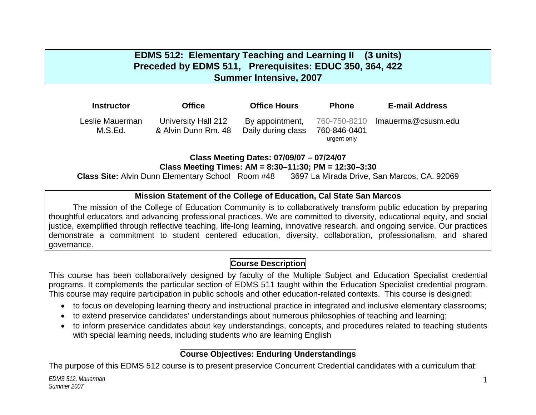### **EDMS 512: Elementary Teaching and Learning II (3 units) Preceded by EDMS 511, Prerequisites: EDUC 350, 364, 422 Summer Intensive, 2007**

| <b>Instructor</b>          | <b>Office</b>                              | <b>Office Hours</b>                   | <b>Phone</b>                                | <b>E-mail Address</b> |
|----------------------------|--------------------------------------------|---------------------------------------|---------------------------------------------|-----------------------|
| Leslie Mauerman<br>M.S.Ed. | University Hall 212<br>& Alvin Dunn Rm. 48 | By appointment,<br>Daily during class | 760-750-8210<br>760-846-0401<br>urgent only | Imauerma@csusm.edu    |

**Class Meeting Dates: 07/09/07 – 07/24/07** 

**Class Meeting Times: AM = 8:30–11:30; PM = 12:30–3:30**

**Class Site:** Alvin Dunn Elementary School Room #48 3697 La Mirada Drive, San Marcos, CA. 92069

### **Mission Statement of the College of Education, Cal State San Marcos**

 The mission of the College of Education Community is to collaboratively transform public education by preparing thoughtful educators and advancing professional practices. We are committed to diversity, educational equity, and social justice, exemplified through reflective teaching, life-long learning, innovative research, and ongoing service. Our practices demonstrate a commitment to student centered education, diversity, collaboration, professionalism, and shared governance.

### **Course Description**

This course has been collaboratively designed by faculty of the Multiple Subject and Education Specialist credential programs. It complements the particular section of EDMS 511 taught within the Education Specialist credential program. This course may require participation in public schools and other education-related contexts. This course is designed:

- to focus on developing learning theory and instructional practice in integrated and inclusive elementary classrooms;
- to extend preservice candidates' understandings about numerous philosophies of teaching and learning;
- to inform preservice candidates about key understandings, concepts, and procedures related to teaching students with special learning needs, including students who are learning English

## **Course Objectives: Enduring Understandings**

The purpose of this EDMS 512 course is to present preservice Concurrent Credential candidates with a curriculum that: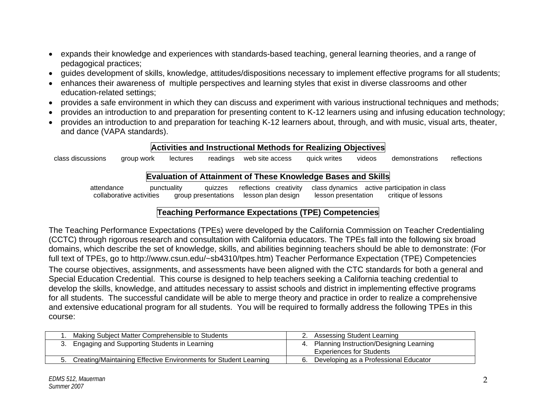- expands their knowledge and experiences with standards-based teaching, general learning theories, and a range of pedagogical practices;
- guides development of skills, knowledge, attitudes/dispositions necessary to implement effective programs for all students;
- enhances their awareness of multiple perspectives and learning styles that exist in diverse classrooms and other education-related settings;
- provides a safe environment in which they can discuss and experiment with various instructional techniques and methods;
- provides an introduction to and preparation for presenting content to K-12 learners using and infusing education technology;
- provides an introduction to and preparation for teaching K-12 learners about, through, and with music, visual arts, theater, and dance (VAPA standards).

### **Activities and Instructional Methods for Realizing Objectives**

class discussions group work lectures readings web site access quick writes videos demonstrations reflections

#### **Evaluation of Attainment of These Knowledge Bases and Skills**

attendance punctuality quizzes reflections creativity class dynamics active participation in class collaborative activities group presentations lesson plan design lesson presentation critique of lessons

### **Teaching Performance Expectations (TPE) Competencies**

The Teaching Performance Expectations (TPEs) were developed by the California Commission on Teacher Credentialing (CCTC) through rigorous research and consultation with California educators. The TPEs fall into the following six broad domains, which describe the set of knowledge, skills, and abilities beginning teachers should be able to demonstrate: (For full text of TPEs, go to http://www.csun.edu/~sb4310/tpes.htm) Teacher Performance Expectation (TPE) Competencies The course objectives, assignments, and assessments have been aligned with the CTC standards for both a general and Special Education Credential. This course is designed to help teachers seeking a California teaching credential to develop the skills, knowledge, and attitudes necessary to assist schools and district in implementing effective programs for all students. The successful candidate will be able to merge theory and practice in order to realize a comprehensive and extensive educational program for all students. You will be required to formally address the following TPEs in this course:

| Making Subject Matter Comprehensible to Students                 | Assessing Student Learning                     |
|------------------------------------------------------------------|------------------------------------------------|
| Engaging and Supporting Students in Learning                     | <b>Planning Instruction/Designing Learning</b> |
|                                                                  | <b>Experiences for Students</b>                |
| Creating/Maintaining Effective Environments for Student Learning | Developing as a Professional Educator          |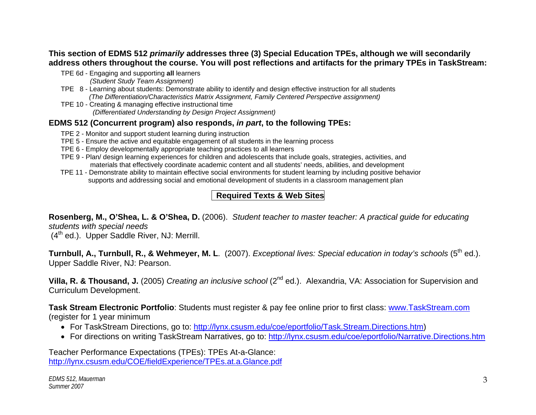### **This section of EDMS 512** *primarily* **addresses three (3) Special Education TPEs, although we will secondarily address others throughout the course. You will post reflections and artifacts for the primary TPEs in TaskStream:**

TPE 6d - Engaging and supporting **all** learners

 *(Student Study Team Assignment)* 

- TPE 8 Learning about students: Demonstrate ability to identify and design effective instruction for all students  *(The Differentiation/Characteristics Matrix Assignment, Family Centered Perspective assignment)*
- TPE 10 Creating & managing effective instructional time  *(Differentiated Understanding by Design Project Assignment)*

### **EDMS 512 (Concurrent program) also responds,** *in part***, to the following TPEs:**

- TPE 2 Monitor and support student learning during instruction
- TPE 5 Ensure the active and equitable engagement of all students in the learning process
- TPE 6 Employ developmentally appropriate teaching practices to all learners
- TPE 9 Plan/ design learning experiences for children and adolescents that include goals, strategies, activities, and materials that effectively coordinate academic content and all students' needs, abilities, and development
- TPE 11 Demonstrate ability to maintain effective social environments for student learning by including positive behavior supports and addressing social and emotional development of students in a classroom management plan

### **Required Texts & Web Sites**

**Rosenberg, M., O'Shea, L. & O'Shea, D.** (2006). *Student teacher to master teacher: A practical guide for educating students with special needs* 

(4<sup>th</sup> ed.). Upper Saddle River, NJ: Merrill.

**Turnbull, A., Turnbull, R., & Wehmeyer, M. L**. (2007). *Exceptional lives: Special education in today's schools* (5th ed.). Upper Saddle River, NJ: Pearson.

**Villa, R. & Thousand, J.** (2005) *Creating an inclusive school* (2nd ed.). Alexandria, VA: Association for Supervision and Curriculum Development.

**Task Stream Electronic Portfolio**: Students must register & pay fee online prior to first class: www.TaskStream.com (register for 1 year minimum

- For TaskStream Directions, go to: http://lynx.csusm.edu/coe/eportfolio/Task.Stream.Directions.htm)
- For directions on writing TaskStream Narratives, go to: http://lynx.csusm.edu/coe/eportfolio/Narrative.Directions.htm

Teacher Performance Expectations (TPEs): TPEs At-a-Glance: http://lynx.csusm.edu/COE/fieldExperience/TPEs.at.a.Glance.pdf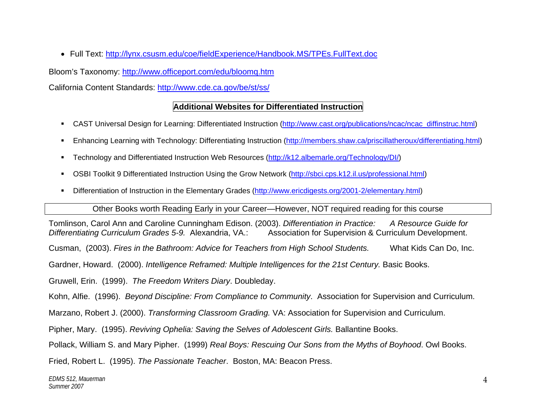• Full Text: http://lynx.csusm.edu/coe/fieldExperience/Handbook.MS/TPEs.FullText.doc

Bloom's Taxonomy: http://www.officeport.com/edu/bloomq.htm

California Content Standards: http://www.cde.ca.gov/be/st/ss/

### **Additional Websites for Differentiated Instruction**

- CAST Universal Design for Learning: Differentiated Instruction (http://www.cast.org/publications/ncac/ncac\_diffinstruc.html)
- Enhancing Learning with Technology: Differentiating Instruction (http://members.shaw.ca/priscillatheroux/differentiating.html)
- Technology and Differentiated Instruction Web Resources (http://k12.albemarle.org/Technology/DI/)
- OSBI Toolkit 9 Differentiated Instruction Using the Grow Network (http://sbci.cps.k12.il.us/professional.html)
- Differentiation of Instruction in the Elementary Grades (http://www.ericdigests.org/2001-2/elementary.html)

### Other Books worth Reading Early in your Career—However, NOT required reading for this course

Tomlinson, Carol Ann and Caroline Cunningham Edison. (2003). *Differentiation in Practice: A Resource Guide for Differentiating Curriculum Grades 5-9.* Alexandria, VA.: Association for Supervision & Curriculum Development. Cusman, (2003). *Fires in the Bathroom: Advice for Teachers from High School Students.* What Kids Can Do, Inc. Gardner, Howard. (2000). *Intelligence Reframed: Multiple Intelligences for the 21st Century.* Basic Books. Gruwell, Erin. (1999). *The Freedom Writers Diary*. Doubleday. Kohn, Alfie. (1996). *Beyond Discipline: From Compliance to Community*. Association for Supervision and Curriculum. Marzano, Robert J. (2000). *Transforming Classroom Grading.* VA: Association for Supervision and Curriculum. Pipher, Mary. (1995). *Reviving Ophelia: Saving the Selves of Adolescent Girls.* Ballantine Books. Pollack, William S. and Mary Pipher. (1999) *Real Boys: Rescuing Our Sons from the Myths of Boyhood*. Owl Books. Fried, Robert L. (1995). *The Passionate Teacher*. Boston, MA: Beacon Press.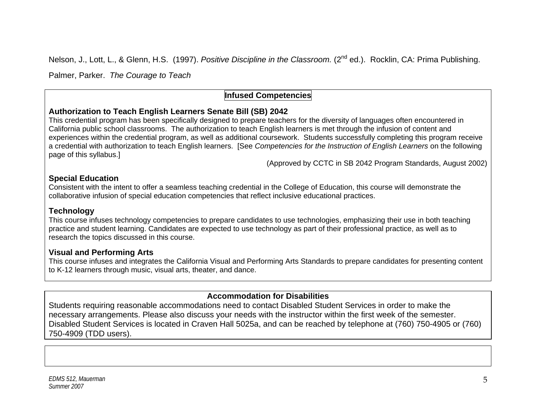Nelson, J., Lott, L., & Glenn, H.S. (1997). *Positive Discipline in the Classroom.* (2<sup>nd</sup> ed.). Rocklin, CA: Prima Publishing.

Palmer, Parker. *The Courage to Teach* 

### **Infused Competencies**

### **Authorization to Teach English Learners Senate Bill (SB) 2042**

This credential program has been specifically designed to prepare teachers for the diversity of languages often encountered in California public school classrooms. The authorization to teach English learners is met through the infusion of content and experiences within the credential program, as well as additional coursework. Students successfully completing this program receive a credential with authorization to teach English learners. [See *Competencies for the Instruction of English Learners* on the following page of this syllabus.]

(Approved by CCTC in SB 2042 Program Standards, August 2002)

### **Special Education**

Consistent with the intent to offer a seamless teaching credential in the College of Education, this course will demonstrate the collaborative infusion of special education competencies that reflect inclusive educational practices.

### **Technology**

This course infuses technology competencies to prepare candidates to use technologies, emphasizing their use in both teaching practice and student learning. Candidates are expected to use technology as part of their professional practice, as well as to research the topics discussed in this course.

### **Visual and Performing Arts**

This course infuses and integrates the California Visual and Performing Arts Standards to prepare candidates for presenting content to K-12 learners through music, visual arts, theater, and dance.

### **Accommodation for Disabilities**

Students requiring reasonable accommodations need to contact Disabled Student Services in order to make the necessary arrangements. Please also discuss your needs with the instructor within the first week of the semester. Disabled Student Services is located in Craven Hall 5025a, and can be reached by telephone at (760) 750-4905 or (760) 750-4909 (TDD users).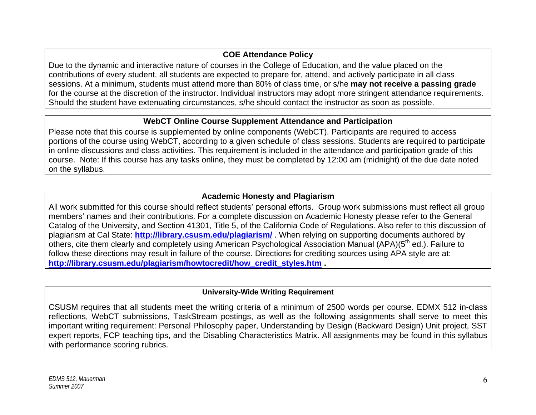### **COE Attendance Policy**

Due to the dynamic and interactive nature of courses in the College of Education, and the value placed on the contributions of every student, all students are expected to prepare for, attend, and actively participate in all class sessions. At a minimum, students must attend more than 80% of class time, or s/he **may not receive a passing grade** for the course at the discretion of the instructor. Individual instructors may adopt more stringent attendance requirements. Should the student have extenuating circumstances, s/he should contact the instructor as soon as possible.

### **WebCT Online Course Supplement Attendance and Participation**

Please note that this course is supplemented by online components (WebCT). Participants are required to access portions of the course using WebCT, according to a given schedule of class sessions. Students are required to participate in online discussions and class activities. This requirement is included in the attendance and participation grade of this course. Note: If this course has any tasks online, they must be completed by 12:00 am (midnight) of the due date noted on the syllabus.

### **Academic Honesty and Plagiarism**

All work submitted for this course should reflect students' personal efforts. Group work submissions must reflect all group members' names and their contributions. For a complete discussion on Academic Honesty please refer to the General Catalog of the University, and Section 41301, Title 5, of the California Code of Regulations. Also refer to this discussion of plagiarism at Cal State: **http://library.csusm.edu/plagiarism/** . When relying on supporting documents authored by others, cite them clearly and completely using American Psychological Association Manual (APA)(5<sup>th</sup> ed.). Failure to follow these directions may result in failure of the course. Directions for crediting sources using APA style are at: **http://library.csusm.edu/plagiarism/howtocredit/how\_credit\_styles.htm .**

### **University-Wide Writing Requirement**

CSUSM requires that all students meet the writing criteria of a minimum of 2500 words per course. EDMX 512 in-class reflections, WebCT submissions, TaskStream postings, as well as the following assignments shall serve to meet this important writing requirement: Personal Philosophy paper, Understanding by Design (Backward Design) Unit project, SST expert reports, FCP teaching tips, and the Disabling Characteristics Matrix. All assignments may be found in this syllabus with performance scoring rubrics.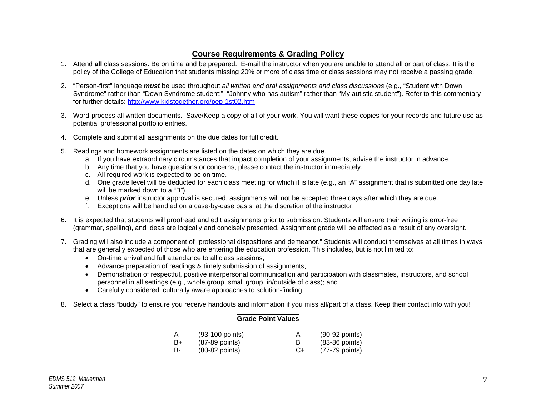### **Course Requirements & Grading Policy**

- 1. Attend **all** class sessions. Be on time and be prepared. E-mail the instructor when you are unable to attend all or part of class. It is the policy of the College of Education that students missing 20% or more of class time or class sessions may not receive a passing grade.
- 2. "Person-first" language *must* be used throughout *all written and oral assignments and class discussions* (e.g., "Student with Down Syndrome" rather than "Down Syndrome student;" "Johnny who has autism" rather than "My autistic student"). Refer to this commentary for further details: http://www.kidstogether.org/pep-1st02.htm
- 3. Word-process all written documents. Save/Keep a copy of all of your work. You will want these copies for your records and future use as potential professional portfolio entries.
- 4. Complete and submit all assignments on the due dates for full credit.
- 5. Readings and homework assignments are listed on the dates on which they are due.
	- a. If you have extraordinary circumstances that impact completion of your assignments, advise the instructor in advance.
	- b. Any time that you have questions or concerns, please contact the instructor immediately.
	- c. All required work is expected to be on time.
	- d. One grade level will be deducted for each class meeting for which it is late (e.g., an "A" assignment that is submitted one day late will be marked down to a "B").
	- e. Unless *prior* instructor approval is secured, assignments will not be accepted three days after which they are due.
	- f. Exceptions will be handled on a case-by-case basis, at the discretion of the instructor.
- 6. It is expected that students will proofread and edit assignments prior to submission. Students will ensure their writing is error-free (grammar, spelling), and ideas are logically and concisely presented. Assignment grade will be affected as a result of any oversight.
- 7. Grading will also include a component of "professional dispositions and demeanor." Students will conduct themselves at all times in ways that are generally expected of those who are entering the education profession. This includes, but is not limited to:
	- On-time arrival and full attendance to all class sessions;
	- Advance preparation of readings & timely submission of assignments;
	- Demonstration of respectful, positive interpersonal communication and participation with classmates, instructors, and school personnel in all settings (e.g., whole group, small group, in/outside of class); and
	- Carefully considered, culturally aware approaches to solution-finding
- 8. Select a class "buddy" to ensure you receive handouts and information if you miss all/part of a class. Keep their contact info with you!

#### **Grade Point Values**

| Α  | $(93-100$ points)        | $A -$ | (90-92 points)   |
|----|--------------------------|-------|------------------|
| B+ | $(87-89$ points)         | в     | $(83-86$ points) |
| В- | $(80-82 \text{ points})$ | $C+$  | $(77-79$ points) |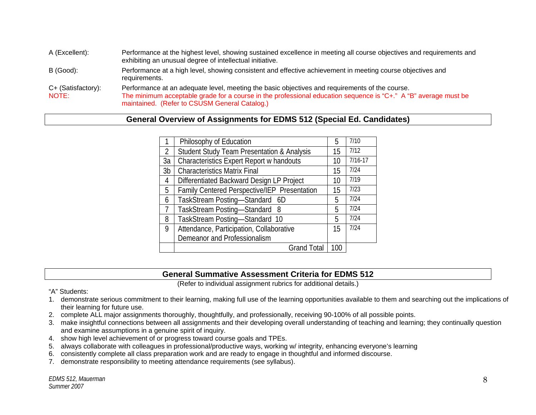| A (Excellent):              | Performance at the highest level, showing sustained excellence in meeting all course objectives and requirements and<br>exhibiting an unusual degree of intellectual initiative.                                                                                   |
|-----------------------------|--------------------------------------------------------------------------------------------------------------------------------------------------------------------------------------------------------------------------------------------------------------------|
| B (Good):                   | Performance at a high level, showing consistent and effective achievement in meeting course objectives and<br>requirements.                                                                                                                                        |
| C+ (Satisfactory):<br>NOTE: | Performance at an adequate level, meeting the basic objectives and requirements of the course.<br>The minimum acceptable grade for a course in the professional education sequence is "C+." A "B" average must be<br>maintained. (Refer to CSUSM General Catalog.) |

#### **General Overview of Assignments for EDMS 512 (Special Ed. Candidates)**

| 1              | Philosophy of Education                               | 5   | 7/10        |
|----------------|-------------------------------------------------------|-----|-------------|
| $\overline{2}$ | <b>Student Study Team Presentation &amp; Analysis</b> | 15  | 7/12        |
| 3a             | <b>Characteristics Expert Report w handouts</b>       | 10  | $7/16 - 17$ |
| 3 <sub>b</sub> | <b>Characteristics Matrix Final</b>                   | 15  | 7/24        |
| 4              | Differentiated Backward Design LP Project             | 10  | 7/19        |
| 5              | Family Centered Perspective/IEP Presentation          | 15  | 7/23        |
| 6              | TaskStream Posting-Standard 6D                        | 5   | 7/24        |
| $\overline{7}$ | TaskStream Posting-Standard<br>- 8                    | 5   | 7/24        |
| 8              | TaskStream Posting-Standard 10                        | 5   | 7/24        |
| 9              | Attendance, Participation, Collaborative              | 15  | 7/24        |
|                | Demeanor and Professionalism                          |     |             |
|                | <b>Grand Total</b>                                    | 100 |             |

#### **General Summative Assessment Criteria for EDMS 512**

(Refer to individual assignment rubrics for additional details.)

"A" Students:

- 1. demonstrate serious commitment to their learning, making full use of the learning opportunities available to them and searching out the implications of their learning for future use.
- 2. complete ALL major assignments thoroughly, thoughtfully, and professionally, receiving 90-100% of all possible points.
- 3. make insightful connections between all assignments and their developing overall understanding of teaching and learning; they continually question and examine assumptions in a genuine spirit of inquiry.
- 4. show high level achievement of or progress toward course goals and TPEs.
- 5. always collaborate with colleagues in professional/productive ways, working w/ integrity, enhancing everyone's learning
- 6. consistently complete all class preparation work and are ready to engage in thoughtful and informed discourse.
- 7. demonstrate responsibility to meeting attendance requirements (see syllabus).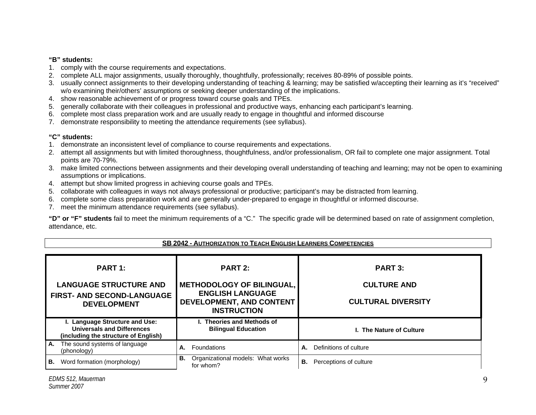#### **"B" students:**

- 1. comply with the course requirements and expectations.
- 2. complete ALL major assignments, usually thoroughly, thoughtfully, professionally; receives 80-89% of possible points.
- 3. usually connect assignments to their developing understanding of teaching & learning; may be satisfied w/accepting their learning as it's "received" w/o examining their/others' assumptions or seeking deeper understanding of the implications.
- 4. show reasonable achievement of or progress toward course goals and TPEs.
- 5. generally collaborate with their colleagues in professional and productive ways, enhancing each participant's learning.
- 6. complete most class preparation work and are usually ready to engage in thoughtful and informed discourse
- 7. demonstrate responsibility to meeting the attendance requirements (see syllabus).

#### **"C" students:**

- 1. demonstrate an inconsistent level of compliance to course requirements and expectations.
- 2. attempt all assignments but with limited thoroughness, thoughtfulness, and/or professionalism, OR fail to complete one major assignment. Total points are 70-79%.
- 3. make limited connections between assignments and their developing overall understanding of teaching and learning; may not be open to examining assumptions or implications.
- 4. attempt but show limited progress in achieving course goals and TPEs.
- 5. collaborate with colleagues in ways not always professional or productive; participant's may be distracted from learning.
- 6. complete some class preparation work and are generally under-prepared to engage in thoughtful or informed discourse.
- 7. meet the minimum attendance requirements (see syllabus).

**"D" or "F" students** fail to meet the minimum requirements of a "C." The specific grade will be determined based on rate of assignment completion, attendance, etc.

#### **PART 1: LANGUAGE STRUCTURE AND FIRST- AND SECOND-LANGUAGE DEVELOPMENT PART 2: METHODOLOGY OF BILINGUAL, ENGLISH LANGUAGE DEVELOPMENT, AND CONTENT INSTRUCTION PART 3: CULTURE AND CULTURAL DIVERSITYI. Language Structure and Use: Universals and Differences (including the structure of English) I. Theories and Methods of Bilingual Education I. The Nature of Culture A.** The sound systems of language (phonology) **A.** Foundations **A. A. A.** Definitions of culture **B.** Word formation (morphology) **B.** Organizational models: What works **B.** Perceptions of culture

#### **SB 2042 - AUTHORIZATION TO TEACH ENGLISH LEARNERS COMPETENCIES**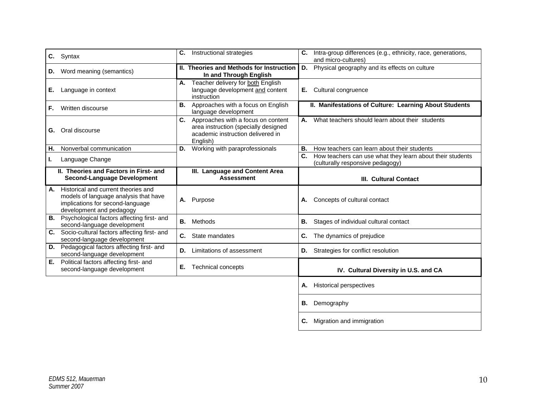| C.<br>Syntax                                                                                                                                       | Instructional strategies<br>С.                                                                                                    | Intra-group differences (e.g., ethnicity, race, generations,<br>C.<br>and micro-cultures)           |
|----------------------------------------------------------------------------------------------------------------------------------------------------|-----------------------------------------------------------------------------------------------------------------------------------|-----------------------------------------------------------------------------------------------------|
| Word meaning (semantics)<br>D.                                                                                                                     | II. Theories and Methods for Instruction<br>In and Through English                                                                | Physical geography and its effects on culture<br>D.                                                 |
| Language in context<br>Е.                                                                                                                          | Teacher delivery for both English<br>А.<br>language development and content<br>instruction                                        | Cultural congruence<br>Е.                                                                           |
| Written discourse<br>F.                                                                                                                            | Approaches with a focus on English<br>В.<br>language development                                                                  | II. Manifestations of Culture: Learning About Students                                              |
| Oral discourse<br>G.                                                                                                                               | Approaches with a focus on content<br>С.<br>area instruction (specially designed<br>academic instruction delivered in<br>English) | What teachers should learn about their students<br>А.                                               |
| Nonverbal communication<br>н.                                                                                                                      | Working with paraprofessionals<br>D.                                                                                              | How teachers can learn about their students<br>В.                                                   |
| Language Change<br>L.                                                                                                                              |                                                                                                                                   | How teachers can use what they learn about their students<br>C.<br>(culturally responsive pedagogy) |
| II. Theories and Factors in First- and<br><b>Second-Language Development</b>                                                                       | III. Language and Content Area<br><b>Assessment</b>                                                                               | <b>III. Cultural Contact</b>                                                                        |
|                                                                                                                                                    |                                                                                                                                   |                                                                                                     |
| Historical and current theories and<br>А.<br>models of language analysis that have<br>implications for second-language<br>development and pedagogy | Purpose<br>А.                                                                                                                     | Concepts of cultural contact<br>А.                                                                  |
| Psychological factors affecting first- and<br>В.<br>second-language development                                                                    | В.<br>Methods                                                                                                                     | В.<br>Stages of individual cultural contact                                                         |
| Socio-cultural factors affecting first- and<br>C.<br>second-language development                                                                   | C.<br>State mandates                                                                                                              | C.<br>The dynamics of prejudice                                                                     |
| Pedagogical factors affecting first- and<br>D.<br>second-language development                                                                      | Limitations of assessment<br>D.                                                                                                   | Strategies for conflict resolution<br>D.                                                            |
| Political factors affecting first- and<br>Е.<br>second-language development                                                                        | Е.<br><b>Technical concepts</b>                                                                                                   | IV. Cultural Diversity in U.S. and CA                                                               |
|                                                                                                                                                    |                                                                                                                                   | Historical perspectives<br>А.                                                                       |

**C.** Migration and immigration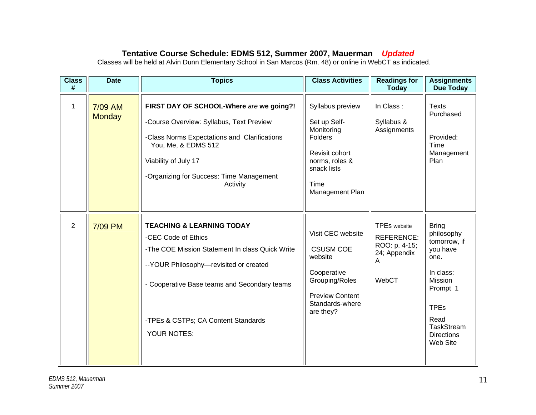### **Tentative Course Schedule: EDMS 512, Summer 2007, Mauerman** *Updated*

Classes will be held at Alvin Dunn Elementary School in San Marcos (Rm. 48) or online in WebCT as indicated.

| <b>Class</b><br># | <b>Date</b>              | <b>Topics</b>                                                                                                                                                                                                                                                   | <b>Class Activities</b>                                                                                                                        | <b>Readings for</b><br><b>Today</b>                                                     | <b>Assignments</b><br><b>Due Today</b>                                                                                                                                          |
|-------------------|--------------------------|-----------------------------------------------------------------------------------------------------------------------------------------------------------------------------------------------------------------------------------------------------------------|------------------------------------------------------------------------------------------------------------------------------------------------|-----------------------------------------------------------------------------------------|---------------------------------------------------------------------------------------------------------------------------------------------------------------------------------|
| 1                 | 7/09 AM<br><b>Monday</b> | FIRST DAY OF SCHOOL-Where are we going?!<br>-Course Overview: Syllabus, Text Preview<br>-Class Norms Expectations and Clarifications<br>You, Me, & EDMS 512<br>Viability of July 17<br>-Organizing for Success: Time Management<br>Activity                     | Syllabus preview<br>Set up Self-<br>Monitoring<br><b>Folders</b><br>Revisit cohort<br>norms, roles &<br>snack lists<br>Time<br>Management Plan | In Class:<br>Syllabus &<br>Assignments                                                  | <b>Texts</b><br>Purchased<br>Provided:<br>Time<br>Management<br>Plan                                                                                                            |
| 2                 | 7/09 PM                  | <b>TEACHING &amp; LEARNING TODAY</b><br>-CEC Code of Ethics<br>-The COE Mission Statement In class Quick Write<br>-- YOUR Philosophy-revisited or created<br>- Cooperative Base teams and Secondary teams<br>-TPEs & CSTPs; CA Content Standards<br>YOUR NOTES: | Visit CEC website<br><b>CSUSM COE</b><br>website<br>Cooperative<br>Grouping/Roles<br><b>Preview Content</b><br>Standards-where<br>are they?    | <b>TPEs</b> website<br><b>REFERENCE:</b><br>ROO: p. 4-15;<br>24; Appendix<br>A<br>WebCT | <b>Bring</b><br>philosophy<br>tomorrow, if<br>you have<br>one.<br>In class:<br>Mission<br>Prompt 1<br><b>TPEs</b><br>Read<br><b>TaskStream</b><br><b>Directions</b><br>Web Site |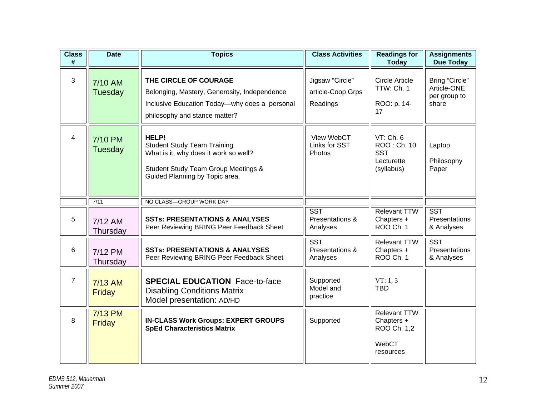| <b>Class</b><br># | <b>Date</b>                | <b>Topics</b>                                                                                                                                                            | <b>Class Activities</b>                          | <b>Readings for</b><br><b>Today</b>                                    | <b>Assignments</b><br><b>Due Today</b>                 |
|-------------------|----------------------------|--------------------------------------------------------------------------------------------------------------------------------------------------------------------------|--------------------------------------------------|------------------------------------------------------------------------|--------------------------------------------------------|
| 3                 | 7/10 AM<br>Tuesday         | THE CIRCLE OF COURAGE<br>Belonging, Mastery, Generosity, Independence<br>Inclusive Education Today—why does a personal<br>philosophy and stance matter?                  | Jigsaw "Circle"<br>article-Coop Grps<br>Readings | <b>Circle Article</b><br>TTW: Ch. 1<br>ROO: p. 14-<br>17               | Bring "Circle"<br>Article-ONE<br>per group to<br>share |
| $\overline{4}$    | 7/10 PM<br>Tuesday         | HELP!<br><b>Student Study Team Training</b><br>What is it, why does it work so well?<br><b>Student Study Team Group Meetings &amp;</b><br>Guided Planning by Topic area. | View WebCT<br>Links for SST<br>Photos            | VT: Ch. 6<br>ROO: Ch. 10<br><b>SST</b><br>Lecturette<br>(syllabus)     | Laptop<br>Philosophy<br>Paper                          |
|                   | 7/11                       | NO CLASS-GROUP WORK DAY                                                                                                                                                  |                                                  |                                                                        |                                                        |
| 5                 | $7/12$ AM<br>Thursday      | <b>SSTs: PRESENTATIONS &amp; ANALYSES</b><br>Peer Reviewing BRING Peer Feedback Sheet                                                                                    | <b>SST</b><br>Presentations &<br>Analyses        | <b>Relevant TTW</b><br>Chapters +<br>ROO Ch. 1                         | <b>SST</b><br>Presentations<br>& Analyses              |
| 6                 | 7/12 PM<br>Thursday        | <b>SSTs: PRESENTATIONS &amp; ANALYSES</b><br>Peer Reviewing BRING Peer Feedback Sheet                                                                                    | <b>SST</b><br>Presentations &<br>Analyses        | <b>Relevant TTW</b><br>Chapters +<br>ROO Ch. 1                         | <b>SST</b><br>Presentations<br>& Analyses              |
| $\overline{7}$    | $7/13$ AM<br><b>Friday</b> | <b>SPECIAL EDUCATION Face-to-face</b><br><b>Disabling Conditions Matrix</b><br>Model presentation: AD/HD                                                                 | Supported<br>Model and<br>practice               | VT: 1, 3<br><b>TBD</b>                                                 |                                                        |
| 8                 | 7/13 PM<br>Friday          | <b>IN-CLASS Work Groups: EXPERT GROUPS</b><br><b>SpEd Characteristics Matrix</b>                                                                                         | Supported                                        | <b>Relevant TTW</b><br>Chapters +<br>ROO Ch. 1,2<br>WebCT<br>resources |                                                        |
|                   |                            |                                                                                                                                                                          |                                                  |                                                                        |                                                        |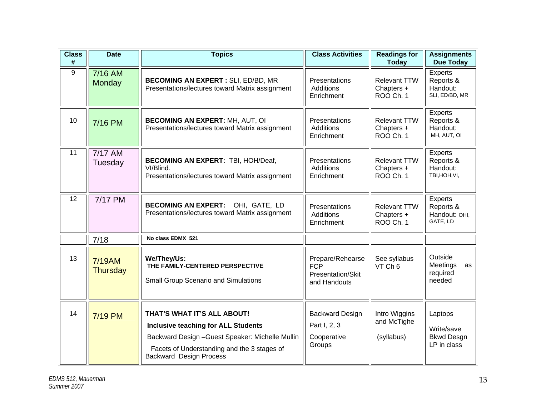| <b>Class</b><br># | <b>Date</b>               | <b>Topics</b>                                                                                                                                                                                                  | <b>Class Activities</b>                                             | <b>Readings for</b><br><b>Today</b>            | <b>Assignments</b><br>Due Today                           |
|-------------------|---------------------------|----------------------------------------------------------------------------------------------------------------------------------------------------------------------------------------------------------------|---------------------------------------------------------------------|------------------------------------------------|-----------------------------------------------------------|
| 9                 | 7/16 AM<br>Monday         | <b>BECOMING AN EXPERT : SLI, ED/BD, MR</b><br>Presentations/lectures toward Matrix assignment                                                                                                                  | Presentations<br><b>Additions</b><br>Enrichment                     | <b>Relevant TTW</b><br>Chapters +<br>ROO Ch. 1 | Experts<br>Reports &<br>Handout:<br>SLI, ED/BD, MR        |
| 10                | 7/16 PM                   | <b>BECOMING AN EXPERT: MH, AUT, OI</b><br>Presentations/lectures toward Matrix assignment                                                                                                                      | Presentations<br><b>Additions</b><br>Enrichment                     | <b>Relevant TTW</b><br>Chapters +<br>ROO Ch. 1 | Experts<br>Reports &<br>Handout:<br>MH, AUT, OI           |
| 11                | 7/17 AM<br>Tuesday        | <b>BECOMING AN EXPERT: TBI, HOH/Deaf,</b><br>VI/Blind.<br>Presentations/lectures toward Matrix assignment                                                                                                      | Presentations<br><b>Additions</b><br>Enrichment                     | <b>Relevant TTW</b><br>Chapters +<br>ROO Ch. 1 | <b>Experts</b><br>Reports &<br>Handout:<br>TBI, HOH, VI,  |
| $\overline{12}$   | 7/17 PM                   | <b>BECOMING AN EXPERT:</b><br>OHI, GATE, LD<br>Presentations/lectures toward Matrix assignment                                                                                                                 | Presentations<br><b>Additions</b><br>Enrichment                     | <b>Relevant TTW</b><br>Chapters +<br>ROO Ch. 1 | Experts<br>Reports &<br>Handout: OHI,<br>GATE, LD         |
|                   | 7/18                      | No class EDMX 521                                                                                                                                                                                              |                                                                     |                                                |                                                           |
| 13                | 7/19AM<br><b>Thursday</b> | We/They/Us:<br>THE FAMILY-CENTERED PERSPECTIVE<br><b>Small Group Scenario and Simulations</b>                                                                                                                  | Prepare/Rehearse<br><b>FCP</b><br>Presentation/Skit<br>and Handouts | See syllabus<br>VT Ch <sub>6</sub>             | Outside<br>Meetings<br>as<br>required<br>needed           |
| 14                | 7/19 PM                   | THAT'S WHAT IT'S ALL ABOUT!<br><b>Inclusive teaching for ALL Students</b><br>Backward Design - Guest Speaker: Michelle Mullin<br>Facets of Understanding and the 3 stages of<br><b>Backward Design Process</b> | <b>Backward Design</b><br>Part I, 2, 3<br>Cooperative<br>Groups     | Intro Wiggins<br>and McTighe<br>(syllabus)     | Laptops<br>Write/save<br><b>Bkwd Desgn</b><br>LP in class |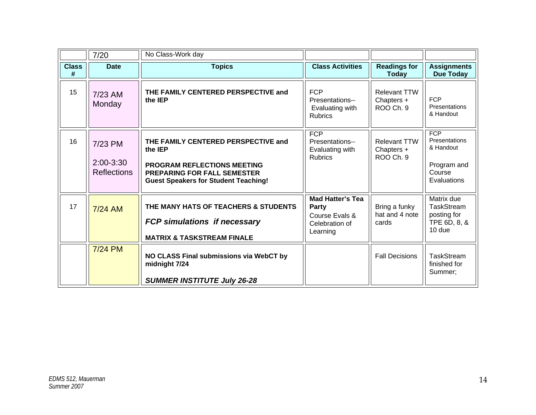|                   | 7/20                                       | No Class-Work day                                                                                                                                                         |                                                                                         |                                                |                                                                                  |
|-------------------|--------------------------------------------|---------------------------------------------------------------------------------------------------------------------------------------------------------------------------|-----------------------------------------------------------------------------------------|------------------------------------------------|----------------------------------------------------------------------------------|
| <b>Class</b><br># | <b>Date</b>                                | <b>Topics</b>                                                                                                                                                             | <b>Class Activities</b>                                                                 | <b>Readings for</b><br>Today                   | <b>Assignments</b><br><b>Due Today</b>                                           |
| 15                | $7/23$ AM<br>Monday                        | THE FAMILY CENTERED PERSPECTIVE and<br>the IEP                                                                                                                            | <b>FCP</b><br>Presentations--<br>Evaluating with<br><b>Rubrics</b>                      | <b>Relevant TTW</b><br>Chapters +<br>ROO Ch. 9 | <b>FCP</b><br><b>Presentations</b><br>& Handout                                  |
| 16                | 7/23 PM<br>2:00-3:30<br><b>Reflections</b> | THE FAMILY CENTERED PERSPECTIVE and<br>the IEP<br><b>PROGRAM REFLECTIONS MEETING</b><br><b>PREPARING FOR FALL SEMESTER</b><br><b>Guest Speakers for Student Teaching!</b> | <b>FCP</b><br>Presentations--<br>Evaluating with<br><b>Rubrics</b>                      | <b>Relevant TTW</b><br>Chapters +<br>ROO Ch. 9 | <b>FCP</b><br>Presentations<br>& Handout<br>Program and<br>Course<br>Evaluations |
| 17                | $7/24$ AM                                  | THE MANY HATS OF TEACHERS & STUDENTS<br><b>FCP simulations if necessary</b><br><b>MATRIX &amp; TASKSTREAM FINALE</b>                                                      | <b>Mad Hatter's Tea</b><br><b>Party</b><br>Course Evals &<br>Celebration of<br>Learning | Bring a funky<br>hat and 4 note<br>cards       | Matrix due<br><b>TaskStream</b><br>posting for<br>TPE 6D, 8, &<br>$10$ due       |
|                   | 7/24 PM                                    | NO CLASS Final submissions via WebCT by<br>midnight 7/24<br><b>SUMMER INSTITUTE July 26-28</b>                                                                            |                                                                                         | <b>Fall Decisions</b>                          | <b>TaskStream</b><br>finished for<br>Summer;                                     |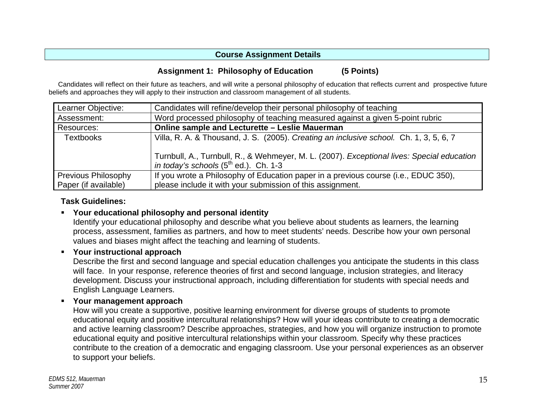### **Course Assignment Details**

### **Assignment 1: Philosophy of Education (5 Points)**

Candidates will reflect on their future as teachers, and will write a personal philosophy of education that reflects current and prospective future beliefs and approaches they will apply to their instruction and classroom management of all students.

| Learner Objective:         | Candidates will refine/develop their personal philosophy of teaching                                                                  |
|----------------------------|---------------------------------------------------------------------------------------------------------------------------------------|
| Assessment:                | Word processed philosophy of teaching measured against a given 5-point rubric                                                         |
| Resources:                 | Online sample and Lecturette - Leslie Mauerman                                                                                        |
| <b>Textbooks</b>           | Villa, R. A. & Thousand, J. S. (2005). Creating an inclusive school. Ch. 1, 3, 5, 6, 7                                                |
|                            | Turnbull, A., Turnbull, R., & Wehmeyer, M. L. (2007). Exceptional lives: Special education<br>in today's schools $(5th$ ed.). Ch. 1-3 |
| <b>Previous Philosophy</b> | If you wrote a Philosophy of Education paper in a previous course (i.e., EDUC 350),                                                   |
| Paper (if available)       | please include it with your submission of this assignment.                                                                            |

### **Task Guidelines:**

#### $\blacksquare$ **Your educational philosophy and personal identity**

Identify your educational philosophy and describe what you believe about students as learners, the learning process, assessment, families as partners, and how to meet students' needs. Describe how your own personal values and biases might affect the teaching and learning of students.

### **Your instructional approach**

Describe the first and second language and special education challenges you anticipate the students in this class will face. In your response, reference theories of first and second language, inclusion strategies, and literacy development. Discuss your instructional approach, including differentiation for students with special needs and English Language Learners.

### **Your management approach**

How will you create a supportive, positive learning environment for diverse groups of students to promote educational equity and positive intercultural relationships? How will your ideas contribute to creating a democratic and active learning classroom? Describe approaches, strategies, and how you will organize instruction to promote educational equity and positive intercultural relationships within your classroom. Specify why these practices contribute to the creation of a democratic and engaging classroom. Use your personal experiences as an observer to support your beliefs.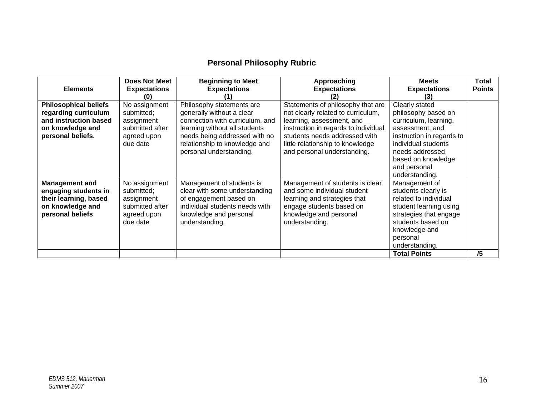# **Personal Philosophy Rubric**

|                                                                                                                        | <b>Does Not Meet</b>                                                                    | <b>Beginning to Meet</b>                                                                                                                                                                                                | Approaching                                                                                                                                                                                                                                      | <b>Meets</b>                                                                                                                                                                                                     | Total         |
|------------------------------------------------------------------------------------------------------------------------|-----------------------------------------------------------------------------------------|-------------------------------------------------------------------------------------------------------------------------------------------------------------------------------------------------------------------------|--------------------------------------------------------------------------------------------------------------------------------------------------------------------------------------------------------------------------------------------------|------------------------------------------------------------------------------------------------------------------------------------------------------------------------------------------------------------------|---------------|
| <b>Elements</b>                                                                                                        | <b>Expectations</b>                                                                     | <b>Expectations</b>                                                                                                                                                                                                     | <b>Expectations</b>                                                                                                                                                                                                                              | <b>Expectations</b>                                                                                                                                                                                              | <b>Points</b> |
|                                                                                                                        | (0)                                                                                     |                                                                                                                                                                                                                         |                                                                                                                                                                                                                                                  | (3)                                                                                                                                                                                                              |               |
| <b>Philosophical beliefs</b><br>regarding curriculum<br>and instruction based<br>on knowledge and<br>personal beliefs. | No assignment<br>submitted;<br>assignment<br>submitted after<br>agreed upon<br>due date | Philosophy statements are<br>generally without a clear<br>connection with curriculum, and<br>learning without all students<br>needs being addressed with no<br>relationship to knowledge and<br>personal understanding. | Statements of philosophy that are<br>not clearly related to curriculum,<br>learning, assessment, and<br>instruction in regards to individual<br>students needs addressed with<br>little relationship to knowledge<br>and personal understanding. | Clearly stated<br>philosophy based on<br>curriculum, learning,<br>assessment, and<br>instruction in regards to<br>individual students<br>needs addressed<br>based on knowledge<br>and personal<br>understanding. |               |
| <b>Management and</b><br>engaging students in<br>their learning, based<br>on knowledge and<br>personal beliefs         | No assignment<br>submitted;<br>assignment<br>submitted after<br>agreed upon<br>due date | Management of students is<br>clear with some understanding<br>of engagement based on<br>individual students needs with<br>knowledge and personal<br>understanding.                                                      | Management of students is clear<br>and some individual student<br>learning and strategies that<br>engage students based on<br>knowledge and personal<br>understanding.                                                                           | Management of<br>students clearly is<br>related to individual<br>student learning using<br>strategies that engage<br>students based on<br>knowledge and<br>personal<br>understanding.                            |               |
|                                                                                                                        |                                                                                         |                                                                                                                                                                                                                         |                                                                                                                                                                                                                                                  | <b>Total Points</b>                                                                                                                                                                                              | /5            |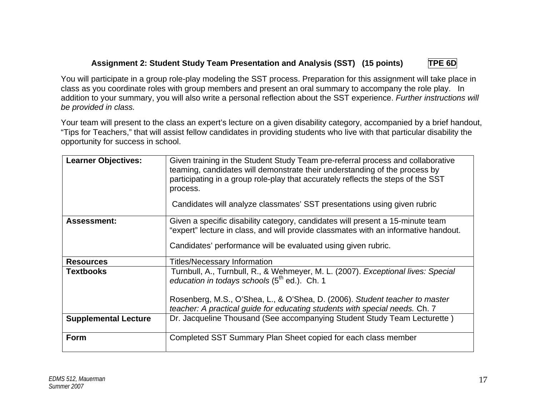### Assignment 2: Student Study Team Presentation and Analysis (SST) (15 points) **TPE 6D**

You will participate in a group role-play modeling the SST process. Preparation for this assignment will take place in class as you coordinate roles with group members and present an oral summary to accompany the role play. In addition to your summary, you will also write a personal reflection about the SST experience. *Further instructions will be provided in class.* 

Your team will present to the class an expert's lecture on a given disability category, accompanied by a brief handout, "Tips for Teachers," that will assist fellow candidates in providing students who live with that particular disability the opportunity for success in school.

| <b>Learner Objectives:</b>  | Given training in the Student Study Team pre-referral process and collaborative<br>teaming, candidates will demonstrate their understanding of the process by<br>participating in a group role-play that accurately reflects the steps of the SST<br>process.<br>Candidates will analyze classmates' SST presentations using given rubric |
|-----------------------------|-------------------------------------------------------------------------------------------------------------------------------------------------------------------------------------------------------------------------------------------------------------------------------------------------------------------------------------------|
| <b>Assessment:</b>          | Given a specific disability category, candidates will present a 15-minute team<br>"expert" lecture in class, and will provide classmates with an informative handout.<br>Candidates' performance will be evaluated using given rubric.                                                                                                    |
| <b>Resources</b>            | <b>Titles/Necessary Information</b>                                                                                                                                                                                                                                                                                                       |
| <b>Textbooks</b>            | Turnbull, A., Turnbull, R., & Wehmeyer, M. L. (2007). Exceptional lives: Special<br>education in todays schools (5 <sup>th</sup> ed.). Ch. 1<br>Rosenberg, M.S., O'Shea, L., & O'Shea, D. (2006). Student teacher to master<br>teacher: A practical guide for educating students with special needs. Ch. 7                                |
| <b>Supplemental Lecture</b> | Dr. Jacqueline Thousand (See accompanying Student Study Team Lecturette)                                                                                                                                                                                                                                                                  |
|                             |                                                                                                                                                                                                                                                                                                                                           |
| <b>Form</b>                 | Completed SST Summary Plan Sheet copied for each class member                                                                                                                                                                                                                                                                             |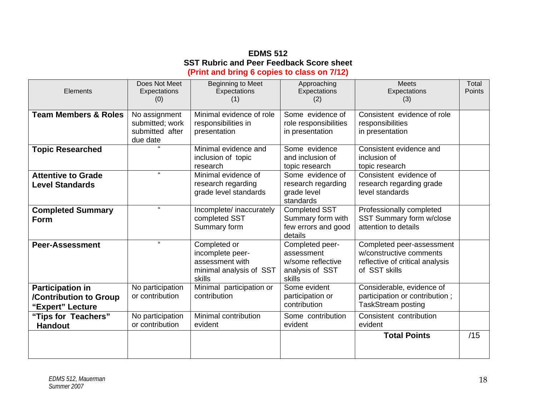## **EDMS 512 SST Rubric and Peer Feedback Score sheet**

### **(Print and bring 6 copies to class on 7/12)**

|                                 | Does Not Meet       | Beginning to Meet                           | Approaching                       | <b>Meets</b>                                | Total<br>Points |
|---------------------------------|---------------------|---------------------------------------------|-----------------------------------|---------------------------------------------|-----------------|
| Elements                        | Expectations<br>(0) | Expectations<br>(1)                         | Expectations<br>(2)               | Expectations<br>(3)                         |                 |
| <b>Team Members &amp; Roles</b> | No assignment       | Minimal evidence of role                    | Some evidence of                  | Consistent evidence of role                 |                 |
|                                 | submitted; work     | responsibilities in                         | role responsibilities             | responsibilities                            |                 |
|                                 | submitted after     | presentation                                | in presentation                   | in presentation                             |                 |
|                                 | due date            |                                             |                                   |                                             |                 |
| <b>Topic Researched</b>         |                     | Minimal evidence and                        | Some evidence                     | Consistent evidence and                     |                 |
|                                 |                     | inclusion of topic                          | and inclusion of                  | inclusion of                                |                 |
|                                 | $\mathbf{G}$        | research                                    | topic research                    | topic research                              |                 |
| <b>Attentive to Grade</b>       |                     | Minimal evidence of                         | Some evidence of                  | Consistent evidence of                      |                 |
| <b>Level Standards</b>          |                     | research regarding<br>grade level standards | research regarding<br>grade level | research regarding grade<br>level standards |                 |
|                                 |                     |                                             | standards                         |                                             |                 |
| <b>Completed Summary</b>        | $\mathbf{G}$        | Incomplete/ inaccurately                    | <b>Completed SST</b>              | Professionally completed                    |                 |
| Form                            |                     | completed SST                               | Summary form with                 | SST Summary form w/close                    |                 |
|                                 |                     | Summary form                                | few errors and good               | attention to details                        |                 |
|                                 |                     |                                             | details                           |                                             |                 |
| <b>Peer-Assessment</b>          | $\epsilon$          | Completed or                                | Completed peer-                   | Completed peer-assessment                   |                 |
|                                 |                     | incomplete peer-                            | assessment                        | w/constructive comments                     |                 |
|                                 |                     | assessment with                             | w/some reflective                 | reflective of critical analysis             |                 |
|                                 |                     | minimal analysis of SST                     | analysis of SST                   | of SST skills                               |                 |
|                                 |                     | skills                                      | skills                            |                                             |                 |
| <b>Participation in</b>         | No participation    | Minimal participation or                    | Some evident                      | Considerable, evidence of                   |                 |
| /Contribution to Group          | or contribution     | contribution                                | participation or                  | participation or contribution;              |                 |
| "Expert" Lecture                |                     |                                             | contribution                      | <b>TaskStream posting</b>                   |                 |
| "Tips for Teachers"             | No participation    | Minimal contribution                        | Some contribution                 | Consistent contribution                     |                 |
| <b>Handout</b>                  | or contribution     | evident                                     | evident                           | evident                                     |                 |
|                                 |                     |                                             |                                   | <b>Total Points</b>                         | /15             |
|                                 |                     |                                             |                                   |                                             |                 |
|                                 |                     |                                             |                                   |                                             |                 |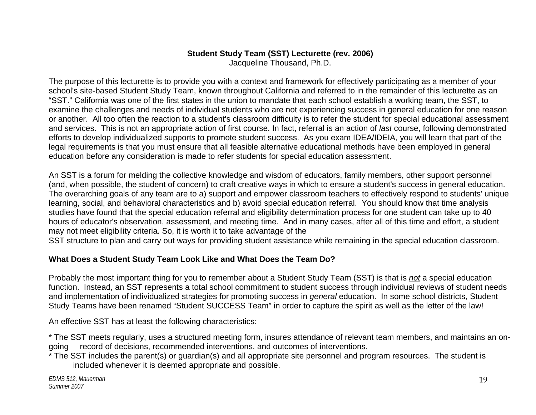#### **Student Study Team (SST) Lecturette (rev. 2006)**  Jacqueline Thousand, Ph.D.

The purpose of this lecturette is to provide you with a context and framework for effectively participating as a member of your school's site-based Student Study Team, known throughout California and referred to in the remainder of this lecturette as an "SST." California was one of the first states in the union to mandate that each school establish a working team, the SST, to examine the challenges and needs of individual students who are not experiencing success in general education for one reason or another. All too often the reaction to a student's classroom difficulty is to refer the student for special educational assessment and services. This is not an appropriate action of first course. In fact, referral is an action of *last* course, following demonstrated efforts to develop individualized supports to promote student success. As you exam IDEA/IDEIA, you will learn that part of the legal requirements is that you must ensure that all feasible alternative educational methods have been employed in general education before any consideration is made to refer students for special education assessment.

An SST is a forum for melding the collective knowledge and wisdom of educators, family members, other support personnel (and, when possible, the student of concern) to craft creative ways in which to ensure a student's success in general education. The overarching goals of any team are to a) support and empower classroom teachers to effectively respond to students' unique learning, social, and behavioral characteristics and b) avoid special education referral. You should know that time analysis studies have found that the special education referral and eligibility determination process for one student can take up to 40 hours of educator's observation, assessment, and meeting time. And in many cases, after all of this time and effort, a student may not meet eligibility criteria. So, it is worth it to take advantage of the

SST structure to plan and carry out ways for providing student assistance while remaining in the special education classroom.

### **What Does a Student Study Team Look Like and What Does the Team Do?**

Probably the most important thing for you to remember about a Student Study Team (SST) is that is *not* a special education function. Instead, an SST represents a total school commitment to student success through individual reviews of student needs and implementation of individualized strategies for promoting success in *general* education. In some school districts, Student Study Teams have been renamed "Student SUCCESS Team" in order to capture the spirit as well as the letter of the law!

An effective SST has at least the following characteristics:

\* The SST meets regularly, uses a structured meeting form, insures attendance of relevant team members, and maintains an ongoing record of decisions, recommended interventions, and outcomes of interventions.

\* The SST includes the parent(s) or guardian(s) and all appropriate site personnel and program resources. The student is included whenever it is deemed appropriate and possible.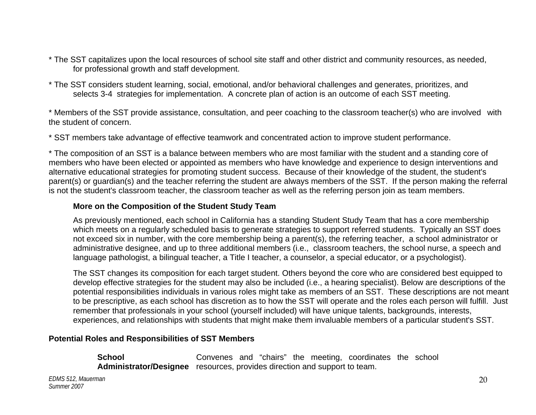- \* The SST capitalizes upon the local resources of school site staff and other district and community resources, as needed, for professional growth and staff development.
- \* The SST considers student learning, social, emotional, and/or behavioral challenges and generates, prioritizes, and selects 3-4 strategies for implementation. A concrete plan of action is an outcome of each SST meeting.

\* Members of the SST provide assistance, consultation, and peer coaching to the classroom teacher(s) who are involved with the student of concern.

\* SST members take advantage of effective teamwork and concentrated action to improve student performance.

\* The composition of an SST is a balance between members who are most familiar with the student and a standing core of members who have been elected or appointed as members who have knowledge and experience to design interventions and alternative educational strategies for promoting student success. Because of their knowledge of the student, the student's parent(s) or guardian(s) and the teacher referring the student are always members of the SST. If the person making the referral is not the student's classroom teacher, the classroom teacher as well as the referring person join as team members.

#### **More on the Composition of the Student Study Team**

As previously mentioned, each school in California has a standing Student Study Team that has a core membership which meets on a regularly scheduled basis to generate strategies to support referred students. Typically an SST does not exceed six in number, with the core membership being a parent(s), the referring teacher, a school administrator or administrative designee, and up to three additional members (i.e., classroom teachers, the school nurse, a speech and language pathologist, a bilingual teacher, a Title I teacher, a counselor, a special educator, or a psychologist).

The SST changes its composition for each target student. Others beyond the core who are considered best equipped to develop effective strategies for the student may also be included (i.e., a hearing specialist). Below are descriptions of the potential responsibilities individuals in various roles might take as members of an SST. These descriptions are not meant to be prescriptive, as each school has discretion as to how the SST will operate and the roles each person will fulfill. Just remember that professionals in your school (yourself included) will have unique talents, backgrounds, interests, experiences, and relationships with students that might make them invaluable members of a particular student's SST.

### **Potential Roles and Responsibilities of SST Members**

**School** Administrator/Designee resources, provides direction and support to team. Convenes and "chairs" the meeting, coordinates the school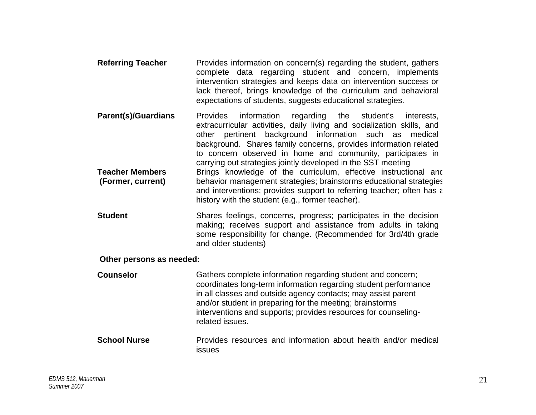- **Referring Teacher Provides information on concern(s) regarding the student, gathers** complete data regarding student and concern, implements intervention strategies and keeps data on intervention success or lack thereof, brings knowledge of the curriculum and behavioral expectations of students, suggests educational strategies.
- **Parent(s)/Guardians** Provides information regarding the student's interests, extracurricular activities, daily living and socialization skills, and other pertinent background information such as medical background. Shares family concerns, provides information related to concern observed in home and community, participates in carrying out strategies jointly developed in the SST meeting **Teacher Members (Former, current)**  Brings knowledge of the curriculum, effective instructional and behavior management strategies; brainstorms educational strategies and interventions; provides support to referring teacher; often has a history with the student (e.g., former teacher).
- **Student Shares feelings, concerns, progress; participates in the decision** making; receives support and assistance from adults in taking some responsibility for change. (Recommended for 3rd/4th grade and older students)

#### **Other persons as needed:**

- **Counselor Counselor Gathers complete information regarding student and concern;** coordinates long-term information regarding student performance in all classes and outside agency contacts; may assist parent and/or student in preparing for the meeting; brainstorms interventions and supports; provides resources for counselingrelated issues.
- **School Nurse** Provides resources and information about health and/or medical issues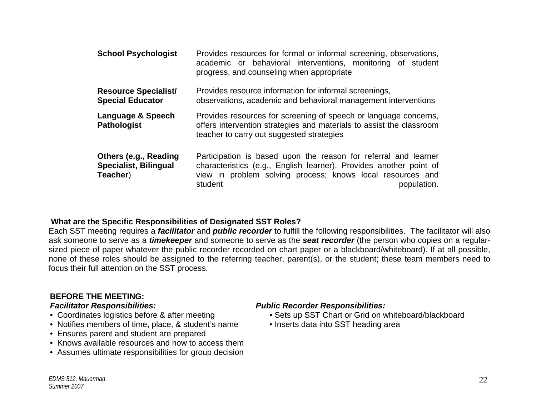| <b>School Psychologist</b>                                               | Provides resources for formal or informal screening, observations,<br>academic or behavioral interventions, monitoring of student<br>progress, and counseling when appropriate                                                |  |  |  |
|--------------------------------------------------------------------------|-------------------------------------------------------------------------------------------------------------------------------------------------------------------------------------------------------------------------------|--|--|--|
| <b>Resource Specialist/</b><br><b>Special Educator</b>                   | Provides resource information for informal screenings,<br>observations, academic and behavioral management interventions                                                                                                      |  |  |  |
| Language & Speech<br><b>Pathologist</b>                                  | Provides resources for screening of speech or language concerns,<br>offers intervention strategies and materials to assist the classroom<br>teacher to carry out suggested strategies                                         |  |  |  |
| <b>Others (e.g., Reading</b><br><b>Specialist, Bilingual</b><br>Teacher) | Participation is based upon the reason for referral and learner<br>characteristics (e.g., English learner). Provides another point of<br>view in problem solving process; knows local resources and<br>student<br>population. |  |  |  |

### **What are the Specific Responsibilities of Designated SST Roles?**

Each SST meeting requires a *facilitator* and *public recorder* to fulfill the following responsibilities. The facilitator will also ask someone to serve as a *timekeeper* and someone to serve as the *seat recorder* (the person who copies on a regularsized piece of paper whatever the public recorder recorded on chart paper or a blackboard/whiteboard). If at all possible, none of these roles should be assigned to the referring teacher, parent(s), or the student; these team members need to focus their full attention on the SST process.

### **BEFORE THE MEETING:**

- 
- Notifies members of time, place, & student's name Inserts data into SST heading area
- Ensures parent and student are prepared
- Knows available resources and how to access them
- Assumes ultimate responsibilities for group decision

#### *Facilitator Responsibilities: Public Recorder Responsibilities:*

- Coordinates logistics before & after meeting Sets up SST Chart or Grid on whiteboard/blackboard
	-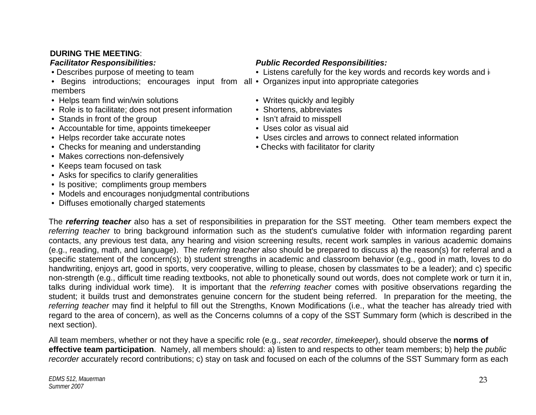### **DURING THE MEETING**:

- 
- Begins introductions; encourages input from all Organizes input into appropriate categories members
- Helps team find win/win solutions Nites quickly and legibly
- Role is to facilitate; does not present information Shortens, abbreviates
- 
- Stands in front of the group<br>• Accountable for time, appoints time ener Uses color as visual aid • Accountable for time, appoints timekeeper
- 
- Checks for meaning and understanding Checks with facilitator for clarity
- Makes corrections non-defensively
- Keeps team focused on task
- Asks for specifics to clarify generalities
- Is positive; compliments group members
- Models and encourages nonjudgmental contributions
- Diffuses emotionally charged statements

### *Facilitator Responsibilities: Public Recorded Responsibilities:*

- Describes purpose of meeting to team Listens carefully for the key words and records key words and i
	-
	-
	-
	-
	-
- Helps recorder take accurate notes Uses circles and arrows to connect related information
	-

The *referring teacher* also has a set of responsibilities in preparation for the SST meeting. Other team members expect the *referring teacher* to bring background information such as the student's cumulative folder with information regarding parent contacts, any previous test data, any hearing and vision screening results, recent work samples in various academic domains (e.g., reading, math, and language). The *referring teacher* also should be prepared to discuss a) the reason(s) for referral and a specific statement of the concern(s); b) student strengths in academic and classroom behavior (e.g., good in math, loves to do handwriting, enjoys art, good in sports, very cooperative, willing to please, chosen by classmates to be a leader); and c) specific non-strength (e.g., difficult time reading textbooks, not able to phonetically sound out words, does not complete work or turn it in, talks during individual work time). It is important that the *referring teacher* comes with positive observations regarding the student; it builds trust and demonstrates genuine concern for the student being referred. In preparation for the meeting, the *referring teacher* may find it helpful to fill out the Strengths, Known Modifications (i.e., what the teacher has already tried with regard to the area of concern), as well as the Concerns columns of a copy of the SST Summary form (which is described in the next section).

All team members, whether or not they have a specific role (e.g., *seat recorder*, *timekeeper*), should observe the **norms of effective team participation**. Namely, all members should: a) listen to and respects to other team members; b) help the *public recorder* accurately record contributions; c) stay on task and focused on each of the columns of the SST Summary form as each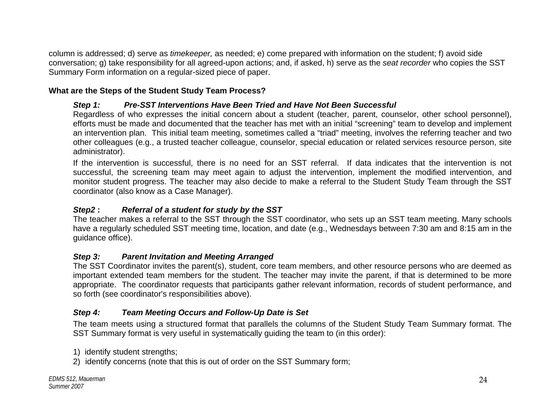column is addressed; d) serve as *timekeeper,* as needed; e) come prepared with information on the student; f) avoid side conversation; g) take responsibility for all agreed-upon actions; and, if asked, h) serve as the *seat recorder* who copies the SST Summary Form information on a regular-sized piece of paper.

### **What are the Steps of the Student Study Team Process?**

### *Step 1: Pre-SST Interventions Have Been Tried and Have Not Been Successful*

Regardless of who expresses the initial concern about a student (teacher, parent, counselor, other school personnel), efforts must be made and documented that the teacher has met with an initial "screening" team to develop and implement an intervention plan. This initial team meeting, sometimes called a "triad" meeting, involves the referring teacher and two other colleagues (e.g., a trusted teacher colleague, counselor, special education or related services resource person, site administrator).

If the intervention is successful, there is no need for an SST referral. If data indicates that the intervention is not successful, the screening team may meet again to adjust the intervention, implement the modified intervention, and monitor student progress. The teacher may also decide to make a referral to the Student Study Team through the SST coordinator (also know as a Case Manager).

### *Step2* **:** *Referral of a student for study by the SST*

The teacher makes a referral to the SST through the SST coordinator, who sets up an SST team meeting. Many schools have a regularly scheduled SST meeting time, location, and date (e.g., Wednesdays between 7:30 am and 8:15 am in the guidance office).

### *Step 3: Parent Invitation and Meeting Arranged*

The SST Coordinator invites the parent(s), student, core team members, and other resource persons who are deemed as important extended team members for the student. The teacher may invite the parent, if that is determined to be more appropriate. The coordinator requests that participants gather relevant information, records of student performance, and so forth (see coordinator's responsibilities above).

### *Step 4: Team Meeting Occurs and Follow-Up Date is Set*

The team meets using a structured format that parallels the columns of the Student Study Team Summary format. The SST Summary format is very useful in systematically guiding the team to (in this order):

- 1) identify student strengths;
- 2) identify concerns (note that this is out of order on the SST Summary form;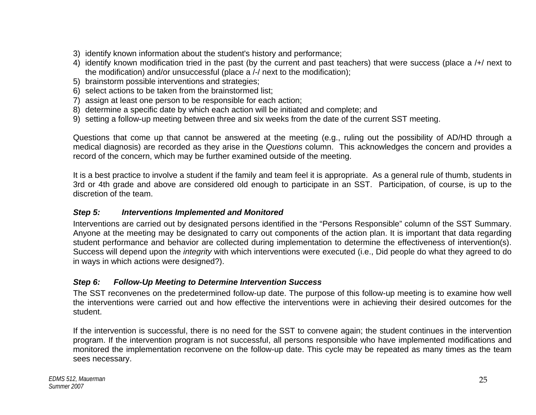- 3) identify known information about the student's history and performance;
- 4) identify known modification tried in the past (by the current and past teachers) that were success (place a /+/ next to the modification) and/or unsuccessful (place a /-/ next to the modification);
- 5) brainstorm possible interventions and strategies;
- 6) select actions to be taken from the brainstormed list;
- 7) assign at least one person to be responsible for each action;
- 8) determine a specific date by which each action will be initiated and complete; and
- 9) setting a follow-up meeting between three and six weeks from the date of the current SST meeting.

Questions that come up that cannot be answered at the meeting (e.g., ruling out the possibility of AD/HD through a medical diagnosis) are recorded as they arise in the *Questions* column. This acknowledges the concern and provides a record of the concern, which may be further examined outside of the meeting.

It is a best practice to involve a student if the family and team feel it is appropriate. As a general rule of thumb, students in 3rd or 4th grade and above are considered old enough to participate in an SST. Participation, of course, is up to the discretion of the team.

### *Step 5: Interventions Implemented and Monitored*

Interventions are carried out by designated persons identified in the "Persons Responsible" column of the SST Summary. Anyone at the meeting may be designated to carry out components of the action plan. It is important that data regarding student performance and behavior are collected during implementation to determine the effectiveness of intervention(s). Success will depend upon the *integrity* with which interventions were executed (i.e., Did people do what they agreed to do in ways in which actions were designed?).

### *Step 6: Follow-Up Meeting to Determine Intervention Success*

The SST reconvenes on the predetermined follow-up date. The purpose of this follow-up meeting is to examine how well the interventions were carried out and how effective the interventions were in achieving their desired outcomes for the student.

If the intervention is successful, there is no need for the SST to convene again; the student continues in the intervention program. If the intervention program is not successful, all persons responsible who have implemented modifications and monitored the implementation reconvene on the follow-up date. This cycle may be repeated as many times as the team sees necessary.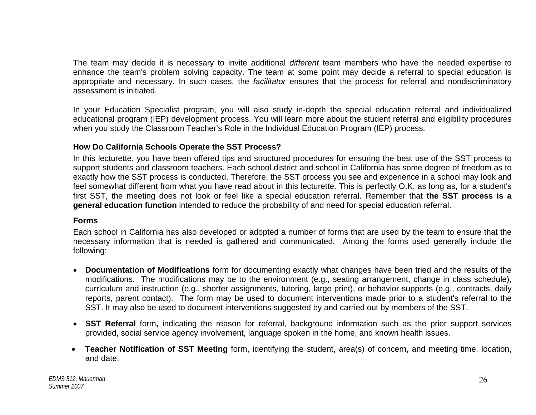The team may decide it is necessary to invite additional *different* team members who have the needed expertise to enhance the team's problem solving capacity. The team at some point may decide a referral to special education is appropriate and necessary. In such cases, the *facilitator* ensures that the process for referral and nondiscriminatory assessment is initiated.

In your Education Specialist program, you will also study in-depth the special education referral and individualized educational program (IEP) development process. You will learn more about the student referral and eligibility procedures when you study the Classroom Teacher's Role in the Individual Education Program (IEP) process.

### **How Do California Schools Operate the SST Process?**

In this lecturette, you have been offered tips and structured procedures for ensuring the best use of the SST process to support students and classroom teachers. Each school district and school in California has some degree of freedom as to exactly how the SST process is conducted. Therefore, the SST process you see and experience in a school may look and feel somewhat different from what you have read about in this lecturette. This is perfectly O.K. as long as, for a student's first SST, the meeting does not look or feel like a special education referral. Remember that **the SST process is a general education function** intended to reduce the probability of and need for special education referral.

### **Forms**

Each school in California has also developed or adopted a number of forms that are used by the team to ensure that the necessary information that is needed is gathered and communicated. Among the forms used generally include the following:

- **Documentation of Modifications** form for documenting exactly what changes have been tried and the results of the modifications. The modifications may be to the environment (e.g., seating arrangement, change in class schedule), curriculum and instruction (e.g., shorter assignments, tutoring, large print), or behavior supports (e.g., contracts, daily reports, parent contact). The form may be used to document interventions made prior to a student's referral to the SST. It may also be used to document interventions suggested by and carried out by members of the SST.
- **SST Referral** form**,** indicating the reason for referral, background information such as the prior support services provided, social service agency involvement, language spoken in the home, and known health issues.
- **Teacher Notification of SST Meeting** form, identifying the student, area(s) of concern, and meeting time, location, and date.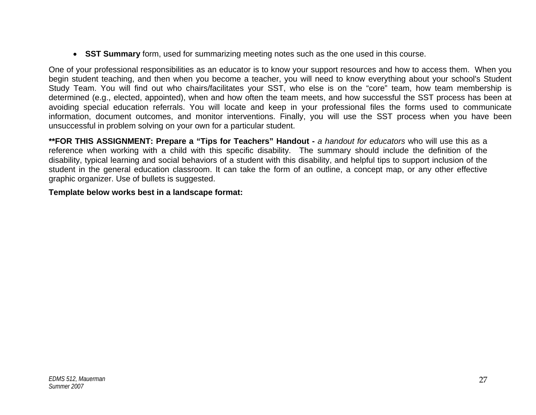• **SST Summary** form, used for summarizing meeting notes such as the one used in this course.

One of your professional responsibilities as an educator is to know your support resources and how to access them. When you begin student teaching, and then when you become a teacher, you will need to know everything about your school's Student Study Team. You will find out who chairs/facilitates your SST, who else is on the "core" team, how team membership is determined (e.g., elected, appointed), when and how often the team meets, and how successful the SST process has been at avoiding special education referrals. You will locate and keep in your professional files the forms used to communicate information, document outcomes, and monitor interventions. Finally, you will use the SST process when you have been unsuccessful in problem solving on your own for a particular student.

**\*\*FOR THIS ASSIGNMENT: Prepare a "Tips for Teachers" Handout -** *a handout for educators* who will use this as a reference when working with a child with this specific disability. The summary should include the definition of the disability, typical learning and social behaviors of a student with this disability, and helpful tips to support inclusion of the student in the general education classroom. It can take the form of an outline, a concept map, or any other effective graphic organizer. Use of bullets is suggested.

**Template below works best in a landscape format:**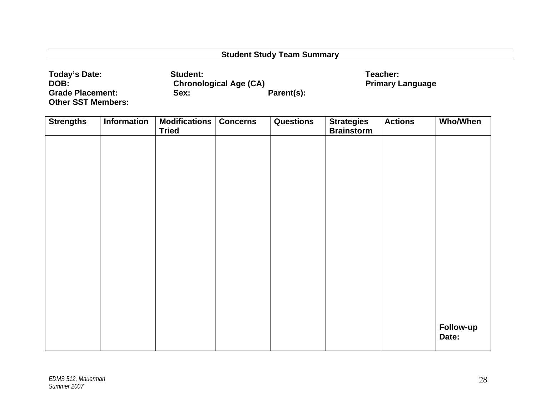## **Student Study Team Summary**

| <b>Today's Date:</b>      |
|---------------------------|
| DOB:                      |
| <b>Grade Placement:</b>   |
| <b>Other SST Members:</b> |

**Today's Date: Student: Teacher: Chronological Age (CA)** Primary Language<br>
Sex: Parent(s): **Parent(s):** 

| <b>Strengths</b> | Information | Modifications<br><b>Tried</b> | <b>Concerns</b> | <b>Questions</b> | <b>Strategies</b><br><b>Brainstorm</b> | <b>Actions</b> | <b>Who/When</b> |
|------------------|-------------|-------------------------------|-----------------|------------------|----------------------------------------|----------------|-----------------|
|                  |             |                               |                 |                  |                                        |                |                 |
|                  |             |                               |                 |                  |                                        |                |                 |
|                  |             |                               |                 |                  |                                        |                |                 |
|                  |             |                               |                 |                  |                                        |                |                 |
|                  |             |                               |                 |                  |                                        |                |                 |
|                  |             |                               |                 |                  |                                        |                |                 |
|                  |             |                               |                 |                  |                                        |                |                 |
|                  |             |                               |                 |                  |                                        |                |                 |
|                  |             |                               |                 |                  |                                        |                | Follow-up       |
|                  |             |                               |                 |                  |                                        |                | Date:           |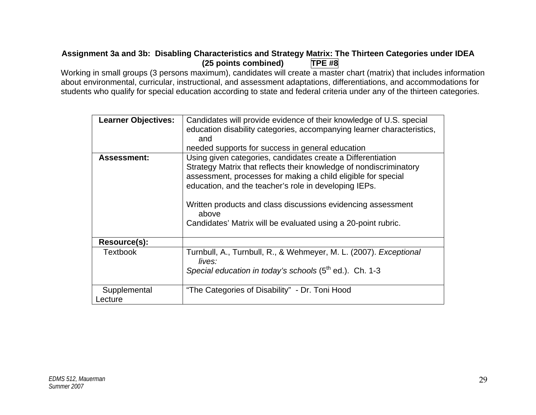### **Assignment 3a and 3b: Disabling Characteristics and Strategy Matrix: The Thirteen Categories under IDEA (25 points combined) TPE #8**

Working in small groups (3 persons maximum), candidates will create a master chart (matrix) that includes information about environmental, curricular, instructional, and assessment adaptations, differentiations, and accommodations for students who qualify for special education according to state and federal criteria under any of the thirteen categories.

| <b>Learner Objectives:</b> | Candidates will provide evidence of their knowledge of U.S. special                                                                                                                                                                                                                                                                                                                                   |
|----------------------------|-------------------------------------------------------------------------------------------------------------------------------------------------------------------------------------------------------------------------------------------------------------------------------------------------------------------------------------------------------------------------------------------------------|
|                            | education disability categories, accompanying learner characteristics,                                                                                                                                                                                                                                                                                                                                |
|                            | and                                                                                                                                                                                                                                                                                                                                                                                                   |
|                            | needed supports for success in general education                                                                                                                                                                                                                                                                                                                                                      |
| <b>Assessment:</b>         | Using given categories, candidates create a Differentiation<br>Strategy Matrix that reflects their knowledge of nondiscriminatory<br>assessment, processes for making a child eligible for special<br>education, and the teacher's role in developing IEPs.<br>Written products and class discussions evidencing assessment<br>above<br>Candidates' Matrix will be evaluated using a 20-point rubric. |
|                            |                                                                                                                                                                                                                                                                                                                                                                                                       |
| Resource(s):               |                                                                                                                                                                                                                                                                                                                                                                                                       |
| <b>Textbook</b>            | Turnbull, A., Turnbull, R., & Wehmeyer, M. L. (2007). Exceptional<br>lives:                                                                                                                                                                                                                                                                                                                           |
|                            | Special education in today's schools $(5th$ ed.). Ch. 1-3                                                                                                                                                                                                                                                                                                                                             |
| Supplemental<br>Lecture    | "The Categories of Disability" - Dr. Toni Hood                                                                                                                                                                                                                                                                                                                                                        |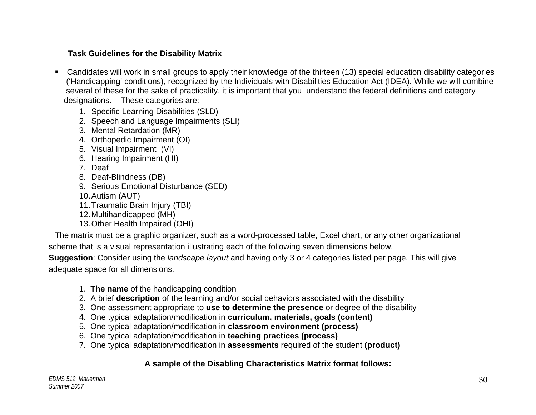### **Task Guidelines for the Disability Matrix**

- Candidates will work in small groups to apply their knowledge of the thirteen (13) special education disability categories ('Handicapping' conditions), recognized by the Individuals with Disabilities Education Act (IDEA). While we will combine several of these for the sake of practicality, it is important that you understand the federal definitions and category designations. These categories are:
	- 1. Specific Learning Disabilities (SLD)
	- 2. Speech and Language Impairments (SLI)
	- 3. Mental Retardation (MR)
	- 4. Orthopedic Impairment (OI)
	- 5. Visual Impairment (VI)
	- 6. Hearing Impairment (HI)
	- 7. Deaf
	- 8. Deaf-Blindness (DB)
	- 9. Serious Emotional Disturbance (SED)
	- 10. Autism (AUT)
	- 11. Traumatic Brain Injury (TBI)
	- 12. Multihandicapped (MH)
	- 13. Other Health Impaired (OHI)

The matrix must be a graphic organizer, such as a word-processed table, Excel chart, or any other organizational scheme that is a visual representation illustrating each of the following seven dimensions below.

**Suggestion**: Consider using the *landscape layout* and having only 3 or 4 categories listed per page. This will give adequate space for all dimensions.

- 1. **The name** of the handicapping condition
- 2. A brief **description** of the learning and/or social behaviors associated with the disability
- 3. One assessment appropriate to **use to determine the presence** or degree of the disability
- 4. One typical adaptation/modification in **curriculum, materials, goals (content)**
- 5. One typical adaptation/modification in **classroom environment (process)**
- 6. One typical adaptation/modification in **teaching practices (process)**
- 7. One typical adaptation/modification in **assessments** required of the student **(product)**

### **A sample of the Disabling Characteristics Matrix format follows:**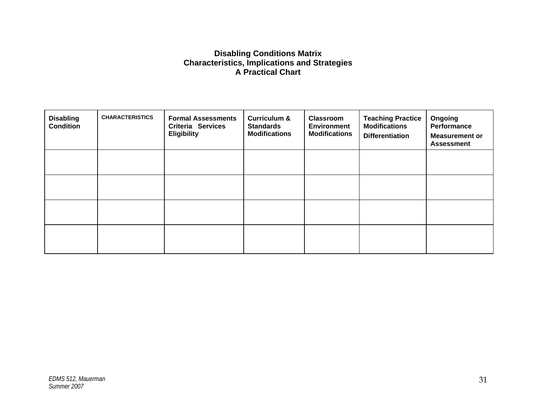### **Disabling Conditions Matrix Characteristics, Implications and Strategies A Practical Chart**

| <b>Disabling</b><br><b>Condition</b> | <b>CHARACTERISTICS</b> | <b>Formal Assessments</b><br><b>Criteria Services</b><br><b>Eligibility</b> | <b>Curriculum &amp;</b><br><b>Standards</b><br><b>Modifications</b> | <b>Classroom</b><br><b>Environment</b><br><b>Modifications</b> | <b>Teaching Practice</b><br><b>Modifications</b><br><b>Differentiation</b> | Ongoing<br>Performance<br><b>Measurement or</b><br><b>Assessment</b> |
|--------------------------------------|------------------------|-----------------------------------------------------------------------------|---------------------------------------------------------------------|----------------------------------------------------------------|----------------------------------------------------------------------------|----------------------------------------------------------------------|
|                                      |                        |                                                                             |                                                                     |                                                                |                                                                            |                                                                      |
|                                      |                        |                                                                             |                                                                     |                                                                |                                                                            |                                                                      |
|                                      |                        |                                                                             |                                                                     |                                                                |                                                                            |                                                                      |
|                                      |                        |                                                                             |                                                                     |                                                                |                                                                            |                                                                      |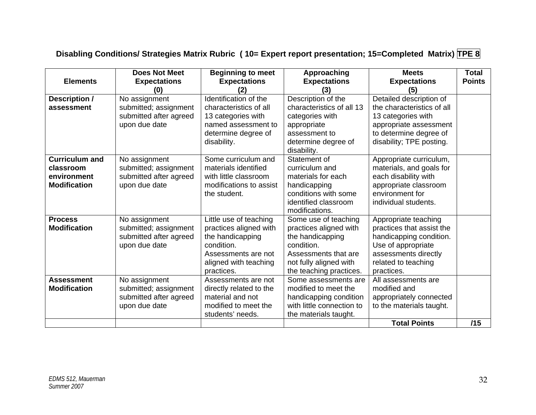# **Disabling Conditions/ Strategies Matrix Rubric ( 10= Expert report presentation; 15=Completed Matrix) TPE 8**

| <b>Elements</b>                                                          | <b>Does Not Meet</b><br><b>Expectations</b><br>(0)                                | <b>Beginning to meet</b><br><b>Expectations</b>                                                                                                  | Approaching<br><b>Expectations</b><br>(3)                                                                                                                     | <b>Meets</b><br><b>Expectations</b><br>(5)                                                                                                                      | <b>Total</b><br><b>Points</b> |
|--------------------------------------------------------------------------|-----------------------------------------------------------------------------------|--------------------------------------------------------------------------------------------------------------------------------------------------|---------------------------------------------------------------------------------------------------------------------------------------------------------------|-----------------------------------------------------------------------------------------------------------------------------------------------------------------|-------------------------------|
| Description /<br>assessment                                              | No assignment<br>submitted; assignment<br>submitted after agreed<br>upon due date | Identification of the<br>characteristics of all<br>13 categories with<br>named assessment to<br>determine degree of<br>disability.               | Description of the<br>characteristics of all 13<br>categories with<br>appropriate<br>assessment to<br>determine degree of<br>disability.                      | Detailed description of<br>the characteristics of all<br>13 categories with<br>appropriate assessment<br>to determine degree of<br>disability; TPE posting.     |                               |
| <b>Curriculum and</b><br>classroom<br>environment<br><b>Modification</b> | No assignment<br>submitted; assignment<br>submitted after agreed<br>upon due date | Some curriculum and<br>materials identified<br>with little classroom<br>modifications to assist<br>the student.                                  | Statement of<br>curriculum and<br>materials for each<br>handicapping<br>conditions with some<br>identified classroom<br>modifications.                        | Appropriate curriculum,<br>materials, and goals for<br>each disability with<br>appropriate classroom<br>environment for<br>individual students.                 |                               |
| <b>Process</b><br><b>Modification</b>                                    | No assignment<br>submitted; assignment<br>submitted after agreed<br>upon due date | Little use of teaching<br>practices aligned with<br>the handicapping<br>condition.<br>Assessments are not<br>aligned with teaching<br>practices. | Some use of teaching<br>practices aligned with<br>the handicapping<br>condition.<br>Assessments that are<br>not fully aligned with<br>the teaching practices. | Appropriate teaching<br>practices that assist the<br>handicapping condition.<br>Use of appropriate<br>assessments directly<br>related to teaching<br>practices. |                               |
| <b>Assessment</b><br><b>Modification</b>                                 | No assignment<br>submitted; assignment<br>submitted after agreed<br>upon due date | Assessments are not<br>directly related to the<br>material and not<br>modified to meet the<br>students' needs.                                   | Some assessments are<br>modified to meet the<br>handicapping condition<br>with little connection to<br>the materials taught.                                  | All assessments are<br>modified and<br>appropriately connected<br>to the materials taught.<br><b>Total Points</b>                                               | /15                           |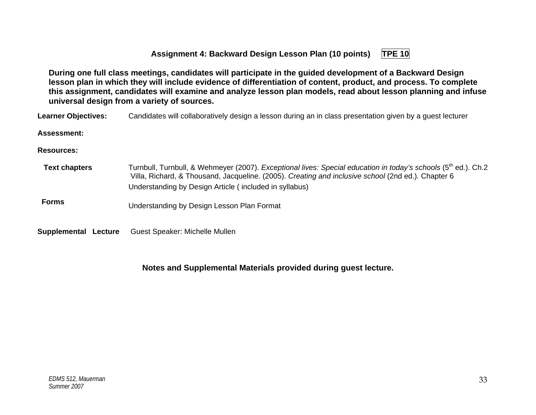**Assignment 4: Backward Design Lesson Plan (10 points) TPE 10** 

**During one full class meetings, candidates will participate in the guided development of a Backward Design lesson plan in which they will include evidence of differentiation of content, product, and process. To complete this assignment, candidates will examine and analyze lesson plan models, read about lesson planning and infuse universal design from a variety of sources.** 

Learner Objectives: Candidates will collaboratively design a lesson during an in class presentation given by a guest lecturer

**Assessment:** 

**Resources:** 

| <b>Text chapters</b> | Turnbull, Turnbull, & Wehmeyer (2007). Exceptional lives: Special education in today's schools (5 <sup>th</sup> ed.). Ch.2<br>Villa, Richard, & Thousand, Jacqueline. (2005). Creating and inclusive school (2nd ed.). Chapter 6 |
|----------------------|----------------------------------------------------------------------------------------------------------------------------------------------------------------------------------------------------------------------------------|
|                      | Understanding by Design Article (included in syllabus)                                                                                                                                                                           |

- **Forms** Understanding by Design Lesson Plan Format
- **Supplemental Lecture** Guest Speaker: Michelle Mullen

**Notes and Supplemental Materials provided during guest lecture.**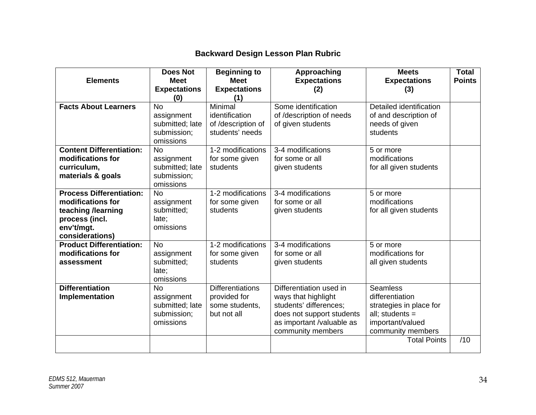| <b>Elements</b>                                                                                                               | <b>Does Not</b><br><b>Meet</b><br><b>Expectations</b><br>(0)           | <b>Beginning to</b><br><b>Meet</b><br><b>Expectations</b><br>(1)         | Approaching<br><b>Expectations</b><br>(2)                                                                                                               | <b>Meets</b><br><b>Expectations</b><br>(3)                                                                                                         | <b>Total</b><br><b>Points</b> |
|-------------------------------------------------------------------------------------------------------------------------------|------------------------------------------------------------------------|--------------------------------------------------------------------------|---------------------------------------------------------------------------------------------------------------------------------------------------------|----------------------------------------------------------------------------------------------------------------------------------------------------|-------------------------------|
| <b>Facts About Learners</b>                                                                                                   | <b>No</b><br>assignment<br>submitted; late<br>submission;<br>omissions | Minimal<br>identification<br>of /description of<br>students' needs       | Some identification<br>of /description of needs<br>of given students                                                                                    | Detailed identification<br>of and description of<br>needs of given<br>students                                                                     |                               |
| <b>Content Differentiation:</b><br>modifications for<br>curriculum,<br>materials & goals                                      | <b>No</b><br>assignment<br>submitted; late<br>submission;<br>omissions | 1-2 modifications<br>for some given<br>students                          | 3-4 modifications<br>for some or all<br>given students                                                                                                  | 5 or more<br>modifications<br>for all given students                                                                                               |                               |
| <b>Process Differentiation:</b><br>modifications for<br>teaching /learning<br>process (incl.<br>env't/mgt.<br>considerations) | <b>No</b><br>assignment<br>submitted;<br>late:<br>omissions            | 1-2 modifications<br>for some given<br>students                          | 3-4 modifications<br>for some or all<br>given students                                                                                                  | 5 or more<br>modifications<br>for all given students                                                                                               |                               |
| <b>Product Differentiation:</b><br>modifications for<br>assessment                                                            | <b>No</b><br>assignment<br>submitted;<br>late;<br>omissions            | 1-2 modifications<br>for some given<br>students                          | 3-4 modifications<br>for some or all<br>given students                                                                                                  | 5 or more<br>modifications for<br>all given students                                                                                               |                               |
| <b>Differentiation</b><br>Implementation                                                                                      | <b>No</b><br>assignment<br>submitted; late<br>submission;<br>omissions | <b>Differentiations</b><br>provided for<br>some students,<br>but not all | Differentiation used in<br>ways that highlight<br>students' differences;<br>does not support students<br>as important /valuable as<br>community members | <b>Seamless</b><br>differentiation<br>strategies in place for<br>all; students $=$<br>important/valued<br>community members<br><b>Total Points</b> | /10                           |
|                                                                                                                               |                                                                        |                                                                          |                                                                                                                                                         |                                                                                                                                                    |                               |

## **Backward Design Lesson Plan Rubric**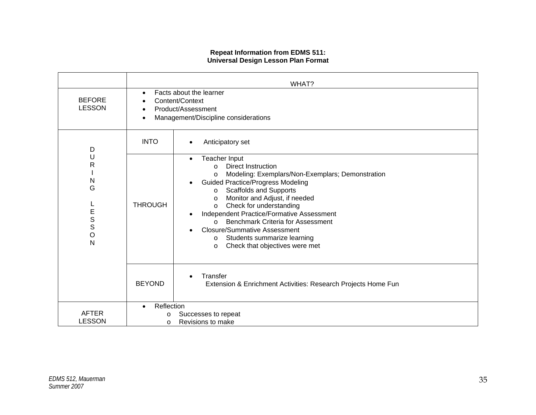#### **Repeat Information from EDMS 511: Universal Design Lesson Plan Format**

|                                                      | WHAT?                                                                        |                                                                                                                                                                                                                                                                                                                                                                                                                                                                                                                                                                            |  |  |
|------------------------------------------------------|------------------------------------------------------------------------------|----------------------------------------------------------------------------------------------------------------------------------------------------------------------------------------------------------------------------------------------------------------------------------------------------------------------------------------------------------------------------------------------------------------------------------------------------------------------------------------------------------------------------------------------------------------------------|--|--|
| <b>BEFORE</b><br><b>LESSON</b>                       | $\bullet$<br>$\bullet$                                                       | Facts about the learner<br>Content/Context<br>Product/Assessment<br>Management/Discipline considerations                                                                                                                                                                                                                                                                                                                                                                                                                                                                   |  |  |
| D                                                    | <b>INTO</b>                                                                  | Anticipatory set<br>$\bullet$                                                                                                                                                                                                                                                                                                                                                                                                                                                                                                                                              |  |  |
| U<br>$\mathsf{R}$<br>$\mathsf{N}$<br>G<br>LESSO<br>N | <b>THROUGH</b>                                                               | Teacher Input<br>$\bullet$<br><b>Direct Instruction</b><br>$\Omega$<br>Modeling: Exemplars/Non-Exemplars; Demonstration<br>$\circ$<br><b>Guided Practice/Progress Modeling</b><br>$\bullet$<br><b>Scaffolds and Supports</b><br>$\circ$<br>Monitor and Adjust, if needed<br>$\Omega$<br>Check for understanding<br>$\circ$<br>Independent Practice/Formative Assessment<br>$\bullet$<br><b>Benchmark Criteria for Assessment</b><br>$\Omega$<br><b>Closure/Summative Assessment</b><br>Students summarize learning<br>$\circ$<br>Check that objectives were met<br>$\circ$ |  |  |
|                                                      | <b>BEYOND</b>                                                                | Transfer<br>Extension & Enrichment Activities: Research Projects Home Fun                                                                                                                                                                                                                                                                                                                                                                                                                                                                                                  |  |  |
| <b>AFTER</b><br><b>LESSON</b>                        | Reflection<br>Successes to repeat<br>$\circ$<br>Revisions to make<br>$\circ$ |                                                                                                                                                                                                                                                                                                                                                                                                                                                                                                                                                                            |  |  |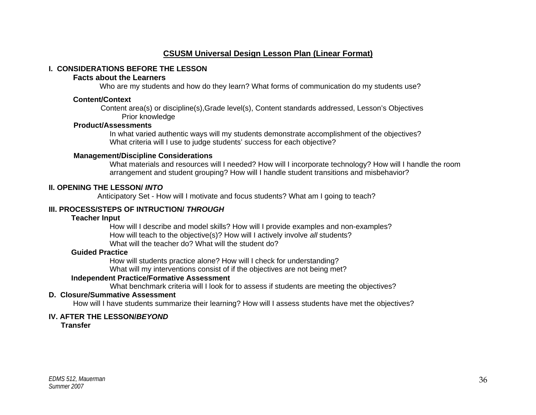#### **CSUSM Universal Design Lesson Plan (Linear Format)**

#### **I. CONSIDERATIONS BEFORE THE LESSON**

#### **Facts about the Learners**

Who are my students and how do they learn? What forms of communication do my students use?

#### **Content/Context**

Content area(s) or discipline(s),Grade level(s), Content standards addressed, Lesson's Objectives Prior knowledge

#### **Product/Assessments**

 In what varied authentic ways will my students demonstrate accomplishment of the objectives? What criteria will I use to judge students' success for each objective?

#### **Management/Discipline Considerations**

 What materials and resources will I needed? How will I incorporate technology? How will I handle the room arrangement and student grouping? How will I handle student transitions and misbehavior?

#### **II. OPENING THE LESSON/** *INTO*

Anticipatory Set - How will I motivate and focus students? What am I going to teach?

#### **III. PROCESS/STEPS OF INTRUCTION/** *THROUGH*

#### **Teacher Input**

How will I describe and model skills? How will I provide examples and non-examples? How will teach to the objective(s)? How will I actively involve *all* students? What will the teacher do? What will the student do?

#### **Guided Practice**

How will students practice alone? How will I check for understanding?

What will my interventions consist of if the objectives are not being met?

#### **Independent Practice/Formative Assessment**

What benchmark criteria will I look for to assess if students are meeting the objectives?

#### **D. Closure/Summative Assessment**

How will I have students summarize their learning? How will I assess students have met the objectives?

#### **IV. AFTER THE LESSON/***BEYOND*

**Transfer**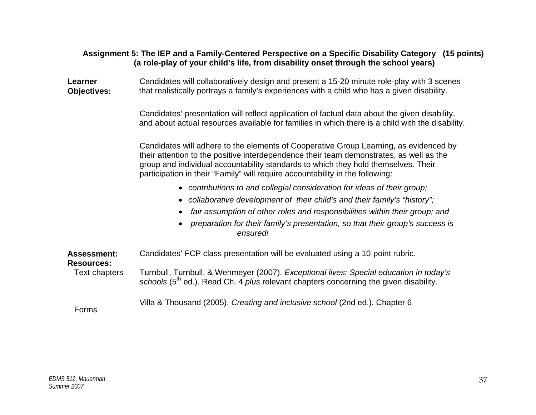| Assignment 5: The IEP and a Family-Centered Perspective on a Specific Disability Category (15 points) |  |
|-------------------------------------------------------------------------------------------------------|--|
| (a role-play of your child's life, from disability onset through the school years)                    |  |

**Learner Objectives:**  Candidates will collaboratively design and present a 15-20 minute role-play with 3 scenes that realistically portrays a family's experiences with a child who has a given disability.

> Candidates' presentation will reflect application of factual data about the given disability, and about actual resources available for families in which there is a child with the disability.

Candidates will adhere to the elements of Cooperative Group Learning, as evidenced by their attention to the positive interdependence their team demonstrates, as well as the group and individual accountability standards to which they hold themselves. Their participation in their "Family" will require accountability in the following:

- *contributions to and collegial consideration for ideas of their group;*
- *collaborative development of their child's and their family's "history";*
- •*fair assumption of other roles and responsibilities within their group; and*
- • *preparation for their family's presentation, so that their group's success is ensured!*

| <b>Assessment:</b><br><b>Resources:</b> | Candidates' FCP class presentation will be evaluated using a 10-point rubric.                                                                                                            |
|-----------------------------------------|------------------------------------------------------------------------------------------------------------------------------------------------------------------------------------------|
| Text chapters                           | Turnbull, Turnbull, & Wehmeyer (2007). Exceptional lives: Special education in today's<br>schools $(5th$ ed.). Read Ch. 4 <i>plus</i> relevant chapters concerning the given disability. |
|                                         | Villa & Thousand (2005). Creating and inclusive school (2nd ed.). Chapter 6                                                                                                              |

Forms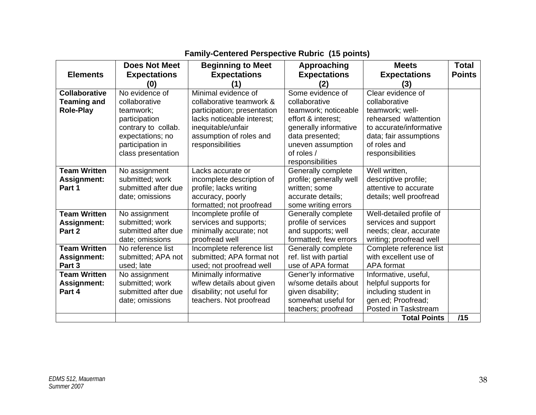|                      | <b>Does Not Meet</b> | <b>Beginning to Meet</b>    | Approaching             | <b>Meets</b>             | <b>Total</b>  |
|----------------------|----------------------|-----------------------------|-------------------------|--------------------------|---------------|
| <b>Elements</b>      | <b>Expectations</b>  | <b>Expectations</b>         | <b>Expectations</b>     | <b>Expectations</b>      | <b>Points</b> |
|                      | (0)                  |                             |                         | (3)                      |               |
| <b>Collaborative</b> | No evidence of       | Minimal evidence of         | Some evidence of        | Clear evidence of        |               |
| <b>Teaming and</b>   | collaborative        | collaborative teamwork &    | collaborative           | collaborative            |               |
| <b>Role-Play</b>     | teamwork;            | participation; presentation | teamwork; noticeable    | teamwork; well-          |               |
|                      | participation        | lacks noticeable interest;  | effort & interest;      | rehearsed w/attention    |               |
|                      | contrary to collab.  | inequitable/unfair          | generally informative   | to accurate/informative  |               |
|                      | expectations; no     | assumption of roles and     | data presented;         | data; fair assumptions   |               |
|                      | participation in     | responsibilities            | uneven assumption       | of roles and             |               |
|                      | class presentation   |                             | of roles /              | responsibilities         |               |
|                      |                      |                             | responsibilities        |                          |               |
| <b>Team Written</b>  | No assignment        | Lacks accurate or           | Generally complete      | Well written,            |               |
| <b>Assignment:</b>   | submitted; work      | incomplete description of   | profile; generally well | descriptive profile;     |               |
| Part 1               | submitted after due  | profile; lacks writing      | written; some           | attentive to accurate    |               |
|                      | date; omissions      | accuracy, poorly            | accurate details;       | details; well proofread  |               |
|                      |                      | formatted; not proofread    | some writing errors     |                          |               |
| <b>Team Written</b>  | No assignment        | Incomplete profile of       | Generally complete      | Well-detailed profile of |               |
| <b>Assignment:</b>   | submitted; work      | services and supports;      | profile of services     | services and support     |               |
| Part 2               | submitted after due  | minimally accurate; not     | and supports; well      | needs; clear, accurate   |               |
|                      | date; omissions      | proofread well              | formatted; few errors   | writing; proofread well  |               |
| <b>Team Written</b>  | No reference list    | Incomplete reference list   | Generally complete      | Complete reference list  |               |
| <b>Assignment:</b>   | submitted; APA not   | submitted; APA format not   | ref. list with partial  | with excellent use of    |               |
| Part 3               | used; late           | used; not proofread well    | use of APA format       | <b>APA</b> format        |               |
| <b>Team Written</b>  | No assignment        | Minimally informative       | Gener'ly informative    | Informative, useful,     |               |
| Assignment:          | submitted; work      | w/few details about given   | w/some details about    | helpful supports for     |               |
| Part 4               | submitted after due  | disability; not useful for  | given disability;       | including student in     |               |
|                      | date; omissions      | teachers. Not proofread     | somewhat useful for     | gen.ed; Proofread;       |               |
|                      |                      |                             | teachers; proofread     | Posted in Taskstream     |               |
|                      |                      |                             |                         | <b>Total Points</b>      | /15           |

# **Family-Centered Perspective Rubric (15 points)**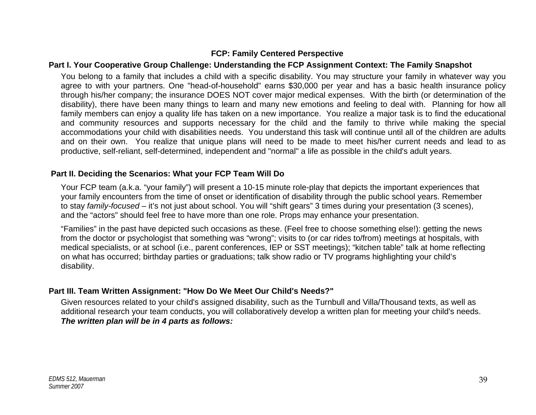## **FCP: Family Centered Perspective**

#### **Part I. Your Cooperative Group Challenge: Understanding the FCP Assignment Context: The Family Snapshot**

You belong to a family that includes a child with a specific disability. You may structure your family in whatever way you agree to with your partners. One "head-of-household" earns \$30,000 per year and has a basic health insurance policy through his/her company; the insurance DOES NOT cover major medical expenses. With the birth (or determination of the disability), there have been many things to learn and many new emotions and feeling to deal with. Planning for how all family members can enjoy a quality life has taken on a new importance. You realize a major task is to find the educational and community resources and supports necessary for the child and the family to thrive while making the special accommodations your child with disabilities needs. You understand this task will continue until all of the children are adults and on their own. You realize that unique plans will need to be made to meet his/her current needs and lead to as productive, self-reliant, self-determined, independent and "normal" a life as possible in the child's adult years.

#### **Part II. Deciding the Scenarios: What your FCP Team Will Do**

Your FCP team (a.k.a. "your family") will present a 10-15 minute role-play that depicts the important experiences that your family encounters from the time of onset or identification of disability through the public school years. Remember to stay *family-focused* – it's not just about school. You will "shift gears" 3 times during your presentation (3 scenes), and the "actors" should feel free to have more than one role. Props may enhance your presentation.

"Families" in the past have depicted such occasions as these. (Feel free to choose something else!): getting the news from the doctor or psychologist that something was "wrong"; visits to (or car rides to/from) meetings at hospitals, with medical specialists, or at school (i.e., parent conferences, IEP or SST meetings); "kitchen table" talk at home reflecting on what has occurred; birthday parties or graduations; talk show radio or TV programs highlighting your child's disability.

### **Part III. Team Written Assignment: "How Do We Meet Our Child's Needs?"**

Given resources related to your child's assigned disability, such as the Turnbull and Villa/Thousand texts, as well as additional research your team conducts, you will collaboratively develop a written plan for meeting your child's needs. *The written plan will be in 4 parts as follows:*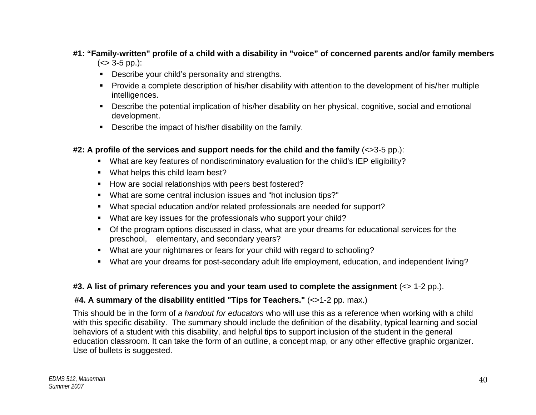#### **#1: "Family-written" profile of a child with a disability in "voice" of concerned parents and/or family members**  $(<$  3-5 pp.):

- **Describe your child's personality and strengths.**
- Provide a complete description of his/her disability with attention to the development of his/her multiple intelligences.
- **Describe the potential implication of his/her disability on her physical, cognitive, social and emotional** development.
- Describe the impact of his/her disability on the family.

## **#2: A profile of the services and support needs for the child and the family** (<>3-5 pp.):

- What are key features of nondiscriminatory evaluation for the child's IEP eligibility?
- What helps this child learn best?
- How are social relationships with peers best fostered?
- What are some central inclusion issues and "hot inclusion tips?"
- What special education and/or related professionals are needed for support?
- What are key issues for the professionals who support your child?
- Of the program options discussed in class, what are your dreams for educational services for the preschool, elementary, and secondary years?
- What are your nightmares or fears for your child with regard to schooling?
- What are your dreams for post-secondary adult life employment, education, and independent living?

### **#3. A list of primary references you and your team used to complete the assignment** (<> 1-2 pp.).

## **#4. A summary of the disability entitled "Tips for Teachers."** (<>1-2 pp. max.)

This should be in the form of *a handout for educators* who will use this as a reference when working with a child with this specific disability. The summary should include the definition of the disability, typical learning and social behaviors of a student with this disability, and helpful tips to support inclusion of the student in the general education classroom. It can take the form of an outline, a concept map, or any other effective graphic organizer. Use of bullets is suggested.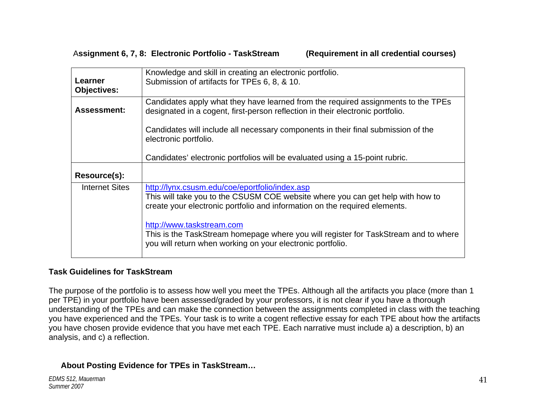| Assignment 6, 7, 8: Electronic Portfolio - TaskStream |  |
|-------------------------------------------------------|--|
|-------------------------------------------------------|--|

A**ssignment 6, 7, 8: Electronic Portfolio - TaskStream (Requirement in all credential courses)** 

|                               | Knowledge and skill in creating an electronic portfolio.                                                                                                                       |
|-------------------------------|--------------------------------------------------------------------------------------------------------------------------------------------------------------------------------|
| Learner<br><b>Objectives:</b> | Submission of artifacts for TPEs 6, 8, & 10.                                                                                                                                   |
|                               |                                                                                                                                                                                |
| <b>Assessment:</b>            | Candidates apply what they have learned from the required assignments to the TPEs<br>designated in a cogent, first-person reflection in their electronic portfolio.            |
|                               | Candidates will include all necessary components in their final submission of the<br>electronic portfolio.                                                                     |
|                               | Candidates' electronic portfolios will be evaluated using a 15-point rubric.                                                                                                   |
| Resource(s):                  |                                                                                                                                                                                |
| <b>Internet Sites</b>         | http://lynx.csusm.edu/coe/eportfolio/index.asp                                                                                                                                 |
|                               | This will take you to the CSUSM COE website where you can get help with how to<br>create your electronic portfolio and information on the required elements.                   |
|                               | http://www.taskstream.com<br>This is the TaskStream homepage where you will register for TaskStream and to where<br>you will return when working on your electronic portfolio. |

#### **Task Guidelines for TaskStream**

The purpose of the portfolio is to assess how well you meet the TPEs. Although all the artifacts you place (more than 1 per TPE) in your portfolio have been assessed/graded by your professors, it is not clear if you have a thorough understanding of the TPEs and can make the connection between the assignments completed in class with the teaching you have experienced and the TPEs. Your task is to write a cogent reflective essay for each TPE about how the artifacts you have chosen provide evidence that you have met each TPE. Each narrative must include a) a description, b) an analysis, and c) a reflection.

## **About Posting Evidence for TPEs in TaskStream…**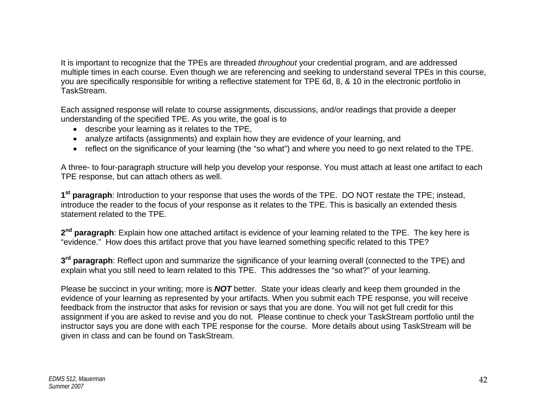It is important to recognize that the TPEs are threaded *throughout* your credential program, and are addressed multiple times in each course. Even though we are referencing and seeking to understand several TPEs in this course, you are specifically responsible for writing a reflective statement for TPE 6d, 8, & 10 in the electronic portfolio in TaskStream.

Each assigned response will relate to course assignments, discussions, and/or readings that provide a deeper understanding of the specified TPE. As you write, the goal is to

- describe your learning as it relates to the TPE,
- analyze artifacts (assignments) and explain how they are evidence of your learning, and
- reflect on the significance of your learning (the "so what") and where you need to go next related to the TPE.

A three- to four-paragraph structure will help you develop your response. You must attach at least one artifact to each TPE response, but can attach others as well.

**<sup>1</sup>st paragraph**: Introduction to your response that uses the words of the TPE. DO NOT restate the TPE; instead, introduce the reader to the focus of your response as it relates to the TPE. This is basically an extended thesis statement related to the TPE.

**<sup>2</sup>nd paragraph**: Explain how one attached artifact is evidence of your learning related to the TPE. The key here is "evidence." How does this artifact prove that you have learned something specific related to this TPE?

**<sup>3</sup>rd paragraph**: Reflect upon and summarize the significance of your learning overall (connected to the TPE) and explain what you still need to learn related to this TPE. This addresses the "so what?" of your learning.

Please be succinct in your writing; more is *NOT* better. State your ideas clearly and keep them grounded in the evidence of your learning as represented by your artifacts. When you submit each TPE response, you will receive feedback from the instructor that asks for revision or says that you are done. You will not get full credit for this assignment if you are asked to revise and you do not. Please continue to check your TaskStream portfolio until the instructor says you are done with each TPE response for the course. More details about using TaskStream will be given in class and can be found on TaskStream.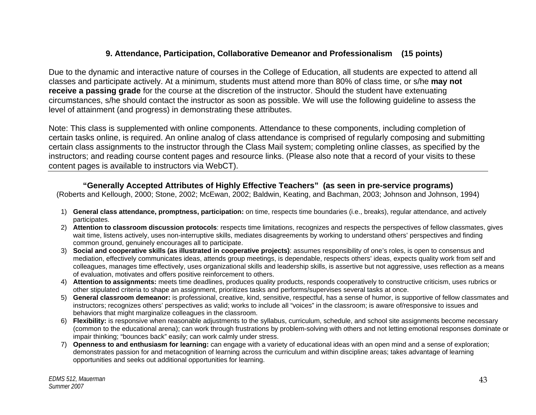### **9. Attendance, Participation, Collaborative Demeanor and Professionalism (15 points)**

Due to the dynamic and interactive nature of courses in the College of Education, all students are expected to attend all classes and participate actively. At a minimum, students must attend more than 80% of class time, or s/he **may not receive a passing grade** for the course at the discretion of the instructor. Should the student have extenuating circumstances, s/he should contact the instructor as soon as possible. We will use the following guideline to assess the level of attainment (and progress) in demonstrating these attributes.

Note: This class is supplemented with online components. Attendance to these components, including completion of certain tasks online, is required. An online analog of class attendance is comprised of regularly composing and submitting certain class assignments to the instructor through the Class Mail system; completing online classes, as specified by the instructors; and reading course content pages and resource links. (Please also note that a record of your visits to these content pages is available to instructors via WebCT).

#### **"Generally Accepted Attributes of Highly Effective Teachers" (as seen in pre-service programs)**

(Roberts and Kellough, 2000; Stone, 2002; McEwan, 2002; Baldwin, Keating, and Bachman, 2003; Johnson and Johnson, 1994)

- 1) **General class attendance, promptness, participation:** on time, respects time boundaries (i.e., breaks), regular attendance, and actively participates.
- 2) **Attention to classroom discussion protocols**: respects time limitations, recognizes and respects the perspectives of fellow classmates, gives wait time, listens actively, uses non-interruptive skills, mediates disagreements by working to understand others' perspectives and finding common ground, genuinely encourages all to participate.
- 3) **Social and cooperative skills (as illustrated in cooperative projects)**: assumes responsibility of one's roles, is open to consensus and mediation, effectively communicates ideas, attends group meetings, is dependable, respects others' ideas, expects quality work from self and colleagues, manages time effectively, uses organizational skills and leadership skills, is assertive but not aggressive, uses reflection as a means of evaluation, motivates and offers positive reinforcement to others.
- 4) **Attention to assignments:** meets time deadlines, produces quality products, responds cooperatively to constructive criticism, uses rubrics or other stipulated criteria to shape an assignment, prioritizes tasks and performs/supervises several tasks at once.
- 5) **General classroom demeanor:** is professional, creative, kind, sensitive, respectful, has a sense of humor, is supportive of fellow classmates and instructors; recognizes others' perspectives as valid; works to include all "voices" in the classroom; is aware of/responsive to issues and behaviors that might marginalize colleagues in the classroom.
- 6) **Flexibility:** is responsive when reasonable adjustments to the syllabus, curriculum, schedule, and school site assignments become necessary (common to the educational arena); can work through frustrations by problem-solving with others and not letting emotional responses dominate or impair thinking; "bounces back" easily; can work calmly under stress.
- 7) **Openness to and enthusiasm for learning:** can engage with a variety of educational ideas with an open mind and a sense of exploration; demonstrates passion for and metacognition of learning across the curriculum and within discipline areas; takes advantage of learning opportunities and seeks out additional opportunities for learning.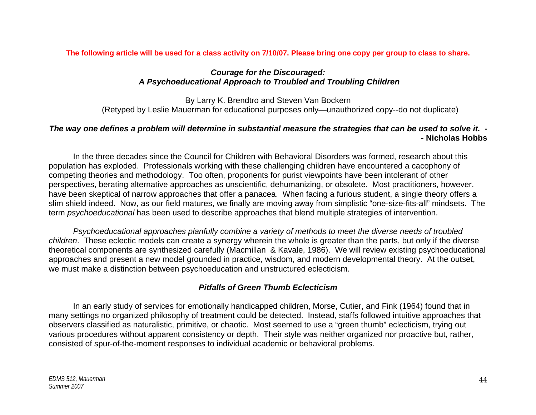### *Courage for the Discouraged: A Psychoeducational Approach to Troubled and Troubling Children*

By Larry K. Brendtro and Steven Van Bockern (Retyped by Leslie Mauerman for educational purposes only—unauthorized copy--do not duplicate)

#### *The way one defines a problem will determine in substantial measure the strategies that can be used to solve it.* **- - Nicholas Hobbs**

 In the three decades since the Council for Children with Behavioral Disorders was formed, research about this population has exploded. Professionals working with these challenging children have encountered a cacophony of competing theories and methodology. Too often, proponents for purist viewpoints have been intolerant of other perspectives, berating alternative approaches as unscientific, dehumanizing, or obsolete. Most practitioners, however, have been skeptical of narrow approaches that offer a panacea. When facing a furious student, a single theory offers a slim shield indeed. Now, as our field matures, we finally are moving away from simplistic "one-size-fits-all" mindsets. The term *psychoeducational* has been used to describe approaches that blend multiple strategies of intervention.

*Psychoeducational approaches planfully combine a variety of methods to meet the diverse needs of troubled children*. These eclectic models can create a synergy wherein the whole is greater than the parts, but only if the diverse theoretical components are synthesized carefully (Macmillan & Kavale, 1986). We will review existing psychoeducational approaches and present a new model grounded in practice, wisdom, and modern developmental theory. At the outset, we must make a distinction between psychoeducation and unstructured eclecticism.

## *Pitfalls of Green Thumb Eclecticism*

 In an early study of services for emotionally handicapped children, Morse, Cutier, and Fink (1964) found that in many settings no organized philosophy of treatment could be detected. Instead, staffs followed intuitive approaches that observers classified as naturalistic, primitive, or chaotic. Most seemed to use a "green thumb" eclecticism, trying out various procedures without apparent consistency or depth. Their style was neither organized nor proactive but, rather, consisted of spur-of-the-moment responses to individual academic or behavioral problems.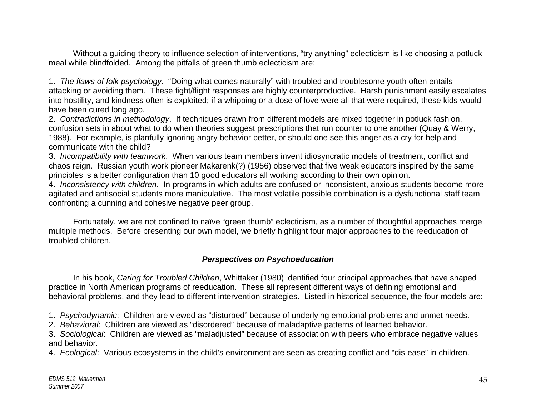Without a guiding theory to influence selection of interventions, "try anything" eclecticism is like choosing a potluck meal while blindfolded. Among the pitfalls of green thumb eclecticism are:

1. *The flaws of folk psychology*. "Doing what comes naturally" with troubled and troublesome youth often entails attacking or avoiding them. These fight/flight responses are highly counterproductive. Harsh punishment easily escalates into hostility, and kindness often is exploited; if a whipping or a dose of love were all that were required, these kids would have been cured long ago.

2. *Contradictions in methodology*. If techniques drawn from different models are mixed together in potluck fashion, confusion sets in about what to do when theories suggest prescriptions that run counter to one another (Quay & Werry, 1988). For example, is planfully ignoring angry behavior better, or should one see this anger as a cry for help and communicate with the child?

3. *Incompatibility with teamwork*. When various team members invent idiosyncratic models of treatment, conflict and chaos reign. Russian youth work pioneer Makarenk(?) (1956) observed that five weak educators inspired by the same principles is a better configuration than 10 good educators all working according to their own opinion.

4. *Inconsistency with children*. In programs in which adults are confused or inconsistent, anxious students become more agitated and antisocial students more manipulative. The most volatile possible combination is a dysfunctional staff team confronting a cunning and cohesive negative peer group.

Fortunately, we are not confined to naïve "green thumb" eclecticism, as a number of thoughtful approaches merge multiple methods. Before presenting our own model, we briefly highlight four major approaches to the reeducation of troubled children.

#### *Perspectives on Psychoeducation*

 In his book, *Caring for Troubled Children*, Whittaker (1980) identified four principal approaches that have shaped practice in North American programs of reeducation. These all represent different ways of defining emotional and behavioral problems, and they lead to different intervention strategies. Listed in historical sequence, the four models are:

1. *Psychodynamic*: Children are viewed as "disturbed" because of underlying emotional problems and unmet needs.

2. *Behavioral*: Children are viewed as "disordered" because of maladaptive patterns of learned behavior.

3. *Sociological*: Children are viewed as "maladjusted" because of association with peers who embrace negative values and behavior.

4. *Ecological*: Various ecosystems in the child's environment are seen as creating conflict and "dis-ease" in children.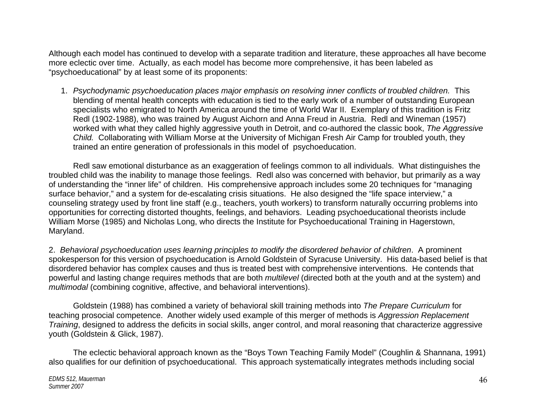Although each model has continued to develop with a separate tradition and literature, these approaches all have become more eclectic over time. Actually, as each model has become more comprehensive, it has been labeled as "psychoeducational" by at least some of its proponents:

1. *Psychodynamic psychoeducation places major emphasis on resolving inner conflicts of troubled children.* This blending of mental health concepts with education is tied to the early work of a number of outstanding European specialists who emigrated to North America around the time of World War II. Exemplary of this tradition is Fritz Redl (1902-1988), who was trained by August Aichorn and Anna Freud in Austria. Redl and Wineman (1957) worked with what they called highly aggressive youth in Detroit, and co-authored the classic book, *The Aggressive Child.* Collaborating with William Morse at the University of Michigan Fresh Air Camp for troubled youth, they trained an entire generation of professionals in this model of psychoeducation.

 Redl saw emotional disturbance as an exaggeration of feelings common to all individuals. What distinguishes the troubled child was the inability to manage those feelings. Redl also was concerned with behavior, but primarily as a way of understanding the "inner life" of children. His comprehensive approach includes some 20 techniques for "managing surface behavior," and a system for de-escalating crisis situations. He also designed the "life space interview," a counseling strategy used by front line staff (e.g., teachers, youth workers) to transform naturally occurring problems into opportunities for correcting distorted thoughts, feelings, and behaviors. Leading psychoeducational theorists include William Morse (1985) and Nicholas Long, who directs the Institute for Psychoeducational Training in Hagerstown, Maryland.

2. *Behavioral psychoeducation uses learning principles to modify the disordered behavior of children*. A prominent spokesperson for this version of psychoeducation is Arnold Goldstein of Syracuse University. His data-based belief is that disordered behavior has complex causes and thus is treated best with comprehensive interventions. He contends that powerful and lasting change requires methods that are both *multilevel* (directed both at the youth and at the system) and *multimodal* (combining cognitive, affective, and behavioral interventions).

 Goldstein (1988) has combined a variety of behavioral skill training methods into *The Prepare Curriculum* for teaching prosocial competence. Another widely used example of this merger of methods is *Aggression Replacement Training*, designed to address the deficits in social skills, anger control, and moral reasoning that characterize aggressive youth (Goldstein & Glick, 1987).

 The eclectic behavioral approach known as the "Boys Town Teaching Family Model" (Coughlin & Shannana, 1991) also qualifies for our definition of psychoeducational. This approach systematically integrates methods including social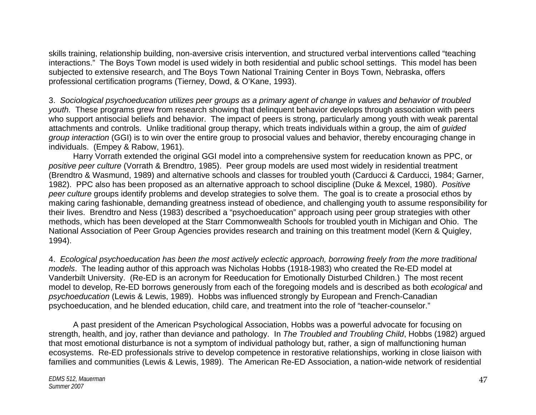skills training, relationship building, non-aversive crisis intervention, and structured verbal interventions called "teaching interactions." The Boys Town model is used widely in both residential and public school settings. This model has been subjected to extensive research, and The Boys Town National Training Center in Boys Town, Nebraska, offers professional certification programs (Tierney, Dowd, & O'Kane, 1993).

3. *Sociological psychoeducation utilizes peer groups as a primary agent of change in values and behavior of troubled youth.* These programs grew from research showing that delinquent behavior develops through association with peers who support antisocial beliefs and behavior. The impact of peers is strong, particularly among youth with weak parental attachments and controls. Unlike traditional group therapy, which treats individuals within a group, the aim of *guided group interaction* (GGI) is to win over the entire group to prosocial values and behavior, thereby encouraging change in individuals. (Empey & Rabow, 1961).

 Harry Vorrath extended the original GGI model into a comprehensive system for reeducation known as PPC, or *positive peer culture* (Vorrath & Brendtro, 1985). Peer group models are used most widely in residential treatment (Brendtro & Wasmund, 1989) and alternative schools and classes for troubled youth (Carducci & Carducci, 1984; Garner, 1982). PPC also has been proposed as an alternative approach to school discipline (Duke & Mexcel, 1980). *Positive peer culture* groups identify problems and develop strategies to solve them. The goal is to create a prosocial ethos by making caring fashionable, demanding greatness instead of obedience, and challenging youth to assume responsibility for their lives. Brendtro and Ness (1983) described a "psychoeducation" approach using peer group strategies with other methods, which has been developed at the Starr Commonwealth Schools for troubled youth in Michigan and Ohio. The National Association of Peer Group Agencies provides research and training on this treatment model (Kern & Quigley, 1994).

4. *Ecological psychoeducation has been the most actively eclectic approach, borrowing freely from the more traditional models*. The leading author of this approach was Nicholas Hobbs (1918-1983) who created the Re-ED model at Vanderbilt University. (Re-ED is an acronym for Reeducation for Emotionally Disturbed Children.) The most recent model to develop, Re-ED borrows generously from each of the foregoing models and is described as both *ecological* and *psychoeducation* (Lewis & Lewis, 1989). Hobbs was influenced strongly by European and French-Canadian psychoeducation, and he blended education, child care, and treatment into the role of "teacher-counselor."

 A past president of the American Psychological Association, Hobbs was a powerful advocate for focusing on strength, health, and joy, rather than deviance and pathology. In *The Troubled and Troubling Child*, Hobbs (1982) argued that most emotional disturbance is not a symptom of individual pathology but, rather, a sign of malfunctioning human ecosystems. Re-ED professionals strive to develop competence in restorative relationships, working in close liaison with families and communities (Lewis & Lewis, 1989). The American Re-ED Association, a nation-wide network of residential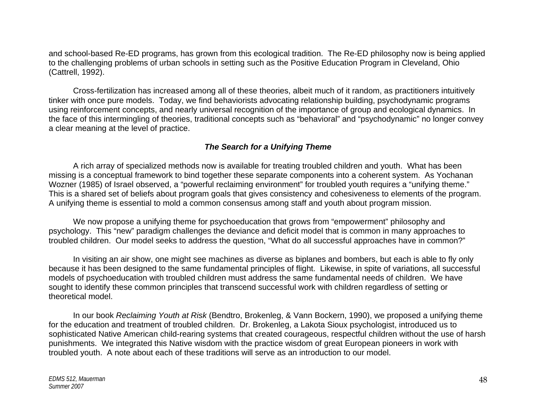and school-based Re-ED programs, has grown from this ecological tradition. The Re-ED philosophy now is being applied to the challenging problems of urban schools in setting such as the Positive Education Program in Cleveland, Ohio (Cattrell, 1992).

 Cross-fertilization has increased among all of these theories, albeit much of it random, as practitioners intuitively tinker with once pure models. Today, we find behaviorists advocating relationship building, psychodynamic programs using reinforcement concepts, and nearly universal recognition of the importance of group and ecological dynamics. In the face of this intermingling of theories, traditional concepts such as "behavioral" and "psychodynamic" no longer convey a clear meaning at the level of practice.

#### *The Search for a Unifying Theme*

 A rich array of specialized methods now is available for treating troubled children and youth. What has been missing is a conceptual framework to bind together these separate components into a coherent system. As Yochanan Wozner (1985) of Israel observed, a "powerful reclaiming environment" for troubled youth requires a "unifying theme." This is a shared set of beliefs about program goals that gives consistency and cohesiveness to elements of the program. A unifying theme is essential to mold a common consensus among staff and youth about program mission.

 We now propose a unifying theme for psychoeducation that grows from "empowerment" philosophy and psychology. This "new" paradigm challenges the deviance and deficit model that is common in many approaches to troubled children. Our model seeks to address the question, "What do all successful approaches have in common?"

 In visiting an air show, one might see machines as diverse as biplanes and bombers, but each is able to fly only because it has been designed to the same fundamental principles of flight. Likewise, in spite of variations, all successful models of psychoeducation with troubled children must address the same fundamental needs of children. We have sought to identify these common principles that transcend successful work with children regardless of setting or theoretical model.

 In our book *Reclaiming Youth at Risk* (Bendtro, Brokenleg, & Vann Bockern, 1990), we proposed a unifying theme for the education and treatment of troubled children. Dr. Brokenleg, a Lakota Sioux psychologist, introduced us to sophisticated Native American child-rearing systems that created courageous, respectful children without the use of harsh punishments. We integrated this Native wisdom with the practice wisdom of great European pioneers in work with troubled youth. A note about each of these traditions will serve as an introduction to our model.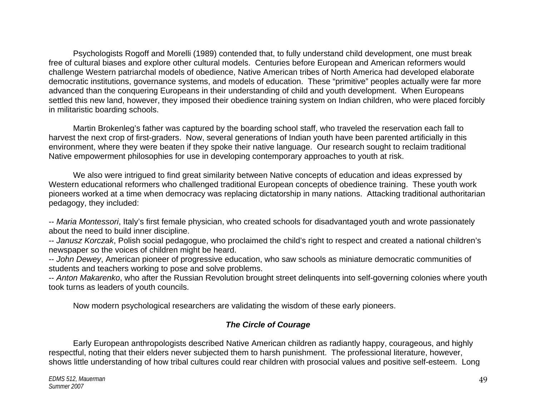Psychologists Rogoff and Morelli (1989) contended that, to fully understand child development, one must break free of cultural biases and explore other cultural models. Centuries before European and American reformers would challenge Western patriarchal models of obedience, Native American tribes of North America had developed elaborate democratic institutions, governance systems, and models of education. These "primitive" peoples actually were far more advanced than the conquering Europeans in their understanding of child and youth development. When Europeans settled this new land, however, they imposed their obedience training system on Indian children, who were placed forcibly in militaristic boarding schools.

 Martin Brokenleg's father was captured by the boarding school staff, who traveled the reservation each fall to harvest the next crop of first-graders. Now, several generations of Indian youth have been parented artificially in this environment, where they were beaten if they spoke their native language. Our research sought to reclaim traditional Native empowerment philosophies for use in developing contemporary approaches to youth at risk.

 We also were intrigued to find great similarity between Native concepts of education and ideas expressed by Western educational reformers who challenged traditional European concepts of obedience training. These youth work pioneers worked at a time when democracy was replacing dictatorship in many nations. Attacking traditional authoritarian pedagogy, they included:

-- *Maria Montessori*, Italy's first female physician, who created schools for disadvantaged youth and wrote passionately about the need to build inner discipline.

-- *Janusz Korczak*, Polish social pedagogue, who proclaimed the child's right to respect and created a national children's newspaper so the voices of children might be heard.

-- *John Dewey*, American pioneer of progressive education, who saw schools as miniature democratic communities of students and teachers working to pose and solve problems.

-- *Anton Makarenko*, who after the Russian Revolution brought street delinquents into self-governing colonies where youth took turns as leaders of youth councils.

Now modern psychological researchers are validating the wisdom of these early pioneers.

### *The Circle of Courage*

 Early European anthropologists described Native American children as radiantly happy, courageous, and highly respectful, noting that their elders never subjected them to harsh punishment. The professional literature, however, shows little understanding of how tribal cultures could rear children with prosocial values and positive self-esteem. Long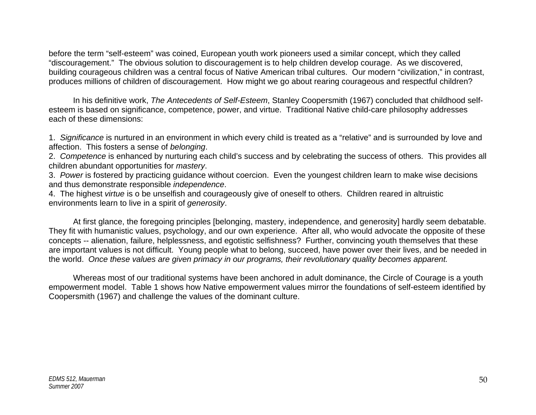before the term "self-esteem" was coined, European youth work pioneers used a similar concept, which they called "discouragement." The obvious solution to discouragement is to help children develop courage. As we discovered, building courageous children was a central focus of Native American tribal cultures. Our modern "civilization," in contrast, produces millions of children of discouragement. How might we go about rearing courageous and respectful children?

 In his definitive work, *The Antecedents of Self-Esteem*, Stanley Coopersmith (1967) concluded that childhood selfesteem is based on significance, competence, power, and virtue. Traditional Native child-care philosophy addresses each of these dimensions:

1. *Significance* is nurtured in an environment in which every child is treated as a "relative" and is surrounded by love and affection. This fosters a sense of *belonging*.

2. *Competence* is enhanced by nurturing each child's success and by celebrating the success of others. This provides all children abundant opportunities for *mastery*.

3. *Power* is fostered by practicing guidance without coercion. Even the youngest children learn to make wise decisions and thus demonstrate responsible *independence*.

4. The highest *virtue* is o be unselfish and courageously give of oneself to others. Children reared in altruistic environments learn to live in a spirit of *generosity*.

 At first glance, the foregoing principles [belonging, mastery, independence, and generosity] hardly seem debatable. They fit with humanistic values, psychology, and our own experience. After all, who would advocate the opposite of these concepts -- alienation, failure, helplessness, and egotistic selfishness? Further, convincing youth themselves that these are important values is not difficult. Young people what to belong, succeed, have power over their lives, and be needed in the world. *Once these values are given primacy in our programs, their revolutionary quality becomes apparent.* 

 Whereas most of our traditional systems have been anchored in adult dominance, the Circle of Courage is a youth empowerment model. Table 1 shows how Native empowerment values mirror the foundations of self-esteem identified by Coopersmith (1967) and challenge the values of the dominant culture.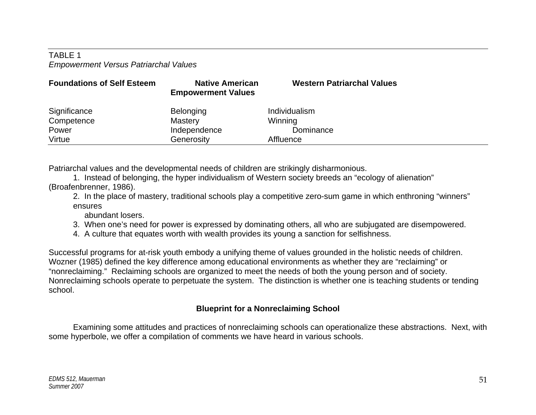#### TABLE 1 *Empowerment Versus Patriarchal Values*

| <b>Foundations of Self Esteem</b> | <b>Native American</b><br><b>Empowerment Values</b> | <b>Western Patriarchal Values</b> |
|-----------------------------------|-----------------------------------------------------|-----------------------------------|
| Significance                      | <b>Belonging</b>                                    | Individualism                     |
| Competence                        | Mastery                                             | Winning                           |
| Power                             | Independence                                        | Dominance                         |
| Virtue                            | Generosity                                          | Affluence                         |

Patriarchal values and the developmental needs of children are strikingly disharmonious.

 1. Instead of belonging, the hyper individualism of Western society breeds an "ecology of alienation" (Broafenbrenner, 1986).

2. In the place of mastery, traditional schools play a competitive zero-sum game in which enthroning "winners" ensures

abundant losers.

3. When one's need for power is expressed by dominating others, all who are subjugated are disempowered.

4. A culture that equates worth with wealth provides its young a sanction for selfishness.

Successful programs for at-risk youth embody a unifying theme of values grounded in the holistic needs of children. Wozner (1985) defined the key difference among educational environments as whether they are "reclaiming" or "nonreclaiming." Reclaiming schools are organized to meet the needs of both the young person and of society. Nonreclaiming schools operate to perpetuate the system. The distinction is whether one is teaching students or tending school.

### **Blueprint for a Nonreclaiming School**

 Examining some attitudes and practices of nonreclaiming schools can operationalize these abstractions. Next, with some hyperbole, we offer a compilation of comments we have heard in various schools.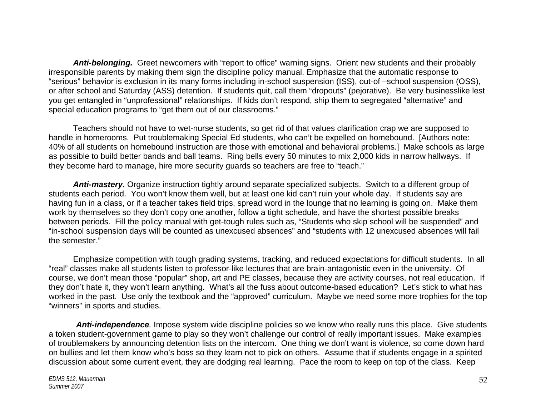*Anti-belonging.* Greet newcomers with "report to office" warning signs. Orient new students and their probably irresponsible parents by making them sign the discipline policy manual. Emphasize that the automatic response to "serious" behavior is exclusion in its many forms including in-school suspension (ISS), out-of –school suspension (OSS), or after school and Saturday (ASS) detention. If students quit, call them "dropouts" (pejorative). Be very businesslike lest you get entangled in "unprofessional" relationships. If kids don't respond, ship them to segregated "alternative" and special education programs to "get them out of our classrooms."

 Teachers should not have to wet-nurse students, so get rid of that values clarification crap we are supposed to handle in homerooms. Put troublemaking Special Ed students, who can't be expelled on homebound. [Authors note: 40% of all students on homebound instruction are those with emotional and behavioral problems.] Make schools as large as possible to build better bands and ball teams. Ring bells every 50 minutes to mix 2,000 kids in narrow hallways. If they become hard to manage, hire more security guards so teachers are free to "teach."

*Anti-mastery.* Organize instruction tightly around separate specialized subjects. Switch to a different group of students each period. You won't know them well, but at least one kid can't ruin your whole day. If students say are having fun in a class, or if a teacher takes field trips, spread word in the lounge that no learning is going on. Make them work by themselves so they don't copy one another, follow a tight schedule, and have the shortest possible breaks between periods. Fill the policy manual with get-tough rules such as, "Students who skip school will be suspended" and "in-school suspension days will be counted as unexcused absences" and "students with 12 unexcused absences will fail the semester."

 Emphasize competition with tough grading systems, tracking, and reduced expectations for difficult students. In all "real" classes make all students listen to professor-like lectures that are brain-antagonistic even in the university. Of course, we don't mean those "popular" shop, art and PE classes, because they are activity courses, not real education. If they don't hate it, they won't learn anything. What's all the fuss about outcome-based education? Let's stick to what has worked in the past. Use only the textbook and the "approved" curriculum. Maybe we need some more trophies for the top "winners" in sports and studies.

*Anti-independence.* Impose system wide discipline policies so we know who really runs this place. Give students a token student-government game to play so they won't challenge our control of really important issues. Make examples of troublemakers by announcing detention lists on the intercom. One thing we don't want is violence, so come down hard on bullies and let them know who's boss so they learn not to pick on others. Assume that if students engage in a spirited discussion about some current event, they are dodging real learning. Pace the room to keep on top of the class. Keep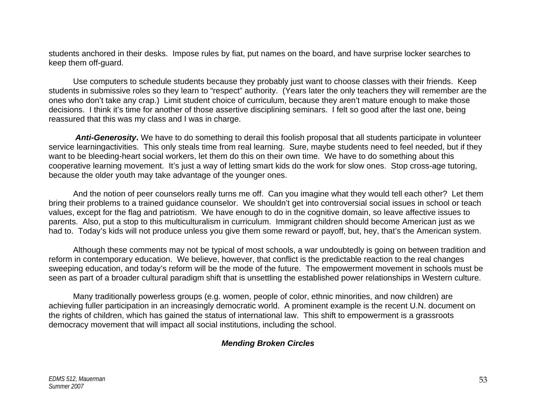students anchored in their desks. Impose rules by fiat, put names on the board, and have surprise locker searches to keep them off-guard.

 Use computers to schedule students because they probably just want to choose classes with their friends. Keep students in submissive roles so they learn to "respect" authority. (Years later the only teachers they will remember are the ones who don't take any crap.) Limit student choice of curriculum, because they aren't mature enough to make those decisions. I think it's time for another of those assertive disciplining seminars. I felt so good after the last one, being reassured that this was my class and I was in charge.

*Anti-Generosity***.** We have to do something to derail this foolish proposal that all students participate in volunteer service learningactivities. This only steals time from real learning. Sure, maybe students need to feel needed, but if they want to be bleeding-heart social workers, let them do this on their own time. We have to do something about this cooperative learning movement. It's just a way of letting smart kids do the work for slow ones. Stop cross-age tutoring, because the older youth may take advantage of the younger ones.

 And the notion of peer counselors really turns me off. Can you imagine what they would tell each other? Let them bring their problems to a trained guidance counselor. We shouldn't get into controversial social issues in school or teach values, except for the flag and patriotism. We have enough to do in the cognitive domain, so leave affective issues to parents. Also, put a stop to this multiculturalism in curriculum. Immigrant children should become American just as we had to. Today's kids will not produce unless you give them some reward or payoff, but, hey, that's the American system.

 Although these comments may not be typical of most schools, a war undoubtedly is going on between tradition and reform in contemporary education. We believe, however, that conflict is the predictable reaction to the real changes sweeping education, and today's reform will be the mode of the future. The empowerment movement in schools must be seen as part of a broader cultural paradigm shift that is unsettling the established power relationships in Western culture.

 Many traditionally powerless groups (e.g. women, people of color, ethnic minorities, and now children) are achieving fuller participation in an increasingly democratic world. A prominent example is the recent U.N. document on the rights of children, which has gained the status of international law. This shift to empowerment is a grassroots democracy movement that will impact all social institutions, including the school.

### *Mending Broken Circles*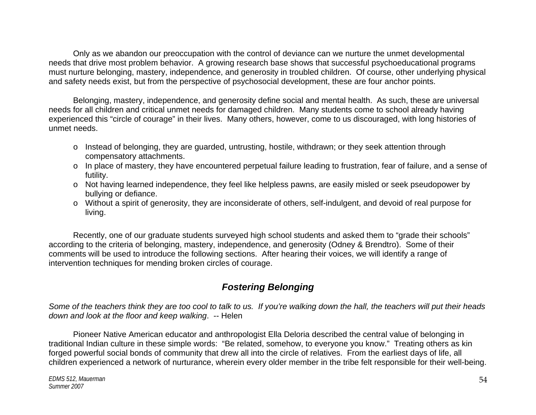Only as we abandon our preoccupation with the control of deviance can we nurture the unmet developmental needs that drive most problem behavior. A growing research base shows that successful psychoeducational programs must nurture belonging, mastery, independence, and generosity in troubled children. Of course, other underlying physical and safety needs exist, but from the perspective of psychosocial development, these are four anchor points.

 Belonging, mastery, independence, and generosity define social and mental health. As such, these are universal needs for all children and critical unmet needs for damaged children. Many students come to school already having experienced this "circle of courage" in their lives. Many others, however, come to us discouraged, with long histories of unmet needs.

- <sup>o</sup> Instead of belonging, they are guarded, untrusting, hostile, withdrawn; or they seek attention through compensatory attachments.
- <sup>o</sup> In place of mastery, they have encountered perpetual failure leading to frustration, fear of failure, and a sense of futility.
- <sup>o</sup> Not having learned independence, they feel like helpless pawns, are easily misled or seek pseudopower by bullying or defiance.
- <sup>o</sup> Without a spirit of generosity, they are inconsiderate of others, self-indulgent, and devoid of real purpose for living.

Recently, one of our graduate students surveyed high school students and asked them to "grade their schools" according to the criteria of belonging, mastery, independence, and generosity (Odney & Brendtro). Some of their comments will be used to introduce the following sections. After hearing their voices, we will identify a range of intervention techniques for mending broken circles of courage.

# *Fostering Belonging*

*Some of the teachers think they are too cool to talk to us. If you're walking down the hall, the teachers will put their heads down and look at the floor and keep walking*. -- Helen

 Pioneer Native American educator and anthropologist Ella Deloria described the central value of belonging in traditional Indian culture in these simple words: "Be related, somehow, to everyone you know." Treating others as kin forged powerful social bonds of community that drew all into the circle of relatives. From the earliest days of life, all children experienced a network of nurturance, wherein every older member in the tribe felt responsible for their well-being.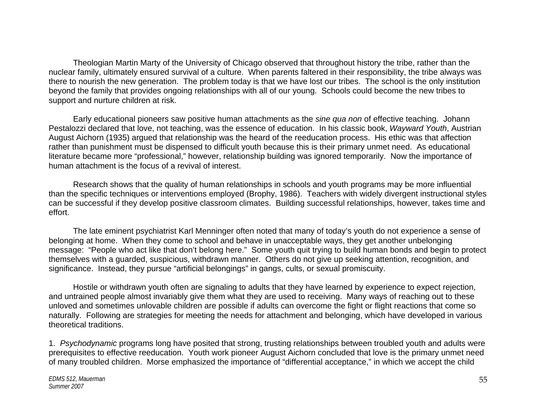Theologian Martin Marty of the University of Chicago observed that throughout history the tribe, rather than the nuclear family, ultimately ensured survival of a culture. When parents faltered in their responsibility, the tribe always was there to nourish the new generation. The problem today is that we have lost our tribes. The school is the only institution beyond the family that provides ongoing relationships with all of our young. Schools could become the new tribes to support and nurture children at risk.

 Early educational pioneers saw positive human attachments as the *sine qua non* of effective teaching. Johann Pestalozzi declared that love, not teaching, was the essence of education. In his classic book, *Wayward Youth*, Austrian August Aichorn (1935) argued that relationship was the heard of the reeducation process. His ethic was that affection rather than punishment must be dispensed to difficult youth because this is their primary unmet need. As educational literature became more "professional," however, relationship building was ignored temporarily. Now the importance of human attachment is the focus of a revival of interest.

 Research shows that the quality of human relationships in schools and youth programs may be more influential than the specific techniques or interventions employed (Brophy, 1986). Teachers with widely divergent instructional styles can be successful if they develop positive classroom climates. Building successful relationships, however, takes time and effort.

 The late eminent psychiatrist Karl Menninger often noted that many of today's youth do not experience a sense of belonging at home. When they come to school and behave in unacceptable ways, they get another unbelonging message: "People who act like that don't belong here." Some youth quit trying to build human bonds and begin to protect themselves with a guarded, suspicious, withdrawn manner. Others do not give up seeking attention, recognition, and significance. Instead, they pursue "artificial belongings" in gangs, cults, or sexual promiscuity.

 Hostile or withdrawn youth often are signaling to adults that they have learned by experience to expect rejection, and untrained people almost invariably give them what they are used to receiving. Many ways of reaching out to these unloved and sometimes unlovable children are possible if adults can overcome the fight or flight reactions that come so naturally. Following are strategies for meeting the needs for attachment and belonging, which have developed in various theoretical traditions.

1. *Psychodynamic* programs long have posited that strong, trusting relationships between troubled youth and adults were prerequisites to effective reeducation. Youth work pioneer August Aichorn concluded that love is the primary unmet need of many troubled children. Morse emphasized the importance of "differential acceptance," in which we accept the child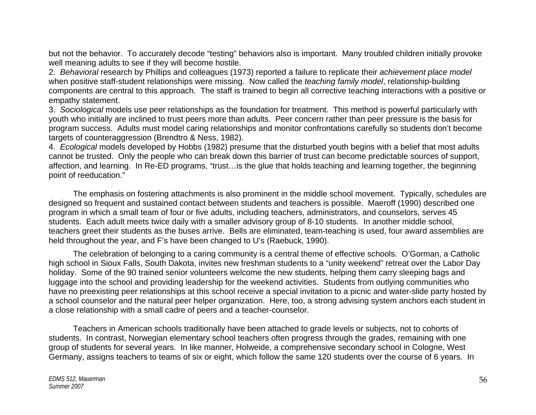but not the behavior. To accurately decode "testing" behaviors also is important. Many troubled children initially provoke well meaning adults to see if they will become hostile.

2. *Behavioral* research by Phillips and colleagues (1973) reported a failure to replicate their *achievement place model* when positive staff-student relationships were missing. Now called the *teaching family model*, relationship-building components are central to this approach. The staff is trained to begin all corrective teaching interactions with a positive or empathy statement.

3. *Sociological* models use peer relationships as the foundation for treatment. This method is powerful particularly with youth who initially are inclined to trust peers more than adults. Peer concern rather than peer pressure is the basis for program success. Adults must model caring relationships and monitor confrontations carefully so students don't become targets of counteraggression (Brendtro & Ness, 1982).

4. *Ecological* models developed by Hobbs (1982) presume that the disturbed youth begins with a belief that most adults cannot be trusted. Only the people who can break down this barrier of trust can become predictable sources of support, affection, and learning. In Re-ED programs, "trust…is the glue that holds teaching and learning together, the beginning point of reeducation."

The emphasis on fostering attachments is also prominent in the middle school movement. Typically, schedules are designed so frequent and sustained contact between students and teachers is possible. Maeroff (1990) described one program in which a small team of four or five adults, including teachers, administrators, and counselors, serves 45 students. Each adult meets twice daily with a smaller advisory group of 8-10 students. In another middle school, teachers greet their students as the buses arrive. Bells are eliminated, team-teaching is used, four award assemblies are held throughout the year, and F's have been changed to U's (Raebuck, 1990).

 The celebration of belonging to a caring community is a central theme of effective schools. O'Gorman, a Catholic high school in Sioux Falls, South Dakota, invites new freshman students to a "unity weekend" retreat over the Labor Day holiday. Some of the 90 trained senior volunteers welcome the new students, helping them carry sleeping bags and luggage into the school and providing leadership for the weekend activities. Students from outlying communities who have no preexisting peer relationships at this school receive a special invitation to a picnic and water-slide party hosted by a school counselor and the natural peer helper organization. Here, too, a strong advising system anchors each student in a close relationship with a small cadre of peers and a teacher-counselor.

 Teachers in American schools traditionally have been attached to grade levels or subjects, not to cohorts of students. In contrast, Norwegian elementary school teachers often progress through the grades, remaining with one group of students for several years. In like manner, Holweide, a comprehensive secondary school in Cologne, West Germany, assigns teachers to teams of six or eight, which follow the same 120 students over the course of 6 years. In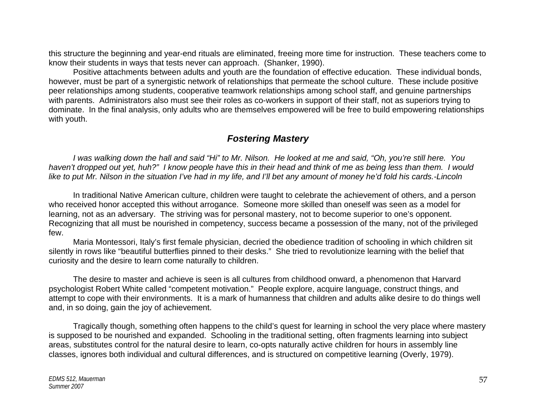this structure the beginning and year-end rituals are eliminated, freeing more time for instruction. These teachers come to know their students in ways that tests never can approach. (Shanker, 1990).

 Positive attachments between adults and youth are the foundation of effective education. These individual bonds, however, must be part of a synergistic network of relationships that permeate the school culture. These include positive peer relationships among students, cooperative teamwork relationships among school staff, and genuine partnerships with parents. Administrators also must see their roles as co-workers in support of their staff, not as superiors trying to dominate. In the final analysis, only adults who are themselves empowered will be free to build empowering relationships with youth.

### *Fostering Mastery*

*I was walking down the hall and said "Hi" to Mr. Nilson. He looked at me and said, "Oh, you're still here. You haven't dropped out yet, huh?" I know people have this in their head and think of me as being less than them. I would like to put Mr. Nilson in the situation I've had in my life, and I'll bet any amount of money he'd fold his cards.-Lincoln*

 In traditional Native American culture, children were taught to celebrate the achievement of others, and a person who received honor accepted this without arrogance. Someone more skilled than oneself was seen as a model for learning, not as an adversary. The striving was for personal mastery, not to become superior to one's opponent. Recognizing that all must be nourished in competency, success became a possession of the many, not of the privileged few.

 Maria Montessori, Italy's first female physician, decried the obedience tradition of schooling in which children sit silently in rows like "beautiful butterflies pinned to their desks." She tried to revolutionize learning with the belief that curiosity and the desire to learn come naturally to children.

 The desire to master and achieve is seen is all cultures from childhood onward, a phenomenon that Harvard psychologist Robert White called "competent motivation." People explore, acquire language, construct things, and attempt to cope with their environments. It is a mark of humanness that children and adults alike desire to do things well and, in so doing, gain the joy of achievement.

 Tragically though, something often happens to the child's quest for learning in school the very place where mastery is supposed to be nourished and expanded. Schooling in the traditional setting, often fragments learning into subject areas, substitutes control for the natural desire to learn, co-opts naturally active children for hours in assembly line classes, ignores both individual and cultural differences, and is structured on competitive learning (Overly, 1979).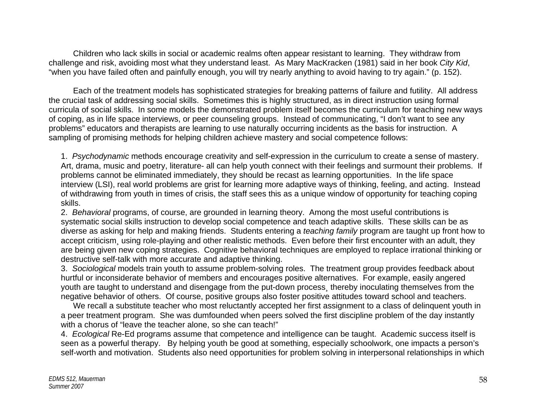Children who lack skills in social or academic realms often appear resistant to learning. They withdraw from challenge and risk, avoiding most what they understand least. As Mary MacKracken (1981) said in her book *City Kid*, "when you have failed often and painfully enough, you will try nearly anything to avoid having to try again." (p. 152).

 Each of the treatment models has sophisticated strategies for breaking patterns of failure and futility. All address the crucial task of addressing social skills. Sometimes this is highly structured, as in direct instruction using formal curricula of social skills. In some models the demonstrated problem itself becomes the curriculum for teaching new ways of coping, as in life space interviews, or peer counseling groups. Instead of communicating, "I don't want to see any problems" educators and therapists are learning to use naturally occurring incidents as the basis for instruction. A sampling of promising methods for helping children achieve mastery and social competence follows:

1. *Psychodynamic* methods encourage creativity and self-expression in the curriculum to create a sense of mastery. Art, drama, music and poetry, literature- all can help youth connect with their feelings and surmount their problems. If problems cannot be eliminated immediately, they should be recast as learning opportunities. In the life space interview (LSI), real world problems are grist for learning more adaptive ways of thinking, feeling, and acting. Instead of withdrawing from youth in times of crisis, the staff sees this as a unique window of opportunity for teaching coping skills.

2. *Behavioral* programs, of course, are grounded in learning theory. Among the most useful contributions is systematic social skills instruction to develop social competence and teach adaptive skills. These skills can be as diverse as asking for help and making friends. Students entering a *teaching family* program are taught up front how to accept criticism, using role-playing and other realistic methods. Even before their first encounter with an adult, they are being given new coping strategies. Cognitive behavioral techniques are employed to replace irrational thinking or destructive self-talk with more accurate and adaptive thinking.

3. *Sociological* models train youth to assume problem-solving roles. The treatment group provides feedback about hurtful or inconsiderate behavior of members and encourages positive alternatives. For example, easily angered youth are taught to understand and disengage from the put-down process¸ thereby inoculating themselves from the negative behavior of others. Of course, positive groups also foster positive attitudes toward school and teachers.

 We recall a substitute teacher who most reluctantly accepted her first assignment to a class of delinquent youth in a peer treatment program. She was dumfounded when peers solved the first discipline problem of the day instantly with a chorus of "leave the teacher alone, so she can teach!"

4. *Ecological* Re-Ed programs assume that competence and intelligence can be taught. Academic success itself is seen as a powerful therapy. By helping youth be good at something, especially schoolwork, one impacts a person's self-worth and motivation. Students also need opportunities for problem solving in interpersonal relationships in which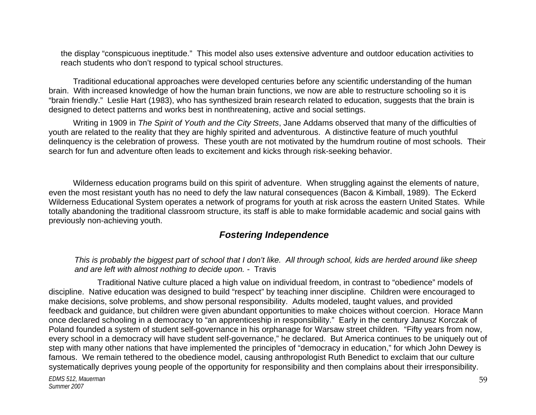the display "conspicuous ineptitude." This model also uses extensive adventure and outdoor education activities to reach students who don't respond to typical school structures.

 Traditional educational approaches were developed centuries before any scientific understanding of the human brain. With increased knowledge of how the human brain functions, we now are able to restructure schooling so it is "brain friendly." Leslie Hart (1983), who has synthesized brain research related to education, suggests that the brain is designed to detect patterns and works best in nonthreatening, active and social settings.

Writing in 1909 in *The Spirit of Youth and the City Streets*, Jane Addams observed that many of the difficulties of youth are related to the reality that they are highly spirited and adventurous. A distinctive feature of much youthful delinquency is the celebration of prowess. These youth are not motivated by the humdrum routine of most schools. Their search for fun and adventure often leads to excitement and kicks through risk-seeking behavior.

Wilderness education programs build on this spirit of adventure. When struggling against the elements of nature, even the most resistant youth has no need to defy the law natural consequences (Bacon & Kimball, 1989). The Eckerd Wilderness Educational System operates a network of programs for youth at risk across the eastern United States. While totally abandoning the traditional classroom structure, its staff is able to make formidable academic and social gains with previously non-achieving youth.

## *Fostering Independence*

*This is probably the biggest part of school that I don't like. All through school, kids are herded around like sheep and are left with almost nothing to decide upon. -* Travis

 Traditional Native culture placed a high value on individual freedom, in contrast to "obedience" models of discipline. Native education was designed to build "respect" by teaching inner discipline. Children were encouraged to make decisions, solve problems, and show personal responsibility. Adults modeled, taught values, and provided feedback and guidance, but children were given abundant opportunities to make choices without coercion. Horace Mann once declared schooling in a democracy to "an apprenticeship in responsibility." Early in the century Janusz Korczak of Poland founded a system of student self-governance in his orphanage for Warsaw street children. "Fifty years from now, every school in a democracy will have student self-governance," he declared. But America continues to be uniquely out of step with many other nations that have implemented the principles of "democracy in education," for which John Dewey is famous. We remain tethered to the obedience model, causing anthropologist Ruth Benedict to exclaim that our culture systematically deprives young people of the opportunity for responsibility and then complains about their irresponsibility.

*EDMS 512, Mauerman Summer 2007*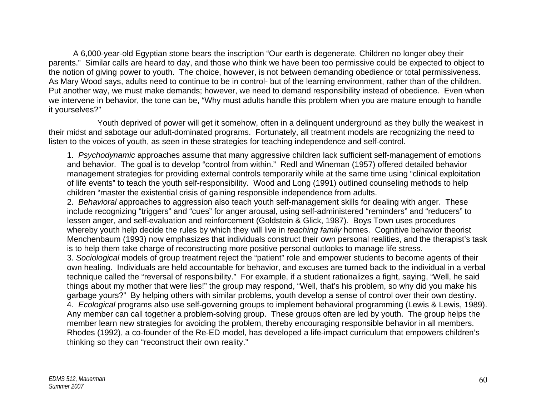A 6,000-year-old Egyptian stone bears the inscription "Our earth is degenerate. Children no longer obey their parents." Similar calls are heard to day, and those who think we have been too permissive could be expected to object to the notion of giving power to youth. The choice, however, is not between demanding obedience or total permissiveness. As Mary Wood says, adults need to continue to be in control- but of the learning environment, rather than of the children. Put another way, we must make demands; however, we need to demand responsibility instead of obedience. Even when we intervene in behavior, the tone can be, "Why must adults handle this problem when you are mature enough to handle it yourselves?"

 Youth deprived of power will get it somehow, often in a delinquent underground as they bully the weakest in their midst and sabotage our adult-dominated programs. Fortunately, all treatment models are recognizing the need to listen to the voices of youth, as seen in these strategies for teaching independence and self-control.

1. *Psychodynamic* approaches assume that many aggressive children lack sufficient self-management of emotions and behavior. The goal is to develop "control from within." Redl and Wineman (1957) offered detailed behavior management strategies for providing external controls temporarily while at the same time using "clinical exploitation of life events" to teach the youth self-responsibility. Wood and Long (1991) outlined counseling methods to help children "master the existential crisis of gaining responsible independence from adults.

2. *Behavioral* approaches to aggression also teach youth self-management skills for dealing with anger. These include recognizing "triggers" and "cues" for anger arousal, using self-administered "reminders" and "reducers" to lessen anger, and self-evaluation and reinforcement (Goldstein & Glick, 1987). Boys Town uses procedures whereby youth help decide the rules by which they will live in *teaching family* homes. Cognitive behavior theorist Menchenbaum (1993) now emphasizes that individuals construct their own personal realities, and the therapist's task is to help them take charge of reconstructing more positive personal outlooks to manage life stress.

3. *Sociological* models of group treatment reject the "patient" role and empower students to become agents of their own healing. Individuals are held accountable for behavior, and excuses are turned back to the individual in a verbal technique called the "reversal of responsibility." For example, if a student rationalizes a fight, saying, "Well, he said things about my mother that were lies!" the group may respond, "Well, that's his problem, so why did you make his garbage yours?" By helping others with similar problems, youth develop a sense of control over their own destiny. 4. *Ecological* programs also use self-governing groups to implement behavioral programming (Lewis & Lewis, 1989). Any member can call together a problem-solving group. These groups often are led by youth. The group helps the member learn new strategies for avoiding the problem, thereby encouraging responsible behavior in all members. Rhodes (1992), a co-founder of the Re-ED model, has developed a life-impact curriculum that empowers children's thinking so they can "reconstruct their own reality."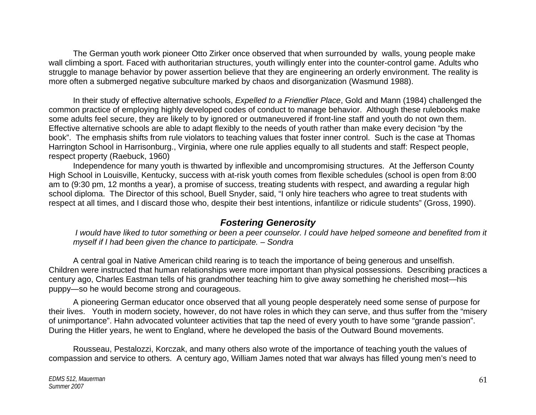The German youth work pioneer Otto Zirker once observed that when surrounded by walls, young people make wall climbing a sport. Faced with authoritarian structures, youth willingly enter into the counter-control game. Adults who struggle to manage behavior by power assertion believe that they are engineering an orderly environment. The reality is more often a submerged negative subculture marked by chaos and disorganization (Wasmund 1988).

In their study of effective alternative schools, *Expelled to a Friendlier Place*, Gold and Mann (1984) challenged the common practice of employing highly developed codes of conduct to manage behavior. Although these rulebooks make some adults feel secure, they are likely to by ignored or outmaneuvered if front-line staff and youth do not own them. Effective alternative schools are able to adapt flexibly to the needs of youth rather than make every decision "by the book". The emphasis shifts from rule violators to teaching values that foster inner control. Such is the case at Thomas Harrington School in Harrisonburg., Virginia, where one rule applies equally to all students and staff: Respect people, respect property (Raebuck, 1960)

Independence for many youth is thwarted by inflexible and uncompromising structures. At the Jefferson County High School in Louisville, Kentucky, success with at-risk youth comes from flexible schedules (school is open from 8:00 am to (9:30 pm, 12 months a year), a promise of success, treating students with respect, and awarding a regular high school diploma. The Director of this school, Buell Snyder, said, "I only hire teachers who agree to treat students with respect at all times, and I discard those who, despite their best intentions, infantilize or ridicule students" (Gross, 1990).

## *Fostering Generosity*

*I would have liked to tutor something or been a peer counselor. I could have helped someone and benefited from it myself if I had been given the chance to participate. – Sondra* 

A central goal in Native American child rearing is to teach the importance of being generous and unselfish. Children were instructed that human relationships were more important than physical possessions. Describing practices a century ago, Charles Eastman tells of his grandmother teaching him to give away something he cherished most—his puppy—so he would become strong and courageous.

 A pioneering German educator once observed that all young people desperately need some sense of purpose for their lives. Youth in modern society, however, do not have roles in which they can serve, and thus suffer from the "misery of unimportance". Hahn advocated volunteer activities that tap the need of every youth to have some "grande passion". During the Hitler years, he went to England, where he developed the basis of the Outward Bound movements.

 Rousseau, Pestalozzi, Korczak, and many others also wrote of the importance of teaching youth the values of compassion and service to others. A century ago, William James noted that war always has filled young men's need to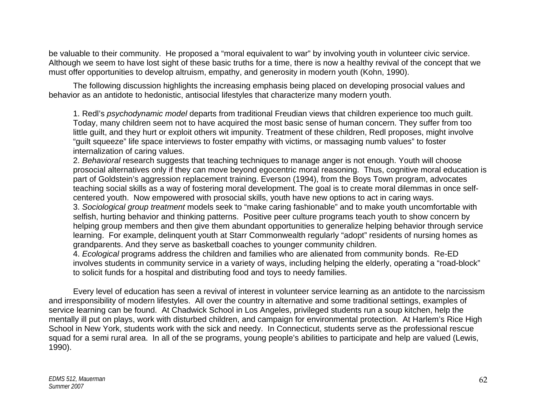be valuable to their community. He proposed a "moral equivalent to war" by involving youth in volunteer civic service. Although we seem to have lost sight of these basic truths for a time, there is now a healthy revival of the concept that we must offer opportunities to develop altruism, empathy, and generosity in modern youth (Kohn, 1990).

 The following discussion highlights the increasing emphasis being placed on developing prosocial values and behavior as an antidote to hedonistic, antisocial lifestyles that characterize many modern youth.

1. Redl's *psychodynamic model* departs from traditional Freudian views that children experience too much guilt. Today, many children seem not to have acquired the most basic sense of human concern. They suffer from too little guilt, and they hurt or exploit others wit impunity. Treatment of these children, Redl proposes, might involve "guilt squeeze" life space interviews to foster empathy with victims, or massaging numb values" to foster internalization of caring values.

2. *Behavioral* research suggests that teaching techniques to manage anger is not enough. Youth will choose prosocial alternatives only if they can move beyond egocentric moral reasoning. Thus, cognitive moral education is part of Goldstein's aggression replacement training. Everson (1994), from the Boys Town program, advocates teaching social skills as a way of fostering moral development. The goal is to create moral dilemmas in once selfcentered youth. Now empowered with prosocial skills, youth have new options to act in caring ways.

3. *Sociological group treatment* models seek to "make caring fashionable" and to make youth uncomfortable with selfish, hurting behavior and thinking patterns. Positive peer culture programs teach youth to show concern by helping group members and then give them abundant opportunities to generalize helping behavior through service learning. For example, delinquent youth at Starr Commonwealth regularly "adopt" residents of nursing homes as grandparents. And they serve as basketball coaches to younger community children.

4. *Ecological* programs address the children and families who are alienated from community bonds. Re-ED involves students in community service in a variety of ways, including helping the elderly, operating a "road-block" to solicit funds for a hospital and distributing food and toys to needy families.

 Every level of education has seen a revival of interest in volunteer service learning as an antidote to the narcissism and irresponsibility of modern lifestyles. All over the country in alternative and some traditional settings, examples of service learning can be found. At Chadwick School in Los Angeles, privileged students run a soup kitchen, help the mentally ill put on plays, work with disturbed children, and campaign for environmental protection. At Harlem's Rice High School in New York, students work with the sick and needy. In Connecticut, students serve as the professional rescue squad for a semi rural area. In all of the se programs, young people's abilities to participate and help are valued (Lewis, 1990).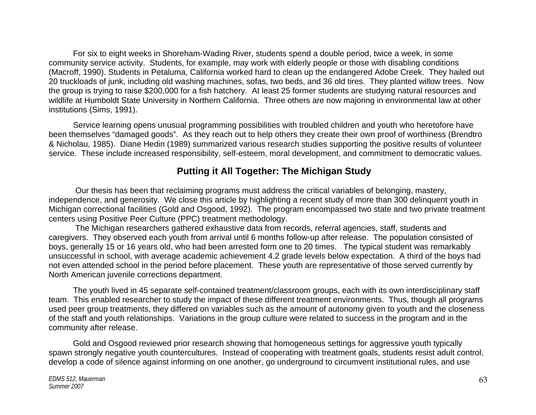For six to eight weeks in Shoreham-Wading River, students spend a double period, twice a week, in some community service activity. Students, for example, may work with elderly people or those with disabling conditions (Macroff, 1990). Students in Petaluma, California worked hard to clean up the endangered Adobe Creek. They hailed out 20 truckloads of junk, including old washing machines, sofas, two beds, and 36 old tires. They planted willow trees. Now the group is trying to raise \$200,000 for a fish hatchery. At least 25 former students are studying natural resources and wildlife at Humboldt State University in Northern California. Three others are now majoring in environmental law at other institutions (Sims, 1991).

 Service learning opens unusual programming possibilities with troubled children and youth who heretofore have been themselves "damaged goods". As they reach out to help others they create their own proof of worthiness (Brendtro & Nicholau, 1985). Diane Hedin (1989) summarized various research studies supporting the positive results of volunteer service. These include increased responsibility, self-esteem, moral development, and commitment to democratic values.

# **Putting it All Together: The Michigan Study**

 Our thesis has been that reclaiming programs must address the critical variables of belonging, mastery, independence, and generosity. We close this article by highlighting a recent study of more than 300 delinquent youth in Michigan correctional facilities (Gold and Osgood, 1992). The program encompassed two state and two private treatment centers using Positive Peer Culture (PPC) treatment methodology.

 The Michigan researchers gathered exhaustive data from records, referral agencies, staff, students and caregivers. They observed each youth from arrival until 6 months follow-up after release. The population consisted of boys, generally 15 or 16 years old, who had been arrested form one to 20 times. The typical student was remarkably unsuccessful in school, with average academic achievement 4.2 grade levels below expectation. A third of the boys had not even attended school in the period before placement. These youth are representative of those served currently by North American juvenile corrections department.

 The youth lived in 45 separate self-contained treatment/classroom groups, each with its own interdisciplinary staff team. This enabled researcher to study the impact of these different treatment environments. Thus, though all programs used peer group treatments, they differed on variables such as the amount of autonomy given to youth and the closeness of the staff and youth relationships. Variations in the group culture were related to success in the program and in the community after release.

 Gold and Osgood reviewed prior research showing that homogeneous settings for aggressive youth typically spawn strongly negative youth countercultures. Instead of cooperating with treatment goals, students resist adult control, develop a code of silence against informing on one another, go underground to circumvent institutional rules, and use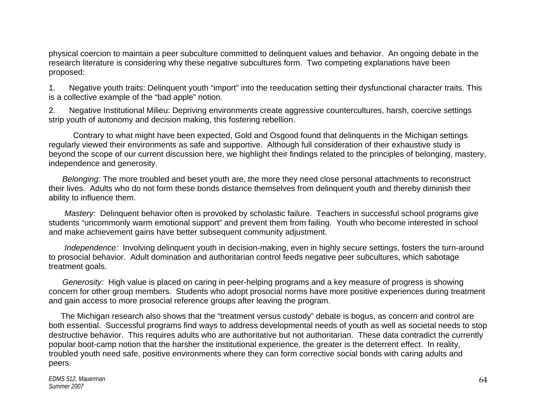physical coercion to maintain a peer subculture committed to delinquent values and behavior. An ongoing debate in the research literature is considering why these negative subcultures form. Two competing explanations have been proposed:

1. Negative youth traits: Delinquent youth "import" into the reeducation setting their dysfunctional character traits. This is a collective example of the "bad apple" notion.

2. Negative Institutional Milieu: Depriving environments create aggressive countercultures, harsh, coercive settings strip youth of autonomy and decision making, this fostering rebellion.

 Contrary to what might have been expected, Gold and Osgood found that delinquents in the Michigan settings regularly viewed their environments as safe and supportive. Although full consideration of their exhaustive study is beyond the scope of our current discussion here, we highlight their findings related to the principles of belonging, mastery, independence and generosity.

*Belonging:* The more troubled and beset youth are, the more they need close personal attachments to reconstruct their lives. Adults who do not form these bonds distance themselves from delinquent youth and thereby diminish their ability to influence them.

*Mastery:* Delinquent behavior often is provoked by scholastic failure. Teachers in successful school programs give students "uncommonly warm emotional support" and prevent them from failing. Youth who become interested in school and make achievement gains have better subsequent community adjustment.

*Independence:* Involving delinquent youth in decision-making, even in highly secure settings, fosters the turn-around to prosocial behavior. Adult domination and authoritarian control feeds negative peer subcultures, which sabotage treatment goals.

*Generosity:* High value is placed on caring in peer-helping programs and a key measure of progress is showing concern for other group members. Students who adopt prosocial norms have more positive experiences during treatment and gain access to more prosocial reference groups after leaving the program.

The Michigan research also shows that the "treatment versus custody" debate is bogus, as concern and control are both essential. Successful programs find ways to address developmental needs of youth as well as societal needs to stop destructive behavior. This requires adults who are authoritative but not authoritarian. These data contradict the currently popular boot-camp notion that the harsher the institutional experience, the greater is the deterrent effect. In reality, troubled youth need safe, positive environments where they can form corrective social bonds with caring adults and peers.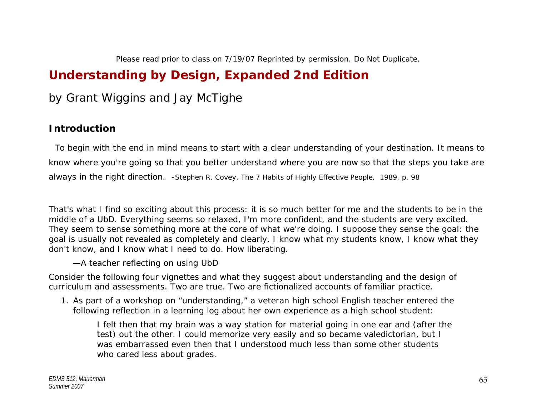Please read prior to class on 7/19/07 Reprinted by permission. Do Not Duplicate.

# **Understanding by Design, Expanded 2nd Edition**

# *by Grant Wiggins and Jay McTighe*

# **Introduction**

To begin with the end in mind means to start with a clear understanding of your destination. It means to know where you're going so that you better understand where you are now so that the steps you take are always in the right direction. -Stephen R. Covey, *The 7 Habits of Highly Effective People*, 1989, p. 98

That's what I find so exciting about this process: it is so much better for me and the students to be in the middle of a UbD. Everything seems so relaxed, I'm more confident, and the students are very excited. They seem to sense something more at the core of what we're doing. I suppose they sense the goal: the goal is usually not revealed as completely and clearly. I know what my students know, I know what they don't know, and I know what I need to do. How liberating.

—A teacher reflecting on using UbD

Consider the following four vignettes and what they suggest about understanding and the design of curriculum and assessments. Two are true. Two are fictionalized accounts of familiar practice.

1. As part of a workshop on "understanding," a veteran high school English teacher entered the following reflection in a learning log about her own experience as a high school student:

I felt then that my brain was a way station for material going in one ear and (after the test) out the other. I could memorize very easily and so became valedictorian, but I was embarrassed even then that I understood much less than some other students who cared less about grades.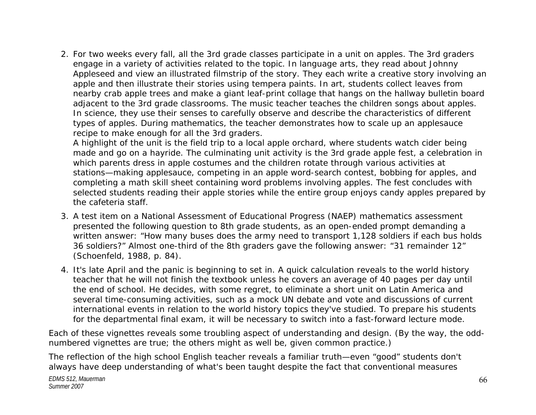2. For two weeks every fall, all the 3rd grade classes participate in a unit on apples. The 3rd graders engage in a variety of activities related to the topic. In language arts, they read about Johnny Appleseed and view an illustrated filmstrip of the story. They each write a creative story involving an apple and then illustrate their stories using tempera paints. In art, students collect leaves from nearby crab apple trees and make a giant leaf-print collage that hangs on the hallway bulletin board adjacent to the 3rd grade classrooms. The music teacher teaches the children songs about apples. In science, they use their senses to carefully observe and describe the characteristics of different types of apples. During mathematics, the teacher demonstrates how to scale up an applesauce recipe to make enough for all the 3rd graders.

A highlight of the unit is the field trip to a local apple orchard, where students watch cider being made and go on a hayride. The culminating unit activity is the 3rd grade apple fest, a celebration in which parents dress in apple costumes and the children rotate through various activities at stations—making applesauce, competing in an apple word-search contest, bobbing for apples, and completing a math skill sheet containing word problems involving apples. The fest concludes with selected students reading their apple stories while the entire group enjoys candy apples prepared by the cafeteria staff.

- 3. A test item on a National Assessment of Educational Progress (NAEP) mathematics assessment presented the following question to 8th grade students, as an open-ended prompt demanding a written answer: "How many buses does the army need to transport 1,128 soldiers if each bus holds 36 soldiers?" Almost one-third of the 8th graders gave the following answer: "31 remainder 12" (Schoenfeld, 1988, p. 84).
- 4. It's late April and the panic is beginning to set in. A quick calculation reveals to the world history teacher that he will not finish the textbook unless he covers an average of 40 pages per day until the end of school. He decides, with some regret, to eliminate a short unit on Latin America and several time-consuming activities, such as a mock UN debate and vote and discussions of current international events in relation to the world history topics they've studied. To prepare his students for the departmental final exam, it will be necessary to switch into a fast-forward lecture mode.

Each of these vignettes reveals some troubling aspect of *understanding* and *design*. (By the way, the oddnumbered vignettes are true; the others might as well be, given common practice.)

The reflection of the high school English teacher reveals a familiar truth—even "good" students don't always have deep understanding of what's been taught despite the fact that conventional measures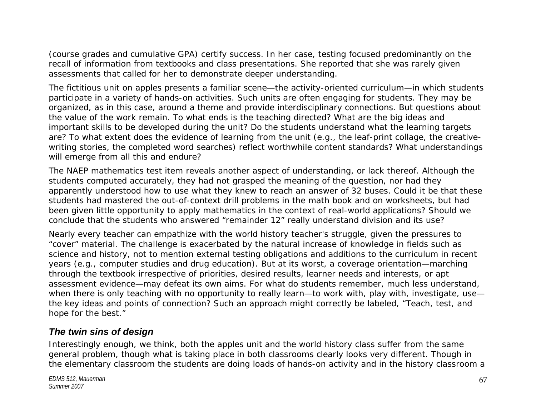(course grades and cumulative GPA) certify success. In her case, testing focused predominantly on the recall of information from textbooks and class presentations. She reported that she was rarely given assessments that called for her to demonstrate deeper understanding.

The fictitious unit on apples presents a familiar scene—the *activity*-oriented curriculum—in which students participate in a variety of hands-on activities. Such units are often engaging for students. They may be organized, as in this case, around a theme and provide interdisciplinary connections. But questions about the value of the work remain. To what ends is the teaching directed? What are the big ideas and important skills to be developed during the unit? Do the students understand what the learning targets are? To what extent does the *evidence* of learning from the unit (e.g., the leaf-print collage, the creativewriting stories, the completed word searches) reflect worthwhile content standards? What understandings will emerge from all this and endure?

The NAEP mathematics test item reveals another aspect of understanding, or lack thereof. Although the students computed accurately, they had not grasped the meaning of the question, nor had they apparently understood how to use what they knew to reach an answer of 32 buses. Could it be that these students had mastered the out-of-context drill problems in the math book and on worksheets, but had been given little opportunity to apply mathematics in the context of real-world applications? Should we conclude that the students who answered "remainder 12" *really* understand division and its use?

Nearly every teacher can empathize with the world history teacher's struggle, given the pressures to "cover" material. The challenge is exacerbated by the natural increase of knowledge in fields such as science and history, not to mention external testing obligations and additions to the curriculum in recent years (e.g., computer studies and drug education). But at its worst, a *coverage* orientation—marching through the textbook irrespective of priorities, desired results, learner needs and interests, or apt assessment evidence—may defeat its own aims. For what do students remember, much less understand, when there is only *teaching* with no opportunity to really *learn*—to work with, play with, investigate, use the key ideas and points of connection? Such an approach might correctly be labeled, "Teach, test, and hope for the best."

# *The twin sins of design*

Interestingly enough, we think, both the apples unit and the world history class suffer from the same general problem, though what is taking place in both classrooms clearly looks very different. Though in the elementary classroom the students are doing loads of hands-on activity and in the history classroom a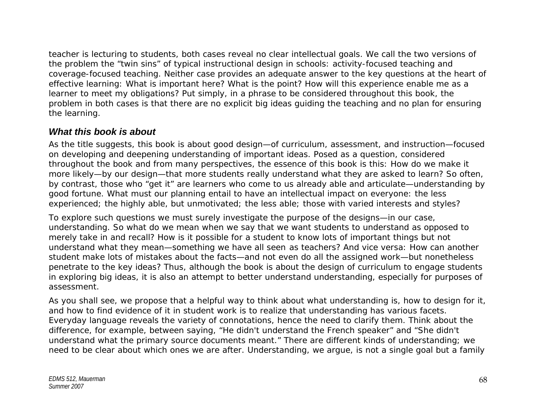teacher is lecturing to students, both cases reveal no clear intellectual goals. We call the two versions of the problem the "twin sins" of typical instructional design in schools: activity-focused teaching and coverage-focused teaching. Neither case provides an adequate answer to the key questions at the heart of effective *learning*: What is important here? What is the point? How will this experience enable me as a learner to meet my obligations? Put simply, in a phrase to be considered throughout this book, the problem in both cases is that there are no explicit big ideas guiding the teaching and no plan for ensuring the learning.

# *What this book is about*

As the title suggests, this book is about good design—of curriculum, assessment, and instruction—focused on developing and deepening understanding of important ideas. Posed as a question, considered throughout the book and from many perspectives, the essence of this book is this: *How do we make it more likely—by our design—that more students really understand what they are asked to learn?* So often, by contrast, those who "get it" are learners who come to us already able and articulate—understanding by good fortune. What must our planning entail to have an intellectual impact on everyone: the less experienced; the highly able, but unmotivated; the less able; those with varied interests and styles?

To explore such questions we must surely investigate the purpose of the designs—in our case, understanding. So what do we mean when we say that we want students to *understand* as opposed to merely take in and recall? How is it possible for a student to know lots of important things but not understand what they mean—something we have all seen as teachers? And vice versa: How can another student make lots of mistakes about the facts—and not even do all the assigned work—but nonetheless penetrate to the key ideas? Thus, although the book is about the design of curriculum to engage students in exploring big ideas, it is also an attempt to better understand *understanding*, especially for purposes of assessment.

As you shall see, we propose that a helpful way to think about what understanding is, how to design for it, and how to find evidence of it in student work is to realize that understanding has various facets. Everyday language reveals the variety of connotations, hence the need to clarify them. Think about the difference, for example, between saying, "He didn't understand the French speaker" and "She didn't understand what the primary source documents meant." There are different kinds of understanding; we need to be clear about which ones we are after. Understanding, we argue, is *not* a single goal but a family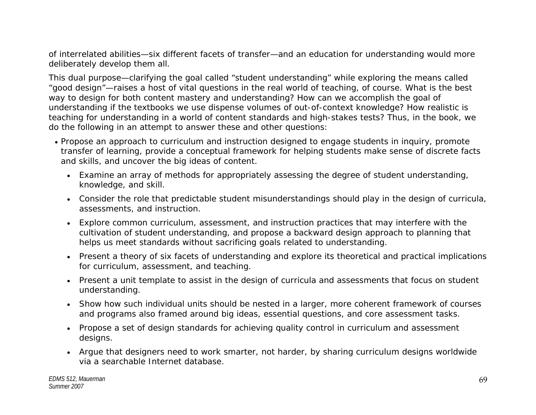of interrelated abilities—six different facets of transfer—and an education for understanding would more deliberately develop them all.

This dual purpose—clarifying the goal called "student understanding" while exploring the means called "good design"—raises a host of vital questions in the real world of teaching, of course. What is the best way to design for both content mastery and understanding? How can we accomplish the goal of understanding if the textbooks we use dispense volumes of out-of-context knowledge? How realistic is teaching for understanding in a world of content standards and high-stakes tests? Thus, in the book, we do the following in an attempt to answer these and other questions:

- Propose an approach to curriculum and instruction designed to engage students in inquiry, promote transfer of learning, provide a conceptual framework for helping students make sense of discrete facts and skills, and uncover the big ideas of content.
	- Examine an array of methods for appropriately assessing the degree of student understanding, knowledge, and skill.
	- Consider the role that predictable student misunderstandings should play in the design of curricula, assessments, and instruction.
	- Explore common curriculum, assessment, and instruction practices that may interfere with the cultivation of student understanding, and propose a *backward design* approach to planning that helps us meet standards without sacrificing goals related to understanding.
	- Present a theory of *six facets of understanding* and explore its theoretical and practical implications for curriculum, assessment, and teaching.
	- Present a unit template to assist in the design of curricula and assessments that focus on student understanding.
	- Show how such individual units should be nested in a larger, more coherent framework of courses and programs also framed around big ideas, essential questions, and core assessment tasks.
	- Propose a set of design standards for achieving quality control in curriculum and assessment designs.
	- Argue that designers need to work smarter, not harder, by sharing curriculum designs worldwide via a searchable Internet database.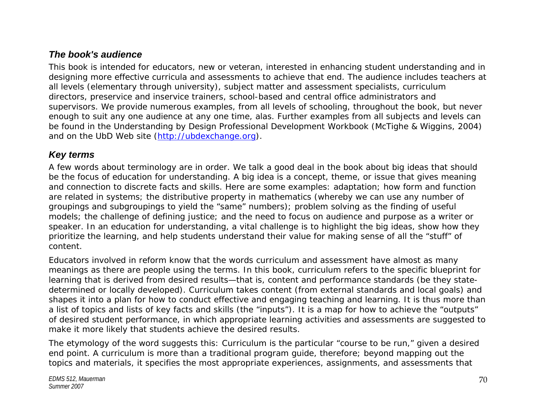# *The book's audience*

This book is intended for educators, new or veteran, interested in enhancing student understanding and in designing more effective curricula and assessments to achieve that end. The audience includes teachers at all levels (elementary through university), subject matter and assessment specialists, curriculum directors, preservice and inservice trainers, school-based and central office administrators and supervisors. We provide numerous examples, from all levels of schooling, throughout the book, but never enough to suit any one audience at any one time, alas. Further examples from all subjects and levels can be found in the *Understanding by Design Professional Development Workbook* (McTighe & Wiggins, 2004) and on the UbD Web site (http://ubdexchange.org).

## *Key terms*

A few words about terminology are in order. We talk a good deal in the book about *big ideas* that should be the focus of education for understanding. A big idea is a concept, theme, or issue that gives meaning and connection to discrete facts and skills. Here are some examples: adaptation; how form and function are related in systems; the distributive property in mathematics (whereby we can use any number of groupings and subgroupings to yield the "same" numbers); problem solving as the finding of useful models; the challenge of defining *justice*; and the need to focus on audience and purpose as a writer or speaker. In an education for understanding, a vital challenge is to highlight the big ideas, show how they prioritize the learning, and help students understand their value for making sense of all the "stuff" of content.

Educators involved in reform know that the words *curriculum* and *assessment* have almost as many meanings as there are people using the terms. In this book, *curriculum* refers to the specific blueprint for learning that is derived from *desired results*—that is, content and performance standards (be they statedetermined or locally developed). Curriculum takes content (from external standards and local goals) and shapes it into a plan for how to conduct effective and engaging teaching and learning. It is thus more than a list of topics and lists of key facts and skills (the "inputs"). It is a map for how to achieve the "outputs" of desired student performance, in which appropriate learning activities and assessments are suggested to make it more likely that students achieve the desired results.

The etymology of the word suggests this: *Curriculum* is the particular "course to be run," given a desired end point. A curriculum is more than a traditional program guide, therefore; beyond mapping out the topics and materials, it specifies the most appropriate experiences, assignments, and assessments that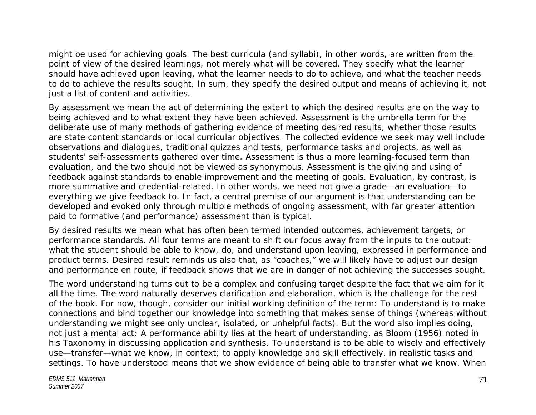might be used for achieving goals. The best curricula (and syllabi), in other words, are written from the point of view of the desired learnings, not merely what will be covered. They specify what the learner should have achieved upon leaving, what the learner needs to do to achieve, and what the teacher needs to do to achieve the results sought. In sum, they specify the desired output and means of achieving it, not just a list of content and activities.

By *assessment* we mean the act of determining the extent to which the desired results are on the way to being achieved and to what extent they have been achieved. Assessment is the umbrella term for the deliberate use of *many* methods of gathering evidence of meeting desired results, whether those results are state content standards or local curricular objectives. The collected evidence we seek may well include observations and dialogues, traditional quizzes and tests, performance tasks and projects, as well as students' self-assessments gathered over time. *Assessment* is thus a more learning-focused term than *evaluation*, and the two should not be viewed as synonymous. Assessment is the giving and using of feedback against standards to enable improvement and the meeting of goals. Evaluation, by contrast, is more summative and credential-related. In other words, we need not give a grade—an evaluation—to everything we give feedback to. In fact, a central premise of our argument is that understanding can be developed and evoked only through multiple methods of ongoing assessment, with far greater attention paid to formative (and performance) assessment than is typical.

By *desired results* we mean what has often been termed *intended outcomes, achievement targets*, or *performance standards*. All four terms are meant to shift our focus away from the inputs to the output: what the student should be able to know, do, and understand upon leaving, expressed in performance and product terms. *Desired result* reminds us also that, as "coaches," we will likely have to adjust *our* design and performance en route, if feedback shows that we are in danger of not achieving the successes sought.

The word *understanding* turns out to be a complex and confusing target despite the fact that we aim for it all the time. The word naturally deserves clarification and elaboration, which is the challenge for the rest of the book. For now, though, consider our initial working definition of the term: To *understand* is to make connections and bind together our knowledge into something that makes sense of things (whereas without understanding we might see only unclear, isolated, or unhelpful facts). But the word also implies doing, not just a mental act: A performance ability lies at the heart of understanding, as Bloom (1956) noted in his Taxonomy in discussing application and synthesis. To understand is to be able to wisely and effectively *use*—transfer—what we know, in context; to *apply* knowledge and skill effectively, in realistic tasks and settings. To have understood means that we show evidence of being able to transfer what we know. When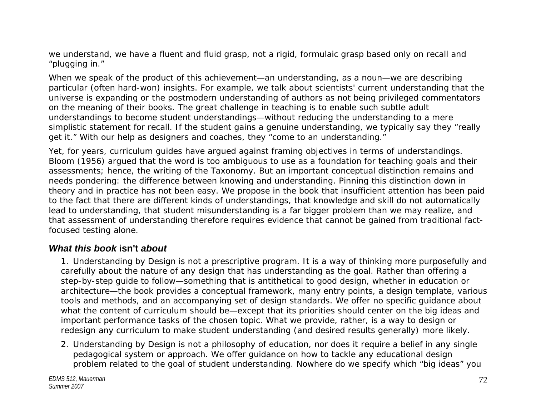we understand, we have a fluent and fluid grasp, not a rigid, formulaic grasp based only on recall and "plugging in."

When we speak of the product of this achievement—*an* understanding, as a noun—we are describing particular (often hard-won) insights. For example, we talk about scientists' current understanding that the universe is expanding or the postmodern understanding of authors as not being privileged commentators on the meaning of their books. The great challenge in teaching is to enable such subtle adult understandings to become student understandings—without reducing the understanding to a mere simplistic statement for recall. If the student gains a genuine understanding, we typically say they "*really* get it." With our help as designers and coaches, they "come to an understanding."

Yet, for years, curriculum guides have argued against framing objectives in terms of understandings. Bloom (1956) argued that the word is too ambiguous to use as a foundation for teaching goals and their assessments; hence, the writing of the Taxonomy. But an important conceptual distinction remains and needs pondering: the difference between *knowing* and *understanding*. Pinning this distinction down in theory and in practice has not been easy. We propose in the book that insufficient attention has been paid to the fact that there are *different kinds* of understandings, that knowledge and skill *do not* automatically lead to understanding, that student *misunderstanding* is a far bigger problem than we may realize, and that assessment of understanding therefore requires evidence that *cannot* be gained from traditional factfocused testing alone.

# *What this book* **isn't** *about*

1. *Understanding by Design* is not a prescriptive program. It is a way of thinking more purposefully and carefully about the nature of *any* design that has understanding as the goal. Rather than offering a step-by-step guide to follow—something that is antithetical to good design, whether in education or architecture—the book provides a conceptual framework, many entry points, a design template, various tools and methods, and an accompanying set of design standards. We offer no specific guidance about what the content of curriculum should be—except that its priorities should center on the big ideas and important performance tasks of the chosen topic. What we provide, rather, is a way to design or redesign *any* curriculum to make student understanding (and desired results generally) more likely.

2. *Understanding by Design* is not a philosophy of education, nor does it require a belief in any single pedagogical system or approach. We offer guidance on how to tackle any educational design problem related to the goal of student understanding. Nowhere do we specify which "big ideas" you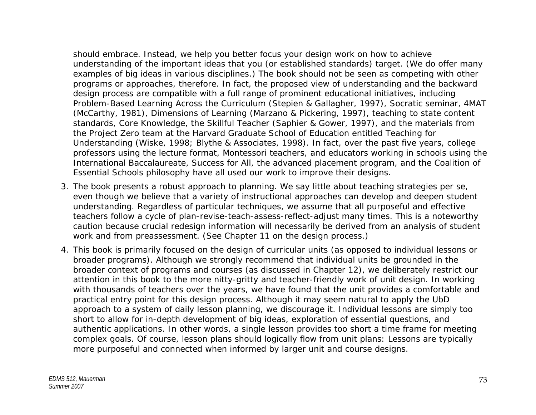should embrace. Instead, we help you better focus your design work on how to achieve understanding of the important ideas that you (or established standards) target. (We do offer many examples of big ideas in various disciplines.) The book should not be seen as competing with other programs or approaches, therefore. In fact, the proposed view of understanding and the backward design process are compatible with a full range of prominent educational initiatives, including *Problem-Based Learning Across the Curriculum* (Stepien & Gallagher, 1997), Socratic seminar, *4MAT* (McCarthy, 1981), *Dimensions of Learning* (Marzano & Pickering, 1997), teaching to state content standards, Core Knowledge, the *Skillful Teacher* (Saphier & Gower, 1997), and the materials from the Project Zero team at the Harvard Graduate School of Education entitled *Teaching for Understanding* (Wiske, 1998; Blythe & Associates, 1998). In fact, over the past five years, college professors using the lecture format, Montessori teachers, and educators working in schools using the International Baccalaureate, *Success for All*, the advanced placement program, and the Coalition of Essential Schools philosophy have all used our work to improve their designs.

- 3. The book presents a robust approach to *planning*. We say little about *teaching* strategies per se, even though we believe that a variety of instructional approaches can develop and deepen student understanding. Regardless of particular techniques, we assume that all purposeful and effective teachers follow a cycle of plan-revise-teach-assess-reflect-adjust many times. This is a noteworthy caution because crucial *redesign* information will necessarily be derived from an analysis of student work and from preassessment. (See Chapter 11 on the design process.)
- 4. This book is primarily focused on the design of curricular units (as opposed to individual lessons or broader programs). Although we strongly recommend that individual units be grounded in the broader context of programs and courses (as discussed in Chapter 12), we deliberately restrict our attention in this book to the more nitty-gritty and teacher-friendly work of unit design. In working with thousands of teachers over the years, we have found that the unit provides a comfortable and practical entry point for this design process. Although it may seem natural to apply the UbD approach to a system of daily lesson planning, we discourage it. Individual lessons are simply too short to allow for in-depth development of big ideas, exploration of essential questions, and authentic applications. In other words, a single lesson provides too short a time frame for meeting complex goals. Of course, lesson plans should logically flow from unit plans: Lessons are typically more purposeful and connected when informed by larger unit and course designs.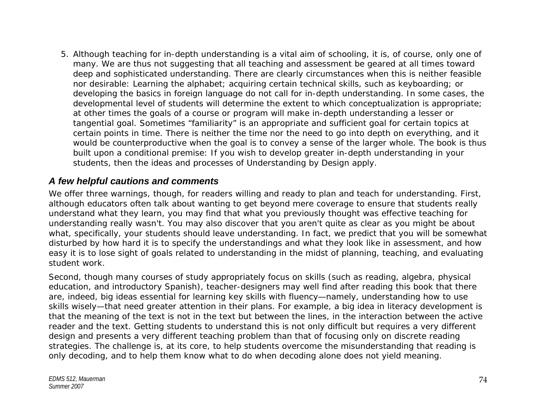5. Although teaching for in-depth understanding is a vital aim of schooling, it is, of course, only one of many. We are thus not suggesting that *all* teaching and assessment be geared *at all times* toward deep and sophisticated understanding. There are clearly circumstances when this is neither feasible nor desirable: Learning the alphabet; acquiring certain technical skills, such as keyboarding; or developing the basics in foreign language do not call for in-depth understanding. In some cases, the developmental level of students will determine the extent to which conceptualization is appropriate; at other times the goals of a course or program will make in-depth understanding a lesser or tangential goal. Sometimes "familiarity" is an appropriate and sufficient goal for certain topics at certain points in time. There is neither the time nor the need to go into depth on everything, and it would be counterproductive when the goal is to convey a sense of the larger whole. The book is thus built upon a conditional premise: *If* you wish to develop greater in-depth understanding in your students, *then* the ideas and processes of *Understanding by Design* apply.

## *A few helpful cautions and comments*

We offer three warnings, though, for readers willing and ready to plan and teach for understanding. First, although educators often talk about wanting to get beyond mere coverage to ensure that students really understand what they learn, you may find that what you previously thought was effective teaching for understanding really wasn't. You may also discover that you aren't quite as clear as you might be about what, specifically, your students should leave understanding. In fact, we predict that you will be somewhat disturbed by how hard it is to specify the understandings and what they look like in assessment, and how easy it is to lose sight of goals related to understanding in the midst of planning, teaching, and evaluating student work.

Second, though many courses of study appropriately focus on skills (such as reading, algebra, physical education, and introductory Spanish), teacher-designers may well find after reading this book that there are, indeed, big ideas essential for learning key skills with fluency—namely, understanding how to *use* skills *wisely*—that need greater attention in their plans. For example, a big idea in literacy development is that the meaning of the text is not in the text but between the lines, in the interaction between the active reader and the text. Getting students to understand this is not only difficult but requires a very different design and presents a very different teaching problem than that of focusing only on discrete reading strategies. The challenge is, at its core, to help students overcome the misunderstanding that reading is only decoding, and to help them know what to do when decoding alone does not yield meaning.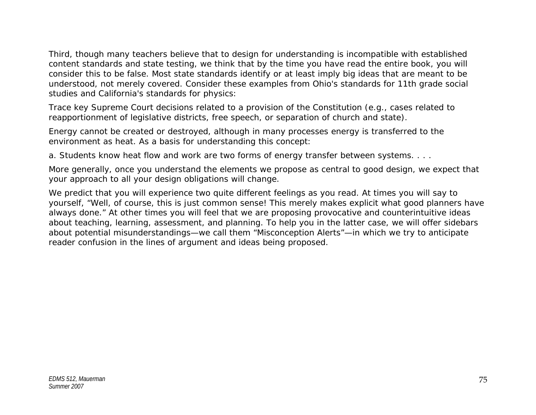Third, though many teachers believe that to design for understanding is incompatible with established content standards and state testing, we think that by the time you have read the entire book, you will consider this to be false. Most state standards identify or at least imply big ideas that are meant to be understood, not merely covered. Consider these examples from Ohio's standards for 11th grade social studies and California's standards for physics:

*Trace key Supreme Court decisions related to a provision of the Constitution (e.g., cases related to reapportionment of legislative districts, free speech, or separation of church and state).*

*Energy cannot be created or destroyed, although in many processes energy is transferred to the environment as heat. As a basis for understanding this concept:*

*a. Students know heat flow and work are two forms of energy transfer between systems. . . .*

More generally, once you understand the elements we propose as central to good design, we expect that your approach to *all* your design obligations will change.

We predict that you will experience two quite different feelings as you read. At times you will say to yourself, "Well, of course, this is just common sense! This merely makes explicit what good planners have always done." At other times you will feel that we are proposing provocative and counterintuitive ideas about teaching, learning, assessment, and planning. To help you in the latter case, we will offer sidebars about potential misunderstandings—we call them "Misconception Alerts"—in which we try to anticipate reader confusion in the lines of argument and ideas being proposed.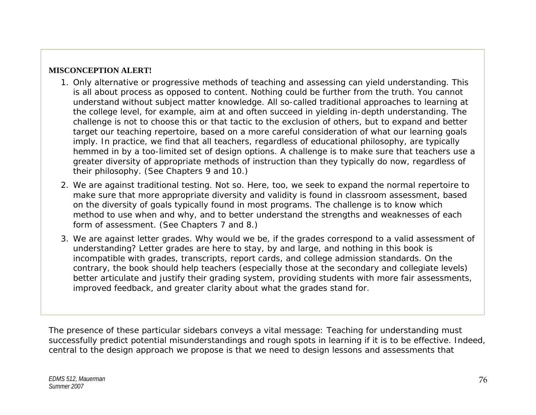## **MISCONCEPTION ALERT!**

- 1. *Only alternative or progressive methods of teaching and assessing can yield understanding*. *This is all about process as opposed to content*. Nothing could be further from the truth. You cannot understand without subject matter knowledge. All so-called traditional approaches to learning at the college level, for example, aim at and often succeed in yielding in-depth understanding. The challenge is not to choose this or that tactic to the exclusion of others, but to *expand* and better *target* our teaching repertoire, based on a more careful consideration of what our learning goals imply. In practice, we find that all teachers, regardless of educational philosophy, are typically hemmed in by a too-limited set of design options. A challenge is to make sure that teachers use a greater diversity of appropriate methods of instruction than they typically do now, regardless of their philosophy. (See Chapters 9 and 10.)
- 2. *We are against traditional testing*. Not so. Here, too, we seek to expand the normal repertoire to make sure that more *appropriate diversity* and validity is found in classroom assessment, based on the diversity of goals typically found in most programs. The challenge is to know which method to use when and why, and to better understand the strengths and weaknesses of *each* form of assessment. (See Chapters 7 and 8.)
- 3. *We are against letter grades*. Why would we be, *if* the grades correspond to a valid assessment of understanding? Letter grades are here to stay, by and large, and nothing in this book is incompatible with grades, transcripts, report cards, and college admission standards. On the contrary, the book should help teachers (especially those at the secondary and collegiate levels) better articulate and justify their grading system, providing students with more fair assessments, improved feedback, and greater clarity about what the grades stand for.

The presence of these particular sidebars conveys a vital message: Teaching for understanding must successfully predict potential misunderstandings and rough spots in learning if it is to be effective. *Indeed, central to the design approach we propose is that we need to design lessons and assessments that*